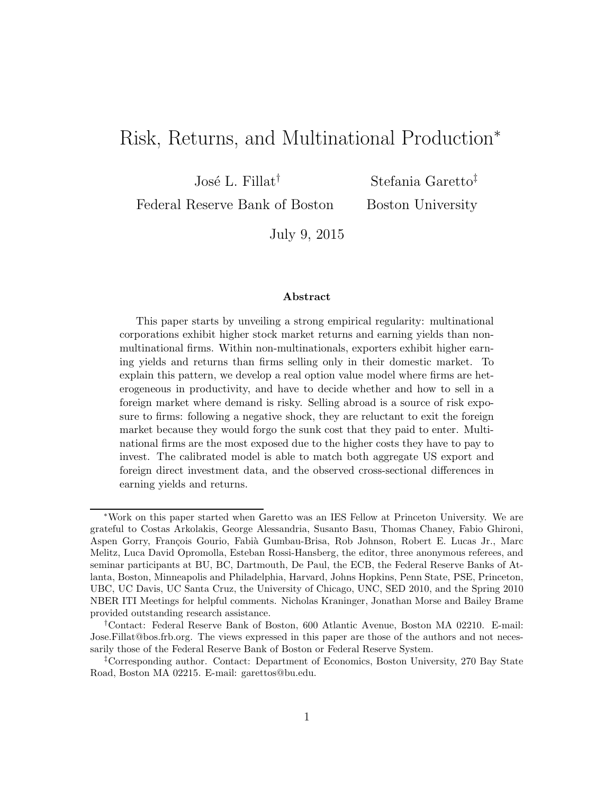# Risk, Returns, and Multinational Production<sup>∗</sup>

José L. Fillat<sup>†</sup>

Stefania Garetto‡ Boston University

Federal Reserve Bank of Boston

July 9, 2015

#### Abstract

This paper starts by unveiling a strong empirical regularity: multinational corporations exhibit higher stock market returns and earning yields than nonmultinational firms. Within non-multinationals, exporters exhibit higher earning yields and returns than firms selling only in their domestic market. To explain this pattern, we develop a real option value model where firms are heterogeneous in productivity, and have to decide whether and how to sell in a foreign market where demand is risky. Selling abroad is a source of risk exposure to firms: following a negative shock, they are reluctant to exit the foreign market because they would forgo the sunk cost that they paid to enter. Multinational firms are the most exposed due to the higher costs they have to pay to invest. The calibrated model is able to match both aggregate US export and foreign direct investment data, and the observed cross-sectional differences in earning yields and returns.

<sup>∗</sup>Work on this paper started when Garetto was an IES Fellow at Princeton University. We are grateful to Costas Arkolakis, George Alessandria, Susanto Basu, Thomas Chaney, Fabio Ghironi, Aspen Gorry, François Gourio, Fabià Gumbau-Brisa, Rob Johnson, Robert E. Lucas Jr., Marc Melitz, Luca David Opromolla, Esteban Rossi-Hansberg, the editor, three anonymous referees, and seminar participants at BU, BC, Dartmouth, De Paul, the ECB, the Federal Reserve Banks of Atlanta, Boston, Minneapolis and Philadelphia, Harvard, Johns Hopkins, Penn State, PSE, Princeton, UBC, UC Davis, UC Santa Cruz, the University of Chicago, UNC, SED 2010, and the Spring 2010 NBER ITI Meetings for helpful comments. Nicholas Kraninger, Jonathan Morse and Bailey Brame provided outstanding research assistance.

<sup>†</sup>Contact: Federal Reserve Bank of Boston, 600 Atlantic Avenue, Boston MA 02210. E-mail: Jose.Fillat@bos.frb.org. The views expressed in this paper are those of the authors and not necessarily those of the Federal Reserve Bank of Boston or Federal Reserve System.

<sup>‡</sup>Corresponding author. Contact: Department of Economics, Boston University, 270 Bay State Road, Boston MA 02215. E-mail: garettos@bu.edu.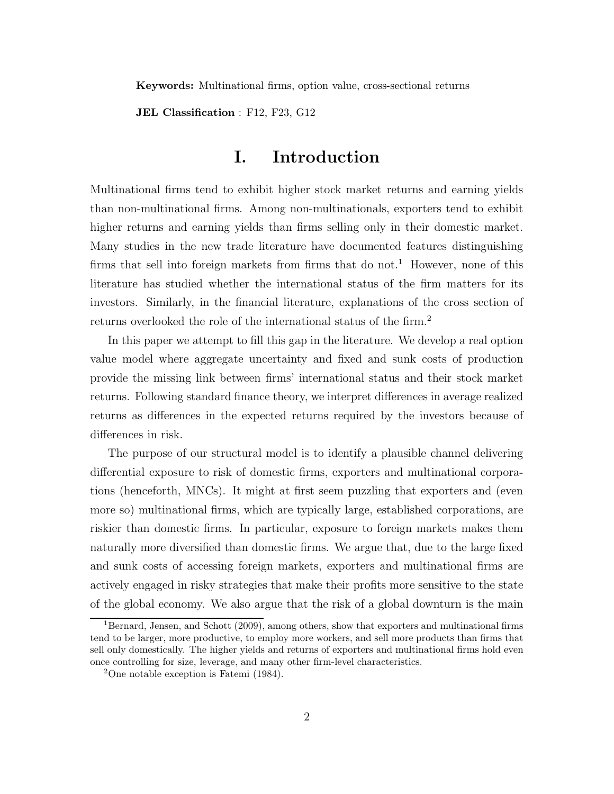Keywords: Multinational firms, option value, cross-sectional returns

JEL Classification : F12, F23, G12

### I. Introduction

Multinational firms tend to exhibit higher stock market returns and earning yields than non-multinational firms. Among non-multinationals, exporters tend to exhibit higher returns and earning yields than firms selling only in their domestic market. Many studies in the new trade literature have documented features distinguishing firms that sell into foreign markets from firms that do not.<sup>1</sup> However, none of this literature has studied whether the international status of the firm matters for its investors. Similarly, in the financial literature, explanations of the cross section of returns overlooked the role of the international status of the firm.<sup>2</sup>

In this paper we attempt to fill this gap in the literature. We develop a real option value model where aggregate uncertainty and fixed and sunk costs of production provide the missing link between firms' international status and their stock market returns. Following standard finance theory, we interpret differences in average realized returns as differences in the expected returns required by the investors because of differences in risk.

The purpose of our structural model is to identify a plausible channel delivering differential exposure to risk of domestic firms, exporters and multinational corporations (henceforth, MNCs). It might at first seem puzzling that exporters and (even more so) multinational firms, which are typically large, established corporations, are riskier than domestic firms. In particular, exposure to foreign markets makes them naturally more diversified than domestic firms. We argue that, due to the large fixed and sunk costs of accessing foreign markets, exporters and multinational firms are actively engaged in risky strategies that make their profits more sensitive to the state of the global economy. We also argue that the risk of a global downturn is the main

<sup>&</sup>lt;sup>1</sup>Bernard, Jensen, and Schott (2009), among others, show that exporters and multinational firms tend to be larger, more productive, to employ more workers, and sell more products than firms that sell only domestically. The higher yields and returns of exporters and multinational firms hold even once controlling for size, leverage, and many other firm-level characteristics.

<sup>2</sup>One notable exception is Fatemi (1984).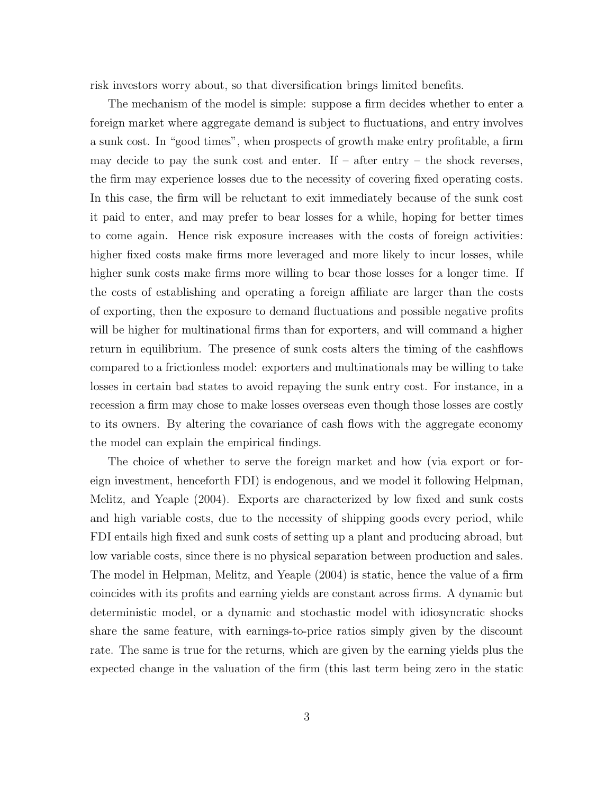risk investors worry about, so that diversification brings limited benefits.

The mechanism of the model is simple: suppose a firm decides whether to enter a foreign market where aggregate demand is subject to fluctuations, and entry involves a sunk cost. In "good times", when prospects of growth make entry profitable, a firm may decide to pay the sunk cost and enter. If  $-$  after entry  $-$  the shock reverses, the firm may experience losses due to the necessity of covering fixed operating costs. In this case, the firm will be reluctant to exit immediately because of the sunk cost it paid to enter, and may prefer to bear losses for a while, hoping for better times to come again. Hence risk exposure increases with the costs of foreign activities: higher fixed costs make firms more leveraged and more likely to incur losses, while higher sunk costs make firms more willing to bear those losses for a longer time. If the costs of establishing and operating a foreign affiliate are larger than the costs of exporting, then the exposure to demand fluctuations and possible negative profits will be higher for multinational firms than for exporters, and will command a higher return in equilibrium. The presence of sunk costs alters the timing of the cashflows compared to a frictionless model: exporters and multinationals may be willing to take losses in certain bad states to avoid repaying the sunk entry cost. For instance, in a recession a firm may chose to make losses overseas even though those losses are costly to its owners. By altering the covariance of cash flows with the aggregate economy the model can explain the empirical findings.

The choice of whether to serve the foreign market and how (via export or foreign investment, henceforth FDI) is endogenous, and we model it following Helpman, Melitz, and Yeaple (2004). Exports are characterized by low fixed and sunk costs and high variable costs, due to the necessity of shipping goods every period, while FDI entails high fixed and sunk costs of setting up a plant and producing abroad, but low variable costs, since there is no physical separation between production and sales. The model in Helpman, Melitz, and Yeaple (2004) is static, hence the value of a firm coincides with its profits and earning yields are constant across firms. A dynamic but deterministic model, or a dynamic and stochastic model with idiosyncratic shocks share the same feature, with earnings-to-price ratios simply given by the discount rate. The same is true for the returns, which are given by the earning yields plus the expected change in the valuation of the firm (this last term being zero in the static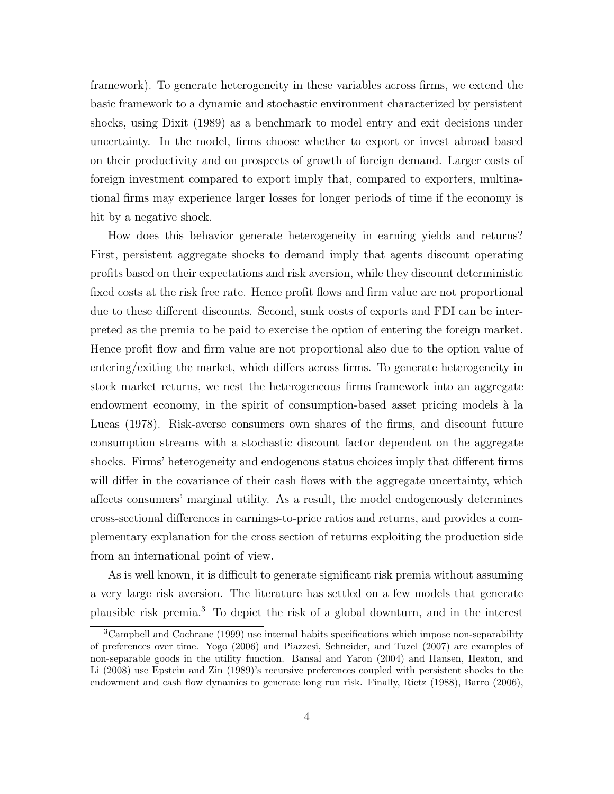framework). To generate heterogeneity in these variables across firms, we extend the basic framework to a dynamic and stochastic environment characterized by persistent shocks, using Dixit (1989) as a benchmark to model entry and exit decisions under uncertainty. In the model, firms choose whether to export or invest abroad based on their productivity and on prospects of growth of foreign demand. Larger costs of foreign investment compared to export imply that, compared to exporters, multinational firms may experience larger losses for longer periods of time if the economy is hit by a negative shock.

How does this behavior generate heterogeneity in earning yields and returns? First, persistent aggregate shocks to demand imply that agents discount operating profits based on their expectations and risk aversion, while they discount deterministic fixed costs at the risk free rate. Hence profit flows and firm value are not proportional due to these different discounts. Second, sunk costs of exports and FDI can be interpreted as the premia to be paid to exercise the option of entering the foreign market. Hence profit flow and firm value are not proportional also due to the option value of entering/exiting the market, which differs across firms. To generate heterogeneity in stock market returns, we nest the heterogeneous firms framework into an aggregate endowment economy, in the spirit of consumption-based asset pricing models à la Lucas (1978). Risk-averse consumers own shares of the firms, and discount future consumption streams with a stochastic discount factor dependent on the aggregate shocks. Firms' heterogeneity and endogenous status choices imply that different firms will differ in the covariance of their cash flows with the aggregate uncertainty, which affects consumers' marginal utility. As a result, the model endogenously determines cross-sectional differences in earnings-to-price ratios and returns, and provides a complementary explanation for the cross section of returns exploiting the production side from an international point of view.

As is well known, it is difficult to generate significant risk premia without assuming a very large risk aversion. The literature has settled on a few models that generate plausible risk premia.<sup>3</sup> To depict the risk of a global downturn, and in the interest

<sup>&</sup>lt;sup>3</sup>Campbell and Cochrane (1999) use internal habits specifications which impose non-separability of preferences over time. Yogo (2006) and Piazzesi, Schneider, and Tuzel (2007) are examples of non-separable goods in the utility function. Bansal and Yaron (2004) and Hansen, Heaton, and Li (2008) use Epstein and Zin (1989)'s recursive preferences coupled with persistent shocks to the endowment and cash flow dynamics to generate long run risk. Finally, Rietz (1988), Barro (2006),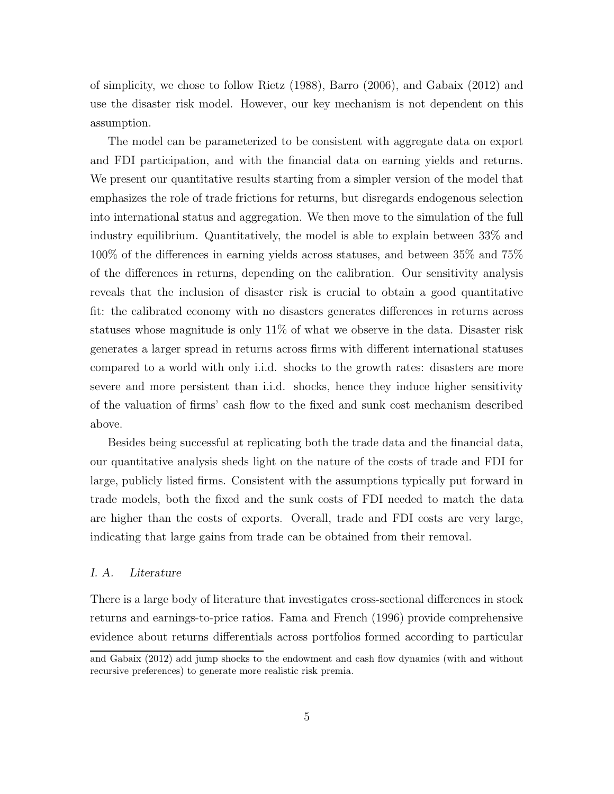of simplicity, we chose to follow Rietz (1988), Barro (2006), and Gabaix (2012) and use the disaster risk model. However, our key mechanism is not dependent on this assumption.

The model can be parameterized to be consistent with aggregate data on export and FDI participation, and with the financial data on earning yields and returns. We present our quantitative results starting from a simpler version of the model that emphasizes the role of trade frictions for returns, but disregards endogenous selection into international status and aggregation. We then move to the simulation of the full industry equilibrium. Quantitatively, the model is able to explain between 33% and 100% of the differences in earning yields across statuses, and between 35% and 75% of the differences in returns, depending on the calibration. Our sensitivity analysis reveals that the inclusion of disaster risk is crucial to obtain a good quantitative fit: the calibrated economy with no disasters generates differences in returns across statuses whose magnitude is only 11% of what we observe in the data. Disaster risk generates a larger spread in returns across firms with different international statuses compared to a world with only i.i.d. shocks to the growth rates: disasters are more severe and more persistent than i.i.d. shocks, hence they induce higher sensitivity of the valuation of firms' cash flow to the fixed and sunk cost mechanism described above.

Besides being successful at replicating both the trade data and the financial data, our quantitative analysis sheds light on the nature of the costs of trade and FDI for large, publicly listed firms. Consistent with the assumptions typically put forward in trade models, both the fixed and the sunk costs of FDI needed to match the data are higher than the costs of exports. Overall, trade and FDI costs are very large, indicating that large gains from trade can be obtained from their removal.

#### *I. A. Literature*

There is a large body of literature that investigates cross-sectional differences in stock returns and earnings-to-price ratios. Fama and French (1996) provide comprehensive evidence about returns differentials across portfolios formed according to particular

and Gabaix (2012) add jump shocks to the endowment and cash flow dynamics (with and without recursive preferences) to generate more realistic risk premia.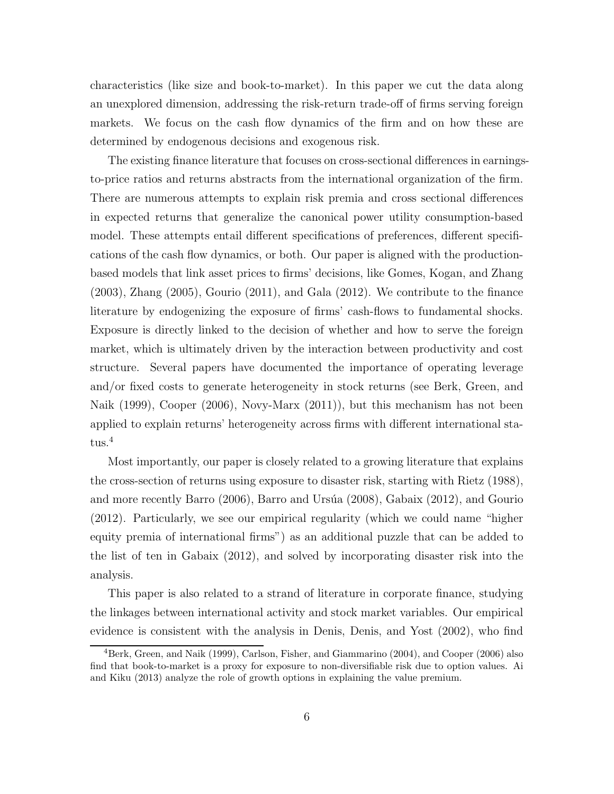characteristics (like size and book-to-market). In this paper we cut the data along an unexplored dimension, addressing the risk-return trade-off of firms serving foreign markets. We focus on the cash flow dynamics of the firm and on how these are determined by endogenous decisions and exogenous risk.

The existing finance literature that focuses on cross-sectional differences in earningsto-price ratios and returns abstracts from the international organization of the firm. There are numerous attempts to explain risk premia and cross sectional differences in expected returns that generalize the canonical power utility consumption-based model. These attempts entail different specifications of preferences, different specifications of the cash flow dynamics, or both. Our paper is aligned with the productionbased models that link asset prices to firms' decisions, like Gomes, Kogan, and Zhang (2003), Zhang (2005), Gourio (2011), and Gala (2012). We contribute to the finance literature by endogenizing the exposure of firms' cash-flows to fundamental shocks. Exposure is directly linked to the decision of whether and how to serve the foreign market, which is ultimately driven by the interaction between productivity and cost structure. Several papers have documented the importance of operating leverage and/or fixed costs to generate heterogeneity in stock returns (see Berk, Green, and Naik (1999), Cooper (2006), Novy-Marx (2011)), but this mechanism has not been applied to explain returns' heterogeneity across firms with different international status.<sup>4</sup>

Most importantly, our paper is closely related to a growing literature that explains the cross-section of returns using exposure to disaster risk, starting with Rietz (1988), and more recently Barro  $(2006)$ , Barro and Ursúa  $(2008)$ , Gabaix  $(2012)$ , and Gourio (2012). Particularly, we see our empirical regularity (which we could name "higher equity premia of international firms") as an additional puzzle that can be added to the list of ten in Gabaix (2012), and solved by incorporating disaster risk into the analysis.

This paper is also related to a strand of literature in corporate finance, studying the linkages between international activity and stock market variables. Our empirical evidence is consistent with the analysis in Denis, Denis, and Yost (2002), who find

 ${}^{4}$ Berk, Green, and Naik (1999), Carlson, Fisher, and Giammarino (2004), and Cooper (2006) also find that book-to-market is a proxy for exposure to non-diversifiable risk due to option values. Ai and Kiku (2013) analyze the role of growth options in explaining the value premium.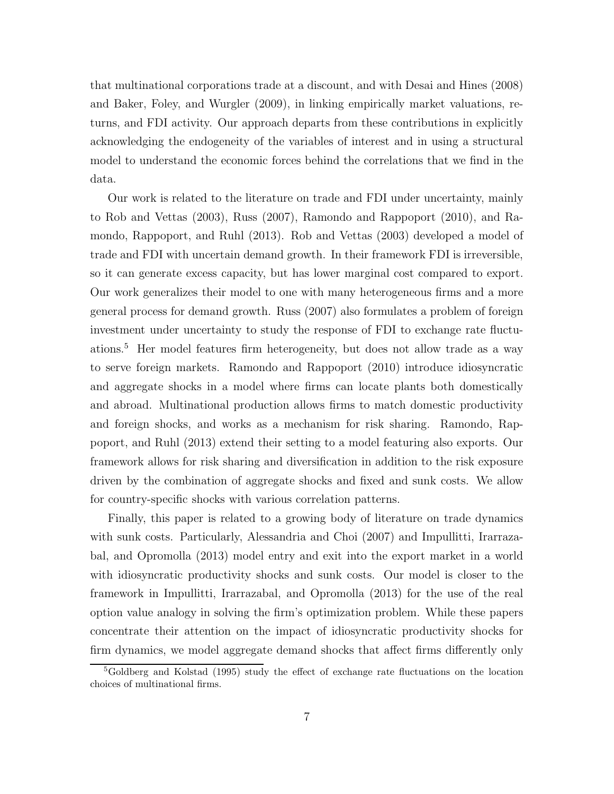that multinational corporations trade at a discount, and with Desai and Hines (2008) and Baker, Foley, and Wurgler (2009), in linking empirically market valuations, returns, and FDI activity. Our approach departs from these contributions in explicitly acknowledging the endogeneity of the variables of interest and in using a structural model to understand the economic forces behind the correlations that we find in the data.

Our work is related to the literature on trade and FDI under uncertainty, mainly to Rob and Vettas (2003), Russ (2007), Ramondo and Rappoport (2010), and Ramondo, Rappoport, and Ruhl (2013). Rob and Vettas (2003) developed a model of trade and FDI with uncertain demand growth. In their framework FDI is irreversible, so it can generate excess capacity, but has lower marginal cost compared to export. Our work generalizes their model to one with many heterogeneous firms and a more general process for demand growth. Russ (2007) also formulates a problem of foreign investment under uncertainty to study the response of FDI to exchange rate fluctuations.<sup>5</sup> Her model features firm heterogeneity, but does not allow trade as a way to serve foreign markets. Ramondo and Rappoport (2010) introduce idiosyncratic and aggregate shocks in a model where firms can locate plants both domestically and abroad. Multinational production allows firms to match domestic productivity and foreign shocks, and works as a mechanism for risk sharing. Ramondo, Rappoport, and Ruhl (2013) extend their setting to a model featuring also exports. Our framework allows for risk sharing and diversification in addition to the risk exposure driven by the combination of aggregate shocks and fixed and sunk costs. We allow for country-specific shocks with various correlation patterns.

Finally, this paper is related to a growing body of literature on trade dynamics with sunk costs. Particularly, Alessandria and Choi (2007) and Impullitti, Irarrazabal, and Opromolla (2013) model entry and exit into the export market in a world with idiosyncratic productivity shocks and sunk costs. Our model is closer to the framework in Impullitti, Irarrazabal, and Opromolla (2013) for the use of the real option value analogy in solving the firm's optimization problem. While these papers concentrate their attention on the impact of idiosyncratic productivity shocks for firm dynamics, we model aggregate demand shocks that affect firms differently only

<sup>&</sup>lt;sup>5</sup>Goldberg and Kolstad (1995) study the effect of exchange rate fluctuations on the location choices of multinational firms.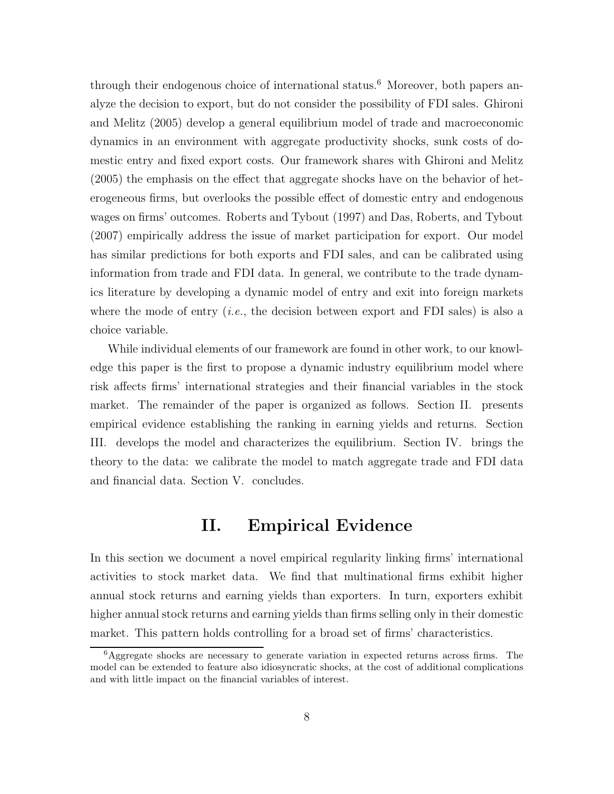through their endogenous choice of international status.<sup>6</sup> Moreover, both papers analyze the decision to export, but do not consider the possibility of FDI sales. Ghironi and Melitz (2005) develop a general equilibrium model of trade and macroeconomic dynamics in an environment with aggregate productivity shocks, sunk costs of domestic entry and fixed export costs. Our framework shares with Ghironi and Melitz (2005) the emphasis on the effect that aggregate shocks have on the behavior of heterogeneous firms, but overlooks the possible effect of domestic entry and endogenous wages on firms' outcomes. Roberts and Tybout (1997) and Das, Roberts, and Tybout (2007) empirically address the issue of market participation for export. Our model has similar predictions for both exports and FDI sales, and can be calibrated using information from trade and FDI data. In general, we contribute to the trade dynamics literature by developing a dynamic model of entry and exit into foreign markets where the mode of entry  $(i.e.,$  the decision between export and FDI sales) is also a choice variable.

While individual elements of our framework are found in other work, to our knowledge this paper is the first to propose a dynamic industry equilibrium model where risk affects firms' international strategies and their financial variables in the stock market. The remainder of the paper is organized as follows. Section II. presents empirical evidence establishing the ranking in earning yields and returns. Section III. develops the model and characterizes the equilibrium. Section IV. brings the theory to the data: we calibrate the model to match aggregate trade and FDI data and financial data. Section V. concludes.

## II. Empirical Evidence

In this section we document a novel empirical regularity linking firms' international activities to stock market data. We find that multinational firms exhibit higher annual stock returns and earning yields than exporters. In turn, exporters exhibit higher annual stock returns and earning yields than firms selling only in their domestic market. This pattern holds controlling for a broad set of firms' characteristics.

<sup>6</sup>Aggregate shocks are necessary to generate variation in expected returns across firms. The model can be extended to feature also idiosyncratic shocks, at the cost of additional complications and with little impact on the financial variables of interest.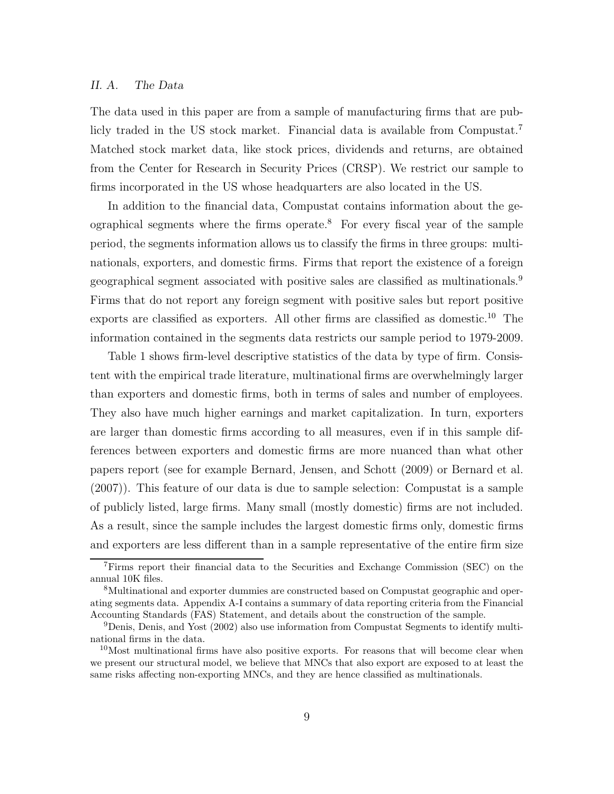#### *II. A. The Data*

The data used in this paper are from a sample of manufacturing firms that are publicly traded in the US stock market. Financial data is available from Compustat.<sup>7</sup> Matched stock market data, like stock prices, dividends and returns, are obtained from the Center for Research in Security Prices (CRSP). We restrict our sample to firms incorporated in the US whose headquarters are also located in the US.

In addition to the financial data, Compustat contains information about the geographical segments where the firms operate.<sup>8</sup> For every fiscal year of the sample period, the segments information allows us to classify the firms in three groups: multinationals, exporters, and domestic firms. Firms that report the existence of a foreign geographical segment associated with positive sales are classified as multinationals.<sup>9</sup> Firms that do not report any foreign segment with positive sales but report positive exports are classified as exporters. All other firms are classified as domestic.<sup>10</sup> The information contained in the segments data restricts our sample period to 1979-2009.

Table 1 shows firm-level descriptive statistics of the data by type of firm. Consistent with the empirical trade literature, multinational firms are overwhelmingly larger than exporters and domestic firms, both in terms of sales and number of employees. They also have much higher earnings and market capitalization. In turn, exporters are larger than domestic firms according to all measures, even if in this sample differences between exporters and domestic firms are more nuanced than what other papers report (see for example Bernard, Jensen, and Schott (2009) or Bernard et al. (2007)). This feature of our data is due to sample selection: Compustat is a sample of publicly listed, large firms. Many small (mostly domestic) firms are not included. As a result, since the sample includes the largest domestic firms only, domestic firms and exporters are less different than in a sample representative of the entire firm size

<sup>7</sup>Firms report their financial data to the Securities and Exchange Commission (SEC) on the annual 10K files.

<sup>8</sup>Multinational and exporter dummies are constructed based on Compustat geographic and operating segments data. Appendix A-I contains a summary of data reporting criteria from the Financial Accounting Standards (FAS) Statement, and details about the construction of the sample.

<sup>9</sup>Denis, Denis, and Yost (2002) also use information from Compustat Segments to identify multinational firms in the data.

 $10$ Most multinational firms have also positive exports. For reasons that will become clear when we present our structural model, we believe that MNCs that also export are exposed to at least the same risks affecting non-exporting MNCs, and they are hence classified as multinationals.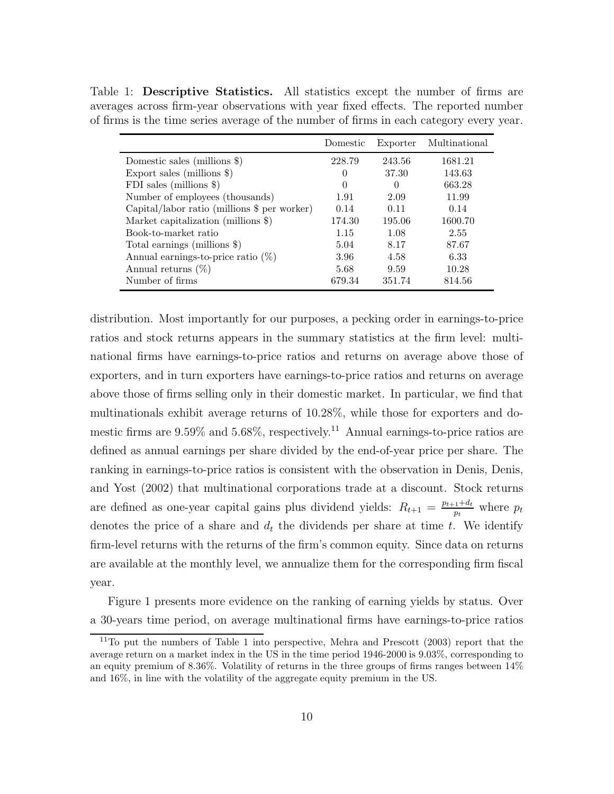Table 1: Descriptive Statistics. All statistics except the number of firms are averages across firm-year observations with year fixed effects. The reported number of firms is the time series average of the number of firms in each category every year.

|                                               | Domestic | Exporter | Multinational |
|-----------------------------------------------|----------|----------|---------------|
| Domestic sales (millions \$)                  | 228.79   | 243.56   | 1681.21       |
| Export sales (millions $\})$                  | $\theta$ | 37.30    | 143.63        |
| FDI sales (millions \$)                       | $\theta$ | $\Omega$ | 663.28        |
| Number of employees (thousands)               | 1.91     | 2.09     | 11.99         |
| Capital/labor ratio (millions $\$ per worker) | 0.14     | 0.11     | 0.14          |
| Market capitalization (millions \$)           | 174.30   | 195.06   | 1600.70       |
| Book-to-market ratio                          | 1.15     | 1.08     | 2.55          |
| Total earnings (millions \$)                  | 5.04     | 8.17     | 87.67         |
| Annual earnings-to-price ratio $(\%)$         | 3.96     | 4.58     | 6.33          |
| Annual returns $(\%)$                         | 5.68     | 9.59     | 10.28         |
| Number of firms                               | 679.34   | 351.74   | 814.56        |

distribution. Most importantly for our purposes, a pecking order in earnings-to-price ratios and stock returns appears in the summary statistics at the firm level: multinational firms have earnings-to-price ratios and returns on average above those of exporters, and in turn exporters have earnings-to-price ratios and returns on average above those of firms selling only in their domestic market. In particular, we find that multinationals exhibit average returns of 10.28%, while those for exporters and domestic firms are  $9.59\%$  and  $5.68\%$ , respectively.<sup>11</sup> Annual earnings-to-price ratios are defined as annual earnings per share divided by the end-of-year price per share. The ranking in earnings-to-price ratios is consistent with the observation in Denis, Denis, and Yost (2002) that multinational corporations trade at a discount. Stock returns are defined as one-year capital gains plus dividend yields:  $R_{t+1} = \frac{p_{t+1} + d_t}{p_t}$  $\frac{p_t}{p_t}$  where  $p_t$ denotes the price of a share and  $d_t$  the dividends per share at time t. We identify firm-level returns with the returns of the firm's common equity. Since data on returns are available at the monthly level, we annualize them for the corresponding firm fiscal year.

Figure 1 presents more evidence on the ranking of earning yields by status. Over a 30-years time period, on average multinational firms have earnings-to-price ratios

<sup>&</sup>lt;sup>11</sup>To put the numbers of Table 1 into perspective, Mehra and Prescott  $(2003)$  report that the average return on a market index in the US in the time period 1946-2000 is 9.03%, corresponding to an equity premium of 8.36%. Volatility of returns in the three groups of firms ranges between 14% and 16%, in line with the volatility of the aggregate equity premium in the US.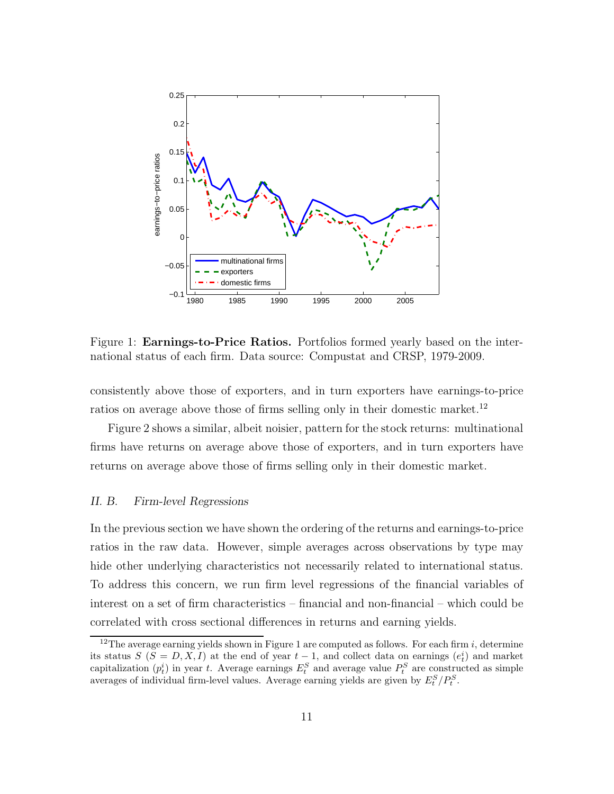

Figure 1: **Earnings-to-Price Ratios.** Portfolios formed yearly based on the international status of each firm. Data source: Compustat and CRSP, 1979-2009.

consistently above those of exporters, and in turn exporters have earnings-to-price ratios on average above those of firms selling only in their domestic market.<sup>12</sup>

Figure 2 shows a similar, albeit noisier, pattern for the stock returns: multinational firms have returns on average above those of exporters, and in turn exporters have returns on average above those of firms selling only in their domestic market.

#### *II. B. Firm-level Regressions*

In the previous section we have shown the ordering of the returns and earnings-to-price ratios in the raw data. However, simple averages across observations by type may hide other underlying characteristics not necessarily related to international status. To address this concern, we run firm level regressions of the financial variables of interest on a set of firm characteristics – financial and non-financial – which could be correlated with cross sectional differences in returns and earning yields.

<sup>&</sup>lt;sup>12</sup>The average earning yields shown in Figure 1 are computed as follows. For each firm i, determine its status  $S(S = D, X, I)$  at the end of year  $t - 1$ , and collect data on earnings  $(e_t^i)$  and market capitalization  $(p_t^i)$  in year t. Average earnings  $E_t^S$  and average value  $P_t^S$  are constructed as simple averages of individual firm-level values. Average earning yields are given by  $E_t^S/P_t^S$ .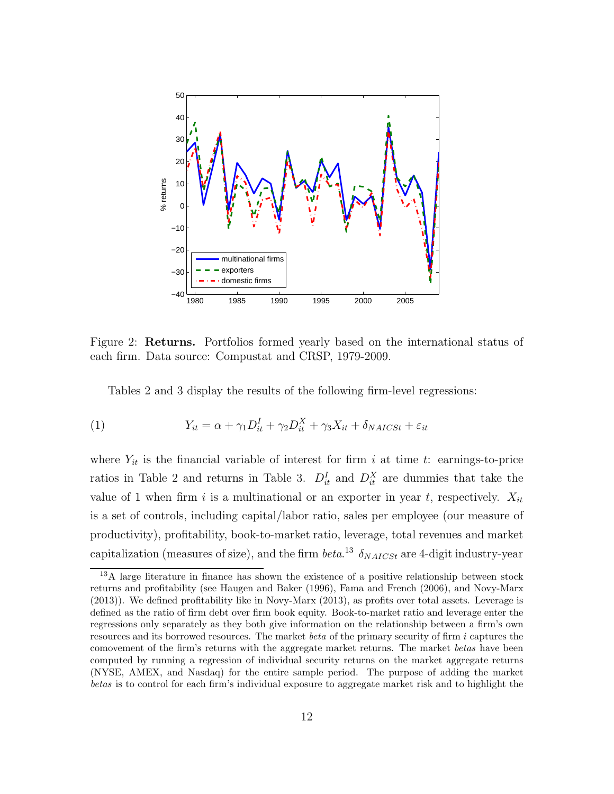

Figure 2: Returns. Portfolios formed yearly based on the international status of each firm. Data source: Compustat and CRSP, 1979-2009.

Tables 2 and 3 display the results of the following firm-level regressions:

(1) 
$$
Y_{it} = \alpha + \gamma_1 D_{it}^I + \gamma_2 D_{it}^X + \gamma_3 X_{it} + \delta_{NAICSt} + \varepsilon_{it}
$$

where  $Y_{it}$  is the financial variable of interest for firm i at time t: earnings-to-price ratios in Table 2 and returns in Table 3.  $D_{it}^I$  and  $D_{it}^X$  are dummies that take the value of 1 when firm i is a multinational or an exporter in year t, respectively.  $X_{it}$ is a set of controls, including capital/labor ratio, sales per employee (our measure of productivity), profitability, book-to-market ratio, leverage, total revenues and market capitalization (measures of size), and the firm  $beta$ .<sup>13</sup>  $\delta_{NAICSt}$  are 4-digit industry-year

<sup>&</sup>lt;sup>13</sup>A large literature in finance has shown the existence of a positive relationship between stock returns and profitability (see Haugen and Baker (1996), Fama and French (2006), and Novy-Marx (2013)). We defined profitability like in Novy-Marx (2013), as profits over total assets. Leverage is defined as the ratio of firm debt over firm book equity. Book-to-market ratio and leverage enter the regressions only separately as they both give information on the relationship between a firm's own resources and its borrowed resources. The market beta of the primary security of firm i captures the comovement of the firm's returns with the aggregate market returns. The market betas have been computed by running a regression of individual security returns on the market aggregate returns (NYSE, AMEX, and Nasdaq) for the entire sample period. The purpose of adding the market betas is to control for each firm's individual exposure to aggregate market risk and to highlight the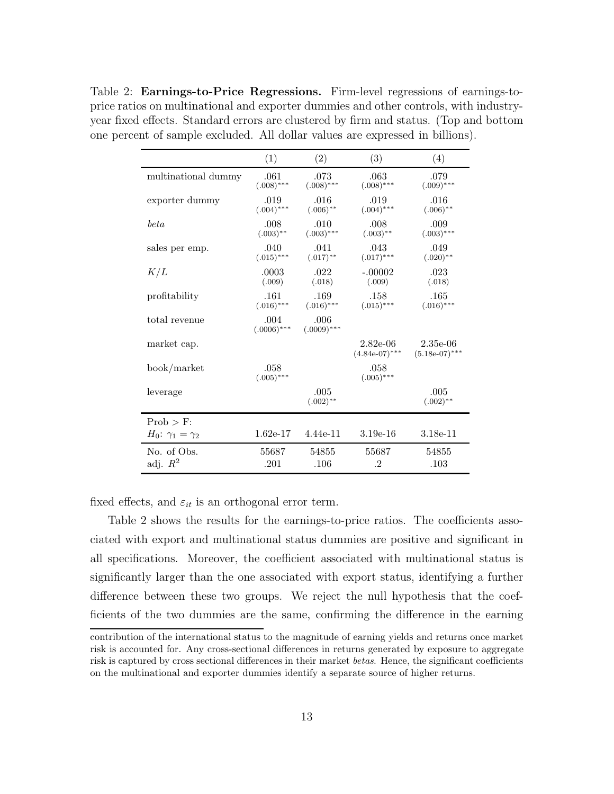Table 2: Earnings-to-Price Regressions. Firm-level regressions of earnings-toprice ratios on multinational and exporter dummies and other controls, with industryyear fixed effects. Standard errors are clustered by firm and status. (Top and bottom one percent of sample excluded. All dollar values are expressed in billions).

|                               | (1)                   | (2)                   | (3)                            | (4)                            |
|-------------------------------|-----------------------|-----------------------|--------------------------------|--------------------------------|
| multinational dummy           | .061                  | .073                  | .063                           | .079                           |
|                               | $(.008)$ ***          | $(.008)$ ***          | $(.008)$ ***                   | $(.009)$ ***                   |
| exporter dummy                | .019                  | .016                  | .019                           | .016                           |
|                               | $(.004)$ ***          | $(.006)$ **           | $(.004)$ ***                   | $(.006)$ **                    |
| beta                          | .008                  | .010                  | .008                           | .009                           |
|                               | $(.003)$ **           | $(.003)$ ***          | $(.003)$ **                    | $(.003)$ ***                   |
| sales per emp.                | .040                  | .041                  | .043                           | .049                           |
|                               | $(.015)$ ***          | $(.017)$ **           | $(.017)$ ***                   | $(.020)$ **                    |
| K/L                           | .0003                 | .022                  | $-.00002$                      | .023                           |
|                               | (.009)                | (.018)                | (.009)                         | (.018)                         |
| profitability                 | .161                  | .169                  | .158                           | .165                           |
|                               | $(.016)$ ***          | $(.016)$ ***          | $(.015)***$                    | $(.016)$ ***                   |
| total revenue                 | .004<br>$(.0006)$ *** | .006<br>$(.0009)$ *** |                                |                                |
| market cap.                   |                       |                       | $2.82e-06$<br>$(4.84e-07)$ *** | $2.35e-06$<br>$(5.18e-07)$ *** |
| book/market                   | .058<br>$(.005)$ ***  |                       | .058<br>$(.005)$ ***           |                                |
| leverage                      |                       | .005<br>$(.002)$ **   |                                | .005<br>$(.002)$ **            |
| $Prob > F$ :                  |                       |                       |                                |                                |
| $H_0$ : $\gamma_1 = \gamma_2$ | $1.62e-17$            | $4.44e-11$            | $3.19e-16$                     | 3.18e-11                       |
| No. of Obs.                   | 55687                 | 54855                 | 55687                          | 54855                          |
| adj. $R^2$                    | .201                  | .106                  | $\cdot$ <sup>2</sup>           | .103                           |

fixed effects, and  $\varepsilon_{it}$  is an orthogonal error term.

Table 2 shows the results for the earnings-to-price ratios. The coefficients associated with export and multinational status dummies are positive and significant in all specifications. Moreover, the coefficient associated with multinational status is significantly larger than the one associated with export status, identifying a further difference between these two groups. We reject the null hypothesis that the coefficients of the two dummies are the same, confirming the difference in the earning

contribution of the international status to the magnitude of earning yields and returns once market risk is accounted for. Any cross-sectional differences in returns generated by exposure to aggregate risk is captured by cross sectional differences in their market betas. Hence, the significant coefficients on the multinational and exporter dummies identify a separate source of higher returns.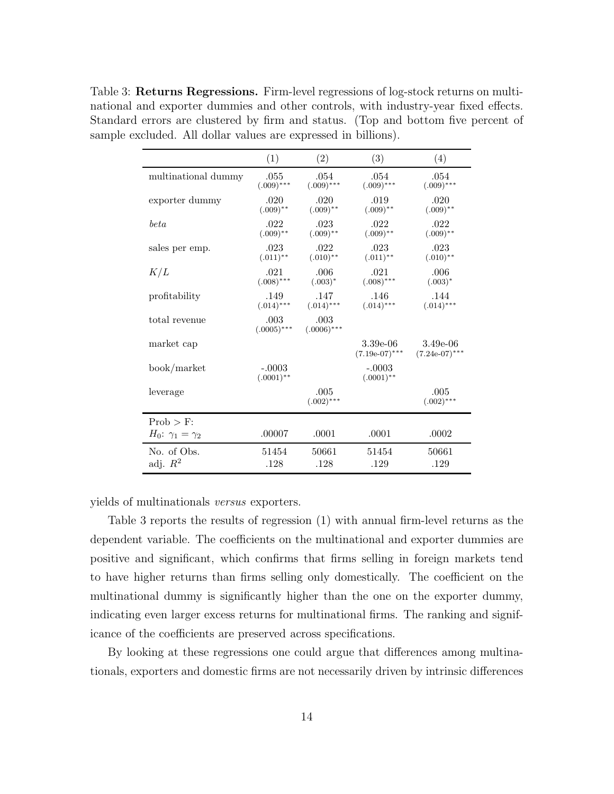Table 3: Returns Regressions. Firm-level regressions of log-stock returns on multinational and exporter dummies and other controls, with industry-year fixed effects. Standard errors are clustered by firm and status. (Top and bottom five percent of sample excluded. All dollar values are expressed in billions).

|                               | (1)                      | (2)                   | (3)                            | (4)                            |
|-------------------------------|--------------------------|-----------------------|--------------------------------|--------------------------------|
| multinational dummy           | .055                     | .054                  | .054                           | .054                           |
|                               | $(.009)$ ***             | $(.009)$ ***          | $(.009)$ ***                   | $(.009)$ ***                   |
| exporter dummy                | .020                     | .020                  | .019                           | .020                           |
|                               | $(.009)$ **              | $(.009)$ **           | $(.009)$ **                    | $(.009)$ **                    |
| beta                          | .022                     | .023                  | .022                           | .022                           |
|                               | $(.009)$ **              | $(.009)$ **           | $(.009)$ **                    | $(.009)$ **                    |
| sales per emp.                | .023                     | .022                  | .023                           | .023                           |
|                               | $(.011)$ **              | $(.010)$ **           | $(.011)$ **                    | $(.010)$ **                    |
| K/L                           | .021                     | .006                  | .021                           | .006                           |
|                               | $(.008)$ ***             | $(.003)*$             | $(.008)$ ***                   | $(.003)*$                      |
| profitability                 | .149                     | .147                  | .146                           | .144                           |
|                               | $(.014)***$              | $(.014)$ ***          | $(.014)$ ***                   | $(.014)$ ***                   |
| total revenue                 | .003<br>$(.0005)$ ***    | .003<br>$(.0006)$ *** |                                |                                |
| market cap                    |                          |                       | $3.39e-06$<br>$(7.19e-07)$ *** | $3.49e-06$<br>$(7.24e-07)$ *** |
| book/market                   | $-.0003$<br>$(.0001)$ ** |                       | $-.0003$<br>$(.0001)$ **       |                                |
| leverage                      |                          | .005<br>$(.002)$ ***  |                                | .005<br>$(.002)$ ***           |
| $Prob > F$ :                  |                          |                       |                                |                                |
| $H_0$ : $\gamma_1 = \gamma_2$ | .00007                   | .0001                 | .0001                          | .0002                          |
| No. of Obs.                   | 51454                    | 50661                 | 51454                          | 50661                          |
| adj. $R^2$                    | .128                     | .128                  | .129                           | .129                           |

yields of multinationals versus exporters.

Table 3 reports the results of regression (1) with annual firm-level returns as the dependent variable. The coefficients on the multinational and exporter dummies are positive and significant, which confirms that firms selling in foreign markets tend to have higher returns than firms selling only domestically. The coefficient on the multinational dummy is significantly higher than the one on the exporter dummy, indicating even larger excess returns for multinational firms. The ranking and significance of the coefficients are preserved across specifications.

By looking at these regressions one could argue that differences among multinationals, exporters and domestic firms are not necessarily driven by intrinsic differences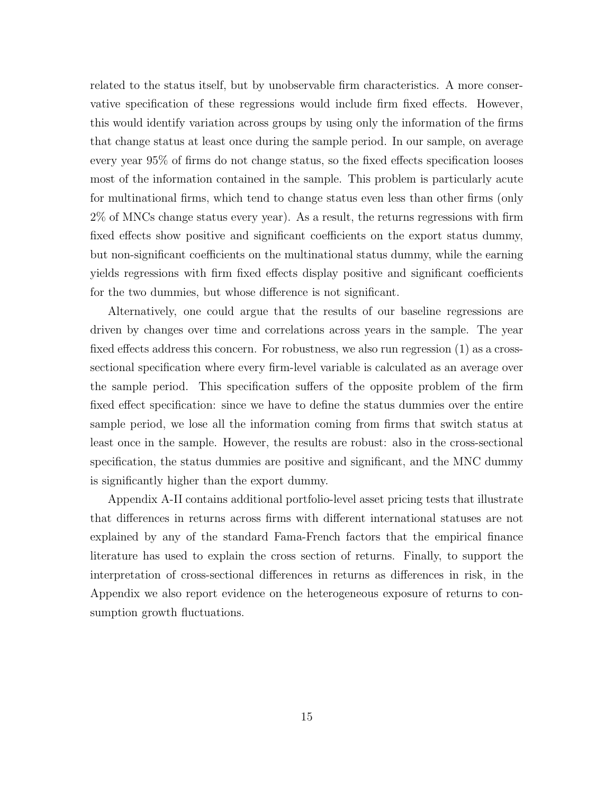related to the status itself, but by unobservable firm characteristics. A more conservative specification of these regressions would include firm fixed effects. However, this would identify variation across groups by using only the information of the firms that change status at least once during the sample period. In our sample, on average every year 95% of firms do not change status, so the fixed effects specification looses most of the information contained in the sample. This problem is particularly acute for multinational firms, which tend to change status even less than other firms (only 2% of MNCs change status every year). As a result, the returns regressions with firm fixed effects show positive and significant coefficients on the export status dummy, but non-significant coefficients on the multinational status dummy, while the earning yields regressions with firm fixed effects display positive and significant coefficients for the two dummies, but whose difference is not significant.

Alternatively, one could argue that the results of our baseline regressions are driven by changes over time and correlations across years in the sample. The year fixed effects address this concern. For robustness, we also run regression (1) as a crosssectional specification where every firm-level variable is calculated as an average over the sample period. This specification suffers of the opposite problem of the firm fixed effect specification: since we have to define the status dummies over the entire sample period, we lose all the information coming from firms that switch status at least once in the sample. However, the results are robust: also in the cross-sectional specification, the status dummies are positive and significant, and the MNC dummy is significantly higher than the export dummy.

Appendix A-II contains additional portfolio-level asset pricing tests that illustrate that differences in returns across firms with different international statuses are not explained by any of the standard Fama-French factors that the empirical finance literature has used to explain the cross section of returns. Finally, to support the interpretation of cross-sectional differences in returns as differences in risk, in the Appendix we also report evidence on the heterogeneous exposure of returns to consumption growth fluctuations.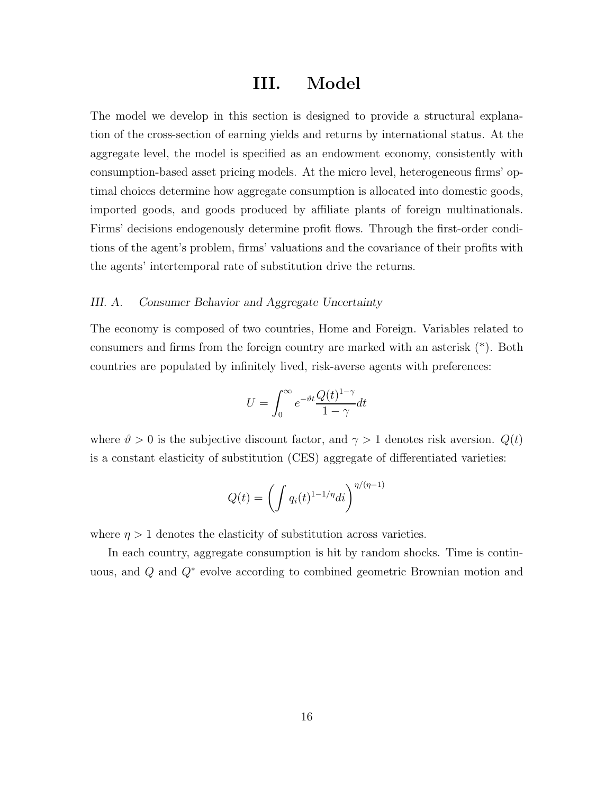### III. Model

The model we develop in this section is designed to provide a structural explanation of the cross-section of earning yields and returns by international status. At the aggregate level, the model is specified as an endowment economy, consistently with consumption-based asset pricing models. At the micro level, heterogeneous firms' optimal choices determine how aggregate consumption is allocated into domestic goods, imported goods, and goods produced by affiliate plants of foreign multinationals. Firms' decisions endogenously determine profit flows. Through the first-order conditions of the agent's problem, firms' valuations and the covariance of their profits with the agents' intertemporal rate of substitution drive the returns.

#### *III. A. Consumer Behavior and Aggregate Uncertainty*

The economy is composed of two countries, Home and Foreign. Variables related to consumers and firms from the foreign country are marked with an asterisk (\*). Both countries are populated by infinitely lived, risk-averse agents with preferences:

$$
U = \int_0^\infty e^{-\vartheta t} \frac{Q(t)^{1-\gamma}}{1-\gamma} dt
$$

where  $\vartheta > 0$  is the subjective discount factor, and  $\gamma > 1$  denotes risk aversion.  $Q(t)$ is a constant elasticity of substitution (CES) aggregate of differentiated varieties:

$$
Q(t) = \left(\int q_i(t)^{1-1/\eta} di\right)^{\eta/(\eta-1)}
$$

where  $\eta > 1$  denotes the elasticity of substitution across varieties.

In each country, aggregate consumption is hit by random shocks. Time is continuous, and Q and Q<sup>∗</sup> evolve according to combined geometric Brownian motion and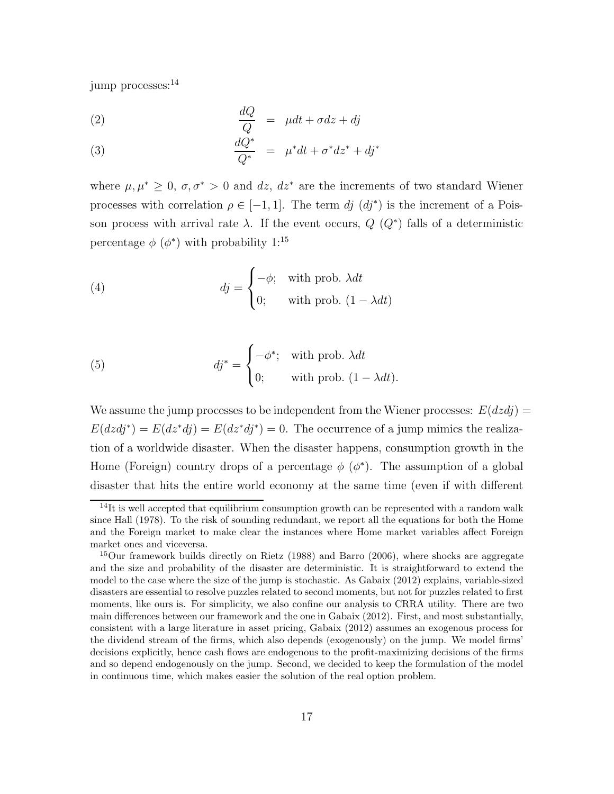jump processes:<sup>14</sup>

(2) 
$$
\frac{dQ}{Q} = \mu dt + \sigma dz + dj
$$

(3) 
$$
\frac{dQ^*}{Q^*} = \mu^* dt + \sigma^* dz^* + dj^*
$$

where  $\mu, \mu^* \geq 0$ ,  $\sigma, \sigma^* > 0$  and dz, dz<sup>\*</sup> are the increments of two standard Wiener processes with correlation  $\rho \in [-1,1]$ . The term  $dj (dj^*)$  is the increment of a Poisson process with arrival rate  $\lambda$ . If the event occurs,  $Q(Q^*)$  falls of a deterministic percentage  $\phi$  ( $\phi^*$ ) with probability 1:<sup>15</sup>

(4) 
$$
dj = \begin{cases} -\phi; & \text{with prob. } \lambda dt \\ 0; & \text{with prob. } (1 - \lambda dt) \end{cases}
$$

(5) 
$$
dj^* = \begin{cases} -\phi^*; & \text{with prob. } \lambda dt \\ 0; & \text{with prob. } (1 - \lambda dt). \end{cases}
$$

We assume the jump processes to be independent from the Wiener processes:  $E(dzdj)$  =  $E(dzdj^*) = E(dz^*dj) = E(dz^*dj^*) = 0$ . The occurrence of a jump mimics the realization of a worldwide disaster. When the disaster happens, consumption growth in the Home (Foreign) country drops of a percentage  $\phi$  ( $\phi^*$ ). The assumption of a global disaster that hits the entire world economy at the same time (even if with different

<sup>&</sup>lt;sup>14</sup>It is well accepted that equilibrium consumption growth can be represented with a random walk since Hall (1978). To the risk of sounding redundant, we report all the equations for both the Home and the Foreign market to make clear the instances where Home market variables affect Foreign market ones and viceversa.

<sup>15</sup>Our framework builds directly on Rietz (1988) and Barro (2006), where shocks are aggregate and the size and probability of the disaster are deterministic. It is straightforward to extend the model to the case where the size of the jump is stochastic. As Gabaix (2012) explains, variable-sized disasters are essential to resolve puzzles related to second moments, but not for puzzles related to first moments, like ours is. For simplicity, we also confine our analysis to CRRA utility. There are two main differences between our framework and the one in Gabaix (2012). First, and most substantially, consistent with a large literature in asset pricing, Gabaix (2012) assumes an exogenous process for the dividend stream of the firms, which also depends (exogenously) on the jump. We model firms' decisions explicitly, hence cash flows are endogenous to the profit-maximizing decisions of the firms and so depend endogenously on the jump. Second, we decided to keep the formulation of the model in continuous time, which makes easier the solution of the real option problem.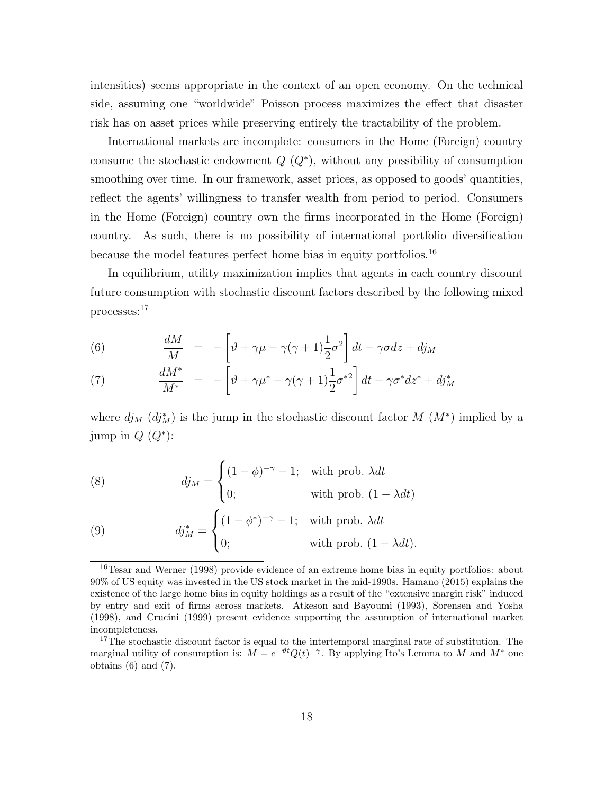intensities) seems appropriate in the context of an open economy. On the technical side, assuming one "worldwide" Poisson process maximizes the effect that disaster risk has on asset prices while preserving entirely the tractability of the problem.

International markets are incomplete: consumers in the Home (Foreign) country consume the stochastic endowment  $Q(Q^*)$ , without any possibility of consumption smoothing over time. In our framework, asset prices, as opposed to goods' quantities, reflect the agents' willingness to transfer wealth from period to period. Consumers in the Home (Foreign) country own the firms incorporated in the Home (Foreign) country. As such, there is no possibility of international portfolio diversification because the model features perfect home bias in equity portfolios. 16

In equilibrium, utility maximization implies that agents in each country discount future consumption with stochastic discount factors described by the following mixed processes:<sup>17</sup>

(6) 
$$
\frac{dM}{M} = -\left[\vartheta + \gamma\mu - \gamma(\gamma + 1)\frac{1}{2}\sigma^2\right]dt - \gamma\sigma dz + dj_M
$$

(7) 
$$
\frac{dM^*}{M^*} = -\left[\vartheta + \gamma \mu^* - \gamma (\gamma + 1) \frac{1}{2} \sigma^{*2}\right] dt - \gamma \sigma^* dz^* + dj_M^*
$$

where  $dj_M$   $(dj_M^*)$  is the jump in the stochastic discount factor  $M$   $(M^*)$  implied by a jump in  $Q(Q^*)$ :

(8) 
$$
dj_M = \begin{cases} (1 - \phi)^{-\gamma} - 1; & \text{with prob. } \lambda dt \\ 0; & \text{with prob. } (1 - \lambda dt) \end{cases}
$$

(9) 
$$
dj_M^* = \begin{cases} (1 - \phi^*)^{-\gamma} - 1; & \text{with prob. } \lambda dt \\ 0; & \text{with prob. } (1 - \lambda dt). \end{cases}
$$

<sup>16</sup>Tesar and Werner (1998) provide evidence of an extreme home bias in equity portfolios: about 90% of US equity was invested in the US stock market in the mid-1990s. Hamano (2015) explains the existence of the large home bias in equity holdings as a result of the "extensive margin risk" induced by entry and exit of firms across markets. Atkeson and Bayoumi (1993), Sorensen and Yosha (1998), and Crucini (1999) present evidence supporting the assumption of international market incompleteness.

<sup>&</sup>lt;sup>17</sup>The stochastic discount factor is equal to the intertemporal marginal rate of substitution. The marginal utility of consumption is:  $M = e^{-\vartheta t} Q(t)^{-\gamma}$ . By applying Ito's Lemma to M and  $M^*$  one obtains  $(6)$  and  $(7)$ .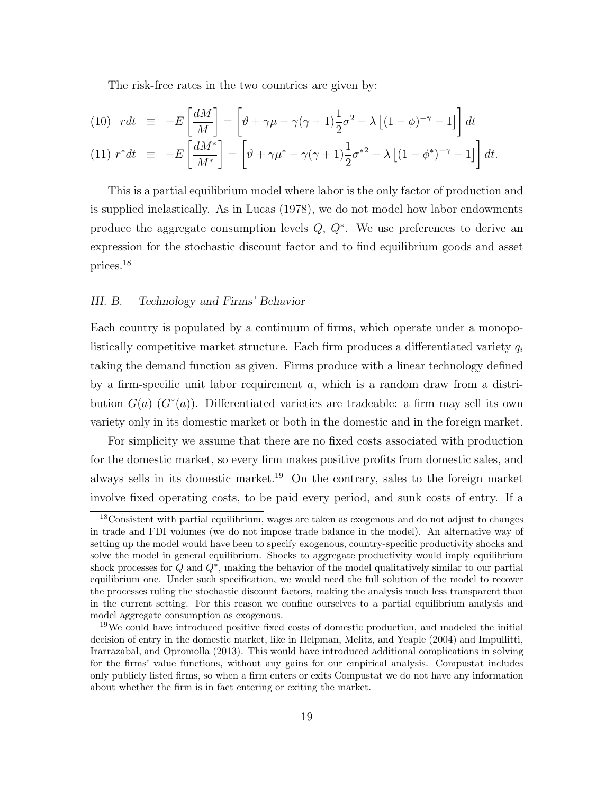The risk-free rates in the two countries are given by:

(10) 
$$
rdt \equiv -E\left[\frac{dM}{M}\right] = \left[\vartheta + \gamma\mu - \gamma(\gamma + 1)\frac{1}{2}\sigma^2 - \lambda\left[(1 - \phi)^{-\gamma} - 1\right]\right]dt
$$
  
(11) 
$$
r^*dt \equiv -E\left[\frac{dM^*}{M^*}\right] = \left[\vartheta + \gamma\mu^* - \gamma(\gamma + 1)\frac{1}{2}\sigma^{*2} - \lambda\left[(1 - \phi^*)^{-\gamma} - 1\right]\right]dt.
$$

This is a partial equilibrium model where labor is the only factor of production and is supplied inelastically. As in Lucas (1978), we do not model how labor endowments produce the aggregate consumption levels  $Q, Q^*$ . We use preferences to derive an expression for the stochastic discount factor and to find equilibrium goods and asset prices.<sup>18</sup>

#### *III. B. Technology and Firms' Behavior*

Each country is populated by a continuum of firms, which operate under a monopolistically competitive market structure. Each firm produces a differentiated variety  $q_i$ taking the demand function as given. Firms produce with a linear technology defined by a firm-specific unit labor requirement  $a$ , which is a random draw from a distribution  $G(a)$   $(G^*(a))$ . Differentiated varieties are tradeable: a firm may sell its own variety only in its domestic market or both in the domestic and in the foreign market.

For simplicity we assume that there are no fixed costs associated with production for the domestic market, so every firm makes positive profits from domestic sales, and always sells in its domestic market.<sup>19</sup> On the contrary, sales to the foreign market involve fixed operating costs, to be paid every period, and sunk costs of entry. If a

<sup>18</sup>Consistent with partial equilibrium, wages are taken as exogenous and do not adjust to changes in trade and FDI volumes (we do not impose trade balance in the model). An alternative way of setting up the model would have been to specify exogenous, country-specific productivity shocks and solve the model in general equilibrium. Shocks to aggregate productivity would imply equilibrium shock processes for Q and Q<sup>∗</sup> , making the behavior of the model qualitatively similar to our partial equilibrium one. Under such specification, we would need the full solution of the model to recover the processes ruling the stochastic discount factors, making the analysis much less transparent than in the current setting. For this reason we confine ourselves to a partial equilibrium analysis and model aggregate consumption as exogenous.

<sup>&</sup>lt;sup>19</sup>We could have introduced positive fixed costs of domestic production, and modeled the initial decision of entry in the domestic market, like in Helpman, Melitz, and Yeaple (2004) and Impullitti, Irarrazabal, and Opromolla (2013). This would have introduced additional complications in solving for the firms' value functions, without any gains for our empirical analysis. Compustat includes only publicly listed firms, so when a firm enters or exits Compustat we do not have any information about whether the firm is in fact entering or exiting the market.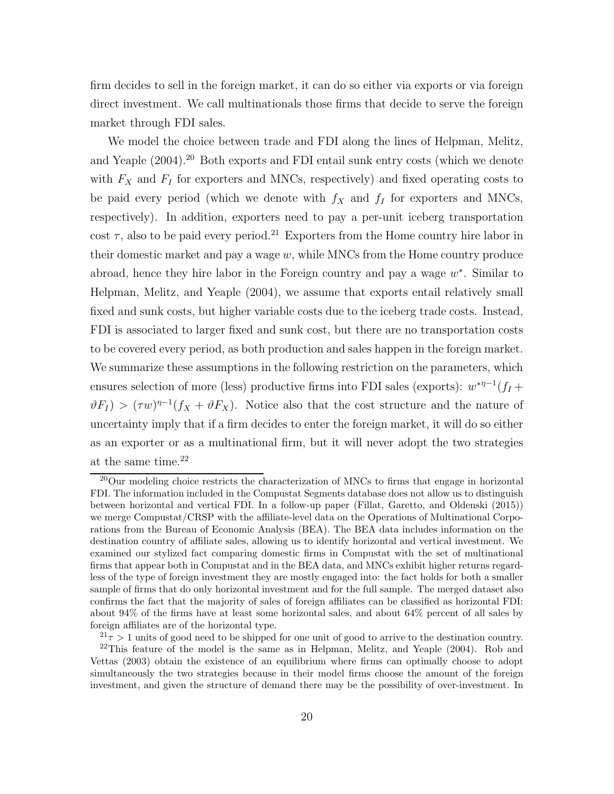firm decides to sell in the foreign market, it can do so either via exports or via foreign direct investment. We call multinationals those firms that decide to serve the foreign market through FDI sales.

We model the choice between trade and FDI along the lines of Helpman, Melitz, and Yeaple (2004).<sup>20</sup> Both exports and FDI entail sunk entry costs (which we denote with  $F_X$  and  $F_I$  for exporters and MNCs, respectively) and fixed operating costs to be paid every period (which we denote with  $f_X$  and  $f_I$  for exporters and MNCs, respectively). In addition, exporters need to pay a per-unit iceberg transportation cost  $\tau$ , also to be paid every period.<sup>21</sup> Exporters from the Home country hire labor in their domestic market and pay a wage w, while MNCs from the Home country produce abroad, hence they hire labor in the Foreign country and pay a wage  $w^*$ . Similar to Helpman, Melitz, and Yeaple (2004), we assume that exports entail relatively small fixed and sunk costs, but higher variable costs due to the iceberg trade costs. Instead, FDI is associated to larger fixed and sunk cost, but there are no transportation costs to be covered every period, as both production and sales happen in the foreign market. We summarize these assumptions in the following restriction on the parameters, which ensures selection of more (less) productive firms into FDI sales (exports):  $w^{*\eta-1}(f_I +$  $\vartheta F_I$ ) >  $(\tau w)^{\eta-1}(f_X + \vartheta F_X)$ . Notice also that the cost structure and the nature of uncertainty imply that if a firm decides to enter the foreign market, it will do so either as an exporter or as a multinational firm, but it will never adopt the two strategies at the same time.<sup>22</sup>

<sup>20</sup>Our modeling choice restricts the characterization of MNCs to firms that engage in horizontal FDI. The information included in the Compustat Segments database does not allow us to distinguish between horizontal and vertical FDI. In a follow-up paper (Fillat, Garetto, and Oldenski (2015)) we merge Compustat/CRSP with the affiliate-level data on the Operations of Multinational Corporations from the Bureau of Economic Analysis (BEA). The BEA data includes information on the destination country of affiliate sales, allowing us to identify horizontal and vertical investment. We examined our stylized fact comparing domestic firms in Compustat with the set of multinational firms that appear both in Compustat and in the BEA data, and MNCs exhibit higher returns regardless of the type of foreign investment they are mostly engaged into: the fact holds for both a smaller sample of firms that do only horizontal investment and for the full sample. The merged dataset also confirms the fact that the majority of sales of foreign affiliates can be classified as horizontal FDI: about 94% of the firms have at least some horizontal sales, and about 64% percent of all sales by foreign affiliates are of the horizontal type.

 $2^{1}\tau > 1$  units of good need to be shipped for one unit of good to arrive to the destination country.

 $22$ This feature of the model is the same as in Helpman, Melitz, and Yeaple (2004). Rob and Vettas (2003) obtain the existence of an equilibrium where firms can optimally choose to adopt simultaneously the two strategies because in their model firms choose the amount of the foreign investment, and given the structure of demand there may be the possibility of over-investment. In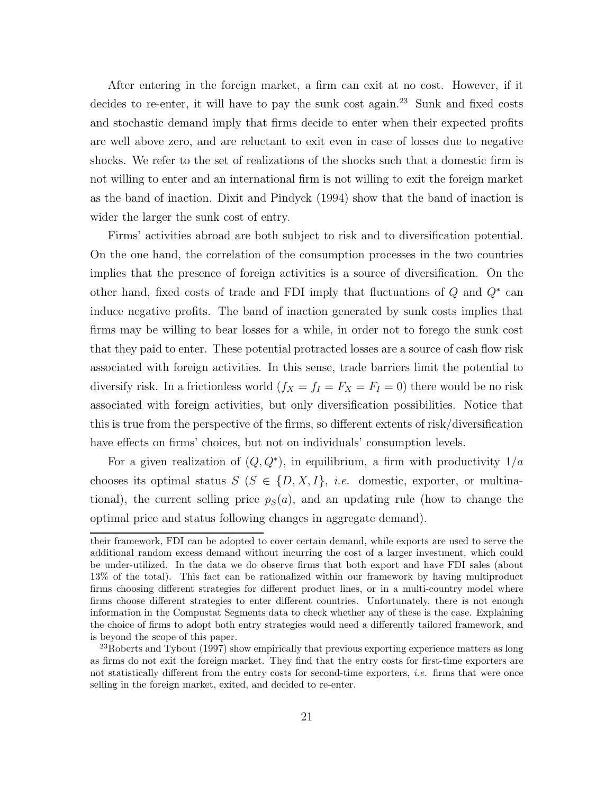After entering in the foreign market, a firm can exit at no cost. However, if it decides to re-enter, it will have to pay the sunk cost again.<sup>23</sup> Sunk and fixed costs and stochastic demand imply that firms decide to enter when their expected profits are well above zero, and are reluctant to exit even in case of losses due to negative shocks. We refer to the set of realizations of the shocks such that a domestic firm is not willing to enter and an international firm is not willing to exit the foreign market as the band of inaction. Dixit and Pindyck (1994) show that the band of inaction is wider the larger the sunk cost of entry.

Firms' activities abroad are both subject to risk and to diversification potential. On the one hand, the correlation of the consumption processes in the two countries implies that the presence of foreign activities is a source of diversification. On the other hand, fixed costs of trade and FDI imply that fluctuations of  $Q$  and  $Q^*$  can induce negative profits. The band of inaction generated by sunk costs implies that firms may be willing to bear losses for a while, in order not to forego the sunk cost that they paid to enter. These potential protracted losses are a source of cash flow risk associated with foreign activities. In this sense, trade barriers limit the potential to diversify risk. In a frictionless world  $(f_X = f_I = F_X = F_I = 0)$  there would be no risk associated with foreign activities, but only diversification possibilities. Notice that this is true from the perspective of the firms, so different extents of risk/diversification have effects on firms' choices, but not on individuals' consumption levels.

For a given realization of  $(Q, Q^*)$ , in equilibrium, a firm with productivity  $1/a$ chooses its optimal status  $S$  ( $S \in \{D, X, I\}$ , *i.e.* domestic, exporter, or multinational), the current selling price  $p<sub>S</sub>(a)$ , and an updating rule (how to change the optimal price and status following changes in aggregate demand).

their framework, FDI can be adopted to cover certain demand, while exports are used to serve the additional random excess demand without incurring the cost of a larger investment, which could be under-utilized. In the data we do observe firms that both export and have FDI sales (about 13% of the total). This fact can be rationalized within our framework by having multiproduct firms choosing different strategies for different product lines, or in a multi-country model where firms choose different strategies to enter different countries. Unfortunately, there is not enough information in the Compustat Segments data to check whether any of these is the case. Explaining the choice of firms to adopt both entry strategies would need a differently tailored framework, and is beyond the scope of this paper.

 $^{23}$ Roberts and Tybout (1997) show empirically that previous exporting experience matters as long as firms do not exit the foreign market. They find that the entry costs for first-time exporters are not statistically different from the entry costs for second-time exporters, *i.e.* firms that were once selling in the foreign market, exited, and decided to re-enter.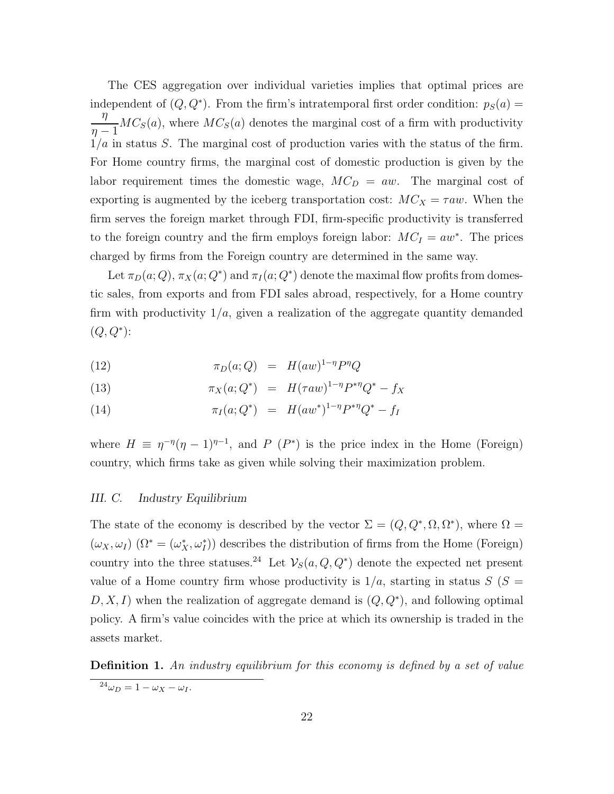The CES aggregation over individual varieties implies that optimal prices are independent of  $(Q, Q^*)$ . From the firm's intratemporal first order condition:  $p_S(a)$ η  $\frac{\gamma}{\eta-1}MC_S(a)$ , where  $MC_S(a)$  denotes the marginal cost of a firm with productivity  $1/a$  in status S. The marginal cost of production varies with the status of the firm. For Home country firms, the marginal cost of domestic production is given by the labor requirement times the domestic wage,  $MC_D = aw$ . The marginal cost of exporting is augmented by the iceberg transportation cost:  $MC_X = \tau aw$ . When the firm serves the foreign market through FDI, firm-specific productivity is transferred to the foreign country and the firm employs foreign labor:  $MC_I = aw^*$ . The prices charged by firms from the Foreign country are determined in the same way.

Let  $\pi_D(a; Q)$ ,  $\pi_X(a; Q^*)$  and  $\pi_I(a; Q^*)$  denote the maximal flow profits from domestic sales, from exports and from FDI sales abroad, respectively, for a Home country firm with productivity  $1/a$ , given a realization of the aggregate quantity demanded  $(Q, Q^*)$ :

(12) 
$$
\pi_D(a;Q) = H(aw)^{1-\eta}P^{\eta}Q
$$

(13) 
$$
\pi_X(a; Q^*) = H(\tau a w)^{1-\eta} P^{*\eta} Q^* - f_X
$$

(14) 
$$
\pi_I(a; Q^*) = H(aw^*)^{1-\eta} P^{*\eta} Q^* - f_I
$$

where  $H \equiv \eta^{-\eta}(\eta - 1)^{\eta - 1}$ , and P (P<sup>\*</sup>) is the price index in the Home (Foreign) country, which firms take as given while solving their maximization problem.

#### *III. C. Industry Equilibrium*

The state of the economy is described by the vector  $\Sigma = (Q, Q^*, \Omega, \Omega^*)$ , where  $\Omega =$  $(\omega_X, \omega_I)$   $(\Omega^* = (\omega^*_X, \omega^*_I))$  describes the distribution of firms from the Home (Foreign) country into the three statuses.<sup>24</sup> Let  $\mathcal{V}_S(a, Q, Q^*)$  denote the expected net present value of a Home country firm whose productivity is  $1/a$ , starting in status  $S(S =$  $D, X, I$  when the realization of aggregate demand is  $(Q, Q^*)$ , and following optimal policy. A firm's value coincides with the price at which its ownership is traded in the assets market.

**Definition 1.** An industry equilibrium for this economy is defined by a set of value

 $^{24}\omega_D = 1 - \omega_X - \omega_I.$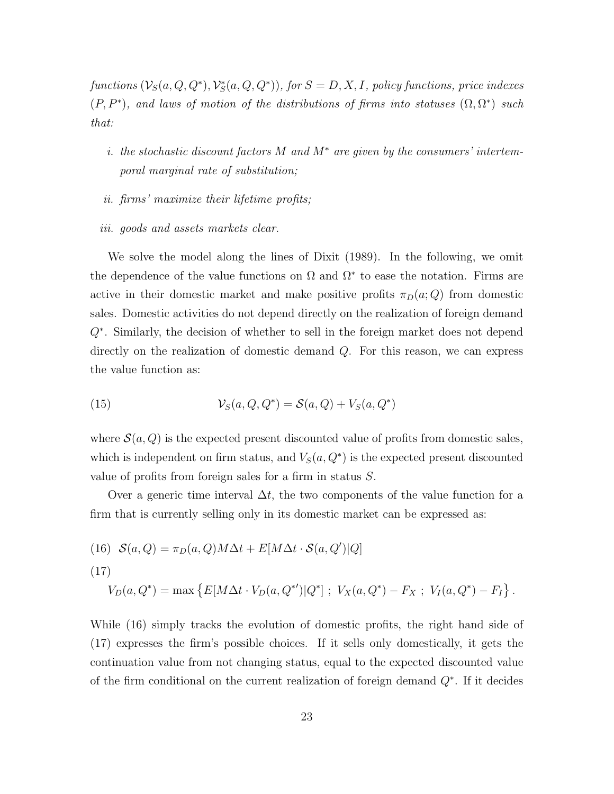$\text{functions } (\mathcal{V}_S(a, Q, Q^*), \mathcal{V}_S^*(a, Q, Q^*)), \text{ for } S = D, X, I, \text{ policy functions}, \text{ price indexes}$  $(P, P^*)$ , and laws of motion of the distributions of firms into statuses  $(\Omega, \Omega^*)$  such that:

- i. the stochastic discount factors M and  $M^*$  are given by the consumers' intertemporal marginal rate of substitution;
- ii. firms' maximize their lifetime profits;
- iii. goods and assets markets clear.

We solve the model along the lines of Dixit (1989). In the following, we omit the dependence of the value functions on  $\Omega$  and  $\Omega^*$  to ease the notation. Firms are active in their domestic market and make positive profits  $\pi_D(a; Q)$  from domestic sales. Domestic activities do not depend directly on the realization of foreign demand Q<sup>\*</sup>. Similarly, the decision of whether to sell in the foreign market does not depend directly on the realization of domestic demand Q. For this reason, we can express the value function as:

(15) 
$$
\mathcal{V}_S(a, Q, Q^*) = \mathcal{S}(a, Q) + V_S(a, Q^*)
$$

where  $S(a, Q)$  is the expected present discounted value of profits from domestic sales, which is independent on firm status, and  $V_S(a, Q^*)$  is the expected present discounted value of profits from foreign sales for a firm in status S.

Over a generic time interval  $\Delta t$ , the two components of the value function for a firm that is currently selling only in its domestic market can be expressed as:

(16) 
$$
\mathcal{S}(a, Q) = \pi_D(a, Q) M \Delta t + E[M \Delta t \cdot \mathcal{S}(a, Q')|Q]
$$
\n(17)

$$
V_D(a, Q^*) = \max \left\{ E[M\Delta t \cdot V_D(a, Q^{*'})|Q^*] \; ; \; V_X(a, Q^*) - F_X \; ; \; V_I(a, Q^*) - F_I \right\}.
$$

While (16) simply tracks the evolution of domestic profits, the right hand side of (17) expresses the firm's possible choices. If it sells only domestically, it gets the continuation value from not changing status, equal to the expected discounted value of the firm conditional on the current realization of foreign demand  $Q^*$ . If it decides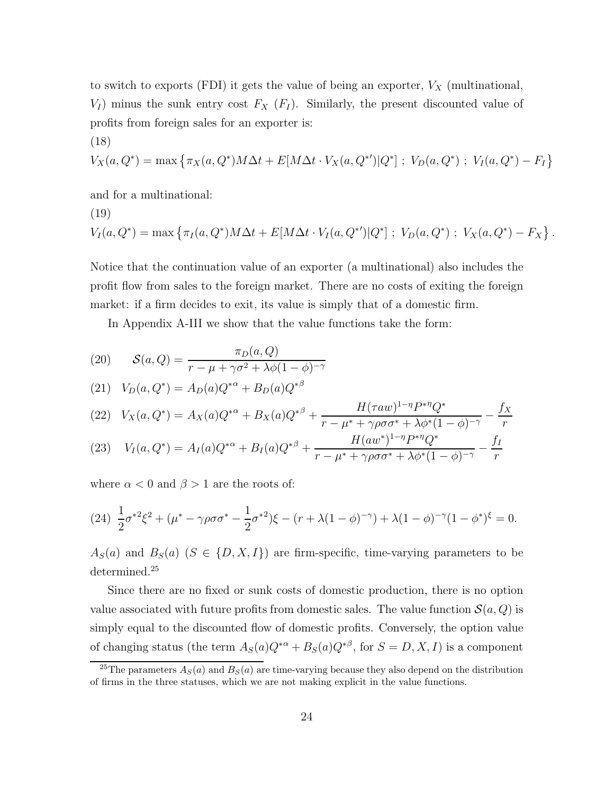to switch to exports (FDI) it gets the value of being an exporter,  $V_X$  (multinational,  $V_I$ ) minus the sunk entry cost  $F_X$  ( $F_I$ ). Similarly, the present discounted value of profits from foreign sales for an exporter is: (18)

$$
V_X(a, Q^*) = \max \{ \pi_X(a, Q^*) M \Delta t + E[M \Delta t \cdot V_X(a, Q^{*'}) | Q^*] ; V_D(a, Q^*) ; V_I(a, Q^*) - F_I \}
$$

and for a multinational:

(19)

$$
V_I(a,Q^*) = \max \{ \pi_I(a,Q^*) M \Delta t + E[M \Delta t \cdot V_I(a,Q^{*'}) | Q^*] ; V_D(a,Q^*) ; V_X(a,Q^*) - F_X \}.
$$

Notice that the continuation value of an exporter (a multinational) also includes the profit flow from sales to the foreign market. There are no costs of exiting the foreign market: if a firm decides to exit, its value is simply that of a domestic firm.

In Appendix A-III we show that the value functions take the form:

(20) 
$$
\mathcal{S}(a, Q) = \frac{\pi_D(a, Q)}{r - \mu + \gamma \sigma^2 + \lambda \phi (1 - \phi)^{-\gamma}}
$$

(21) 
$$
V_D(a, Q^*) = A_D(a)Q^{*\alpha} + B_D(a)Q^{*\beta}
$$

(22) 
$$
V_X(a, Q^*) = A_X(a)Q^{*\alpha} + B_X(a)Q^{*\beta} + \frac{H(\tau a w)^{1-\eta}P^{*\eta}Q^*}{r - \mu^* + \gamma\rho\sigma\sigma^* + \lambda\phi^*(1-\phi)^{-\gamma}} - \frac{f_X}{r}
$$

(23) 
$$
V_I(a, Q^*) = A_I(a)Q^{*\alpha} + B_I(a)Q^{*\beta} + \frac{H(aw^*)^{1-\eta}P^{*\eta}Q^*}{r - \mu^* + \gamma\rho\sigma\sigma^* + \lambda\phi^*(1-\phi)^{-\gamma}} - \frac{f_I}{r}
$$

where  $\alpha < 0$  and  $\beta > 1$  are the roots of:

$$
(24) \frac{1}{2}\sigma^{*2}\xi^{2} + (\mu^{*} - \gamma\rho\sigma\sigma^{*} - \frac{1}{2}\sigma^{*2})\xi - (r + \lambda(1-\phi)^{-\gamma}) + \lambda(1-\phi)^{-\gamma}(1-\phi^{*})^{\xi} = 0.
$$

 $A_S(a)$  and  $B_S(a)$  ( $S \in \{D, X, I\}$ ) are firm-specific, time-varying parameters to be determined.<sup>25</sup>

Since there are no fixed or sunk costs of domestic production, there is no option value associated with future profits from domestic sales. The value function  $\mathcal{S}(a, Q)$  is simply equal to the discounted flow of domestic profits. Conversely, the option value of changing status (the term  $A_S(a)Q^{*\alpha} + B_S(a)Q^{*\beta}$ , for  $S = D, X, I$ ) is a component

<sup>&</sup>lt;sup>25</sup>The parameters  $A_S(a)$  and  $B_S(a)$  are time-varying because they also depend on the distribution of firms in the three statuses, which we are not making explicit in the value functions.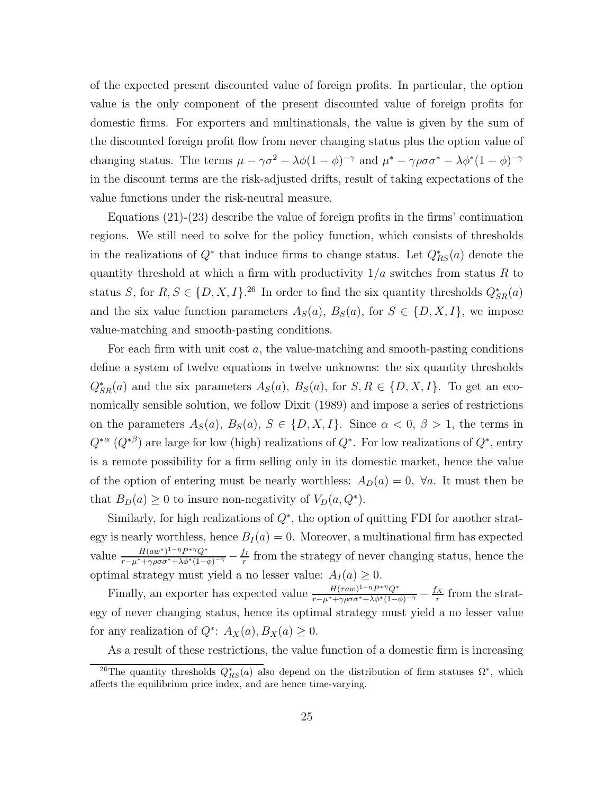of the expected present discounted value of foreign profits. In particular, the option value is the only component of the present discounted value of foreign profits for domestic firms. For exporters and multinationals, the value is given by the sum of the discounted foreign profit flow from never changing status plus the option value of changing status. The terms  $\mu - \gamma \sigma^2 - \lambda \phi (1 - \phi)^{-\gamma}$  and  $\mu^* - \gamma \rho \sigma \sigma^* - \lambda \phi^* (1 - \phi)^{-\gamma}$ in the discount terms are the risk-adjusted drifts, result of taking expectations of the value functions under the risk-neutral measure.

Equations (21)-(23) describe the value of foreign profits in the firms' continuation regions. We still need to solve for the policy function, which consists of thresholds in the realizations of  $Q^*$  that induce firms to change status. Let  $Q_{RS}^*(a)$  denote the quantity threshold at which a firm with productivity  $1/a$  switches from status R to status S, for  $R, S \in \{D, X, I\}$ .<sup>26</sup> In order to find the six quantity thresholds  $Q_{SR}^*(a)$ and the six value function parameters  $A_S(a)$ ,  $B_S(a)$ , for  $S \in \{D, X, I\}$ , we impose value-matching and smooth-pasting conditions.

For each firm with unit cost  $a$ , the value-matching and smooth-pasting conditions define a system of twelve equations in twelve unknowns: the six quantity thresholds  $Q_{SR}^*(a)$  and the six parameters  $A_S(a)$ ,  $B_S(a)$ , for  $S, R \in \{D, X, I\}$ . To get an economically sensible solution, we follow Dixit (1989) and impose a series of restrictions on the parameters  $A_S(a)$ ,  $B_S(a)$ ,  $S \in \{D, X, I\}$ . Since  $\alpha < 0$ ,  $\beta > 1$ , the terms in  $Q^{*\alpha}$   $(Q^{*\beta})$  are large for low (high) realizations of  $Q^*$ . For low realizations of  $Q^*$ , entry is a remote possibility for a firm selling only in its domestic market, hence the value of the option of entering must be nearly worthless:  $A_D(a) = 0$ ,  $\forall a$ . It must then be that  $B_D(a) \geq 0$  to insure non-negativity of  $V_D(a, Q^*)$ .

Similarly, for high realizations of  $Q^*$ , the option of quitting FDI for another strategy is nearly worthless, hence  $B_I(a) = 0$ . Moreover, a multinational firm has expected value  $\frac{H(aw^*)^{1-\eta}P^{*\eta}Q^*}{r-\mu^*+\gamma\rho\sigma\sigma^*+\lambda\phi^*(1-\phi)^{-\gamma}}-\frac{f_I}{r}$  $\frac{t_I}{r}$  from the strategy of never changing status, hence the optimal strategy must yield a no lesser value:  $A_I(a) \geq 0$ .

Finally, an exporter has expected value  $\frac{H(\tau aw)^{1-\eta}P^{*\eta}Q^*}{r-\mu^*+\gamma\rho\sigma\sigma^*+\lambda\phi^*(1-\phi)^{-\gamma}}-\frac{f_X}{r}$  $\frac{X}{r}$  from the strategy of never changing status, hence its optimal strategy must yield a no lesser value for any realization of  $Q^*$ :  $A_X(a), B_X(a) \geq 0$ .

As a result of these restrictions, the value function of a domestic firm is increasing

<sup>&</sup>lt;sup>26</sup>The quantity thresholds  $Q_{RS}^*(a)$  also depend on the distribution of firm statuses  $\Omega^*$ , which affects the equilibrium price index, and are hence time-varying.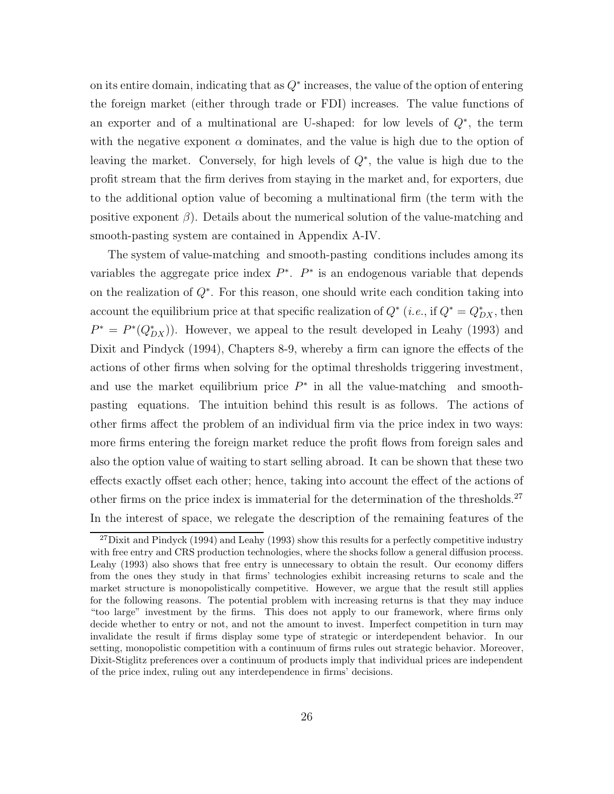on its entire domain, indicating that as  $Q^*$  increases, the value of the option of entering the foreign market (either through trade or FDI) increases. The value functions of an exporter and of a multinational are U-shaped: for low levels of  $Q^*$ , the term with the negative exponent  $\alpha$  dominates, and the value is high due to the option of leaving the market. Conversely, for high levels of  $Q^*$ , the value is high due to the profit stream that the firm derives from staying in the market and, for exporters, due to the additional option value of becoming a multinational firm (the term with the positive exponent  $\beta$ ). Details about the numerical solution of the value-matching and smooth-pasting system are contained in Appendix A-IV.

The system of value-matching and smooth-pasting conditions includes among its variables the aggregate price index  $P^*$ .  $P^*$  is an endogenous variable that depends on the realization of Q<sup>∗</sup> . For this reason, one should write each condition taking into account the equilibrium price at that specific realization of  $Q^*$  (*i.e.*, if  $Q^* = Q_{DX}^*$ , then  $P^* = P^*(Q_{DX}^*)$ . However, we appeal to the result developed in Leahy (1993) and Dixit and Pindyck (1994), Chapters 8-9, whereby a firm can ignore the effects of the actions of other firms when solving for the optimal thresholds triggering investment, and use the market equilibrium price  $P^*$  in all the value-matching and smoothpasting equations. The intuition behind this result is as follows. The actions of other firms affect the problem of an individual firm via the price index in two ways: more firms entering the foreign market reduce the profit flows from foreign sales and also the option value of waiting to start selling abroad. It can be shown that these two effects exactly offset each other; hence, taking into account the effect of the actions of other firms on the price index is immaterial for the determination of the thresholds.<sup>27</sup> In the interest of space, we relegate the description of the remaining features of the

 $27$ Dixit and Pindyck (1994) and Leahy (1993) show this results for a perfectly competitive industry with free entry and CRS production technologies, where the shocks follow a general diffusion process. Leahy (1993) also shows that free entry is unnecessary to obtain the result. Our economy differs from the ones they study in that firms' technologies exhibit increasing returns to scale and the market structure is monopolistically competitive. However, we argue that the result still applies for the following reasons. The potential problem with increasing returns is that they may induce "too large" investment by the firms. This does not apply to our framework, where firms only decide whether to entry or not, and not the amount to invest. Imperfect competition in turn may invalidate the result if firms display some type of strategic or interdependent behavior. In our setting, monopolistic competition with a continuum of firms rules out strategic behavior. Moreover, Dixit-Stiglitz preferences over a continuum of products imply that individual prices are independent of the price index, ruling out any interdependence in firms' decisions.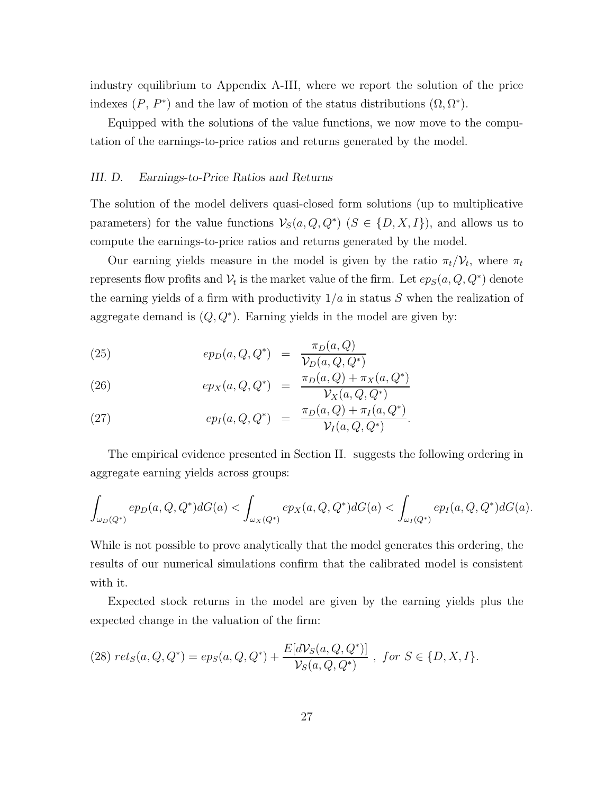industry equilibrium to Appendix A-III, where we report the solution of the price indexes  $(P, P^*)$  and the law of motion of the status distributions  $(\Omega, \Omega^*)$ .

Equipped with the solutions of the value functions, we now move to the computation of the earnings-to-price ratios and returns generated by the model.

#### *III. D. Earnings-to-Price Ratios and Returns*

The solution of the model delivers quasi-closed form solutions (up to multiplicative parameters) for the value functions  $\mathcal{V}_S(a, Q, Q^*)$   $(S \in \{D, X, I\})$ , and allows us to compute the earnings-to-price ratios and returns generated by the model.

Our earning yields measure in the model is given by the ratio  $\pi_t/\mathcal{V}_t$ , where  $\pi_t$ represents flow profits and  $\mathcal{V}_t$  is the market value of the firm. Let  $ep_S(a, Q, Q^*)$  denote the earning yields of a firm with productivity  $1/a$  in status S when the realization of aggregate demand is  $(Q, Q^*)$ . Earning yields in the model are given by:

(25) 
$$
ep_D(a, Q, Q^*) = \frac{\pi_D(a, Q)}{\mathcal{V}_D(a, Q, Q^*)}
$$

(26) 
$$
ep_X(a, Q, Q^*) = \frac{\pi_D(a, Q) + \pi_X(a, Q^*)}{\mathcal{V}_X(a, Q, Q^*)}
$$

(27) 
$$
ep_I(a, Q, Q^*) = \frac{\pi_D(a, Q) + \pi_I(a, Q^*)}{\mathcal{V}_I(a, Q, Q^*)}.
$$

The empirical evidence presented in Section II. suggests the following ordering in aggregate earning yields across groups:

$$
\int_{\omega_D(Q^*)} ep_D(a, Q, Q^*) dG(a) < \int_{\omega_X(Q^*)} ep_X(a, Q, Q^*) dG(a) < \int_{\omega_I(Q^*)} ep_I(a, Q, Q^*) dG(a).
$$

While is not possible to prove analytically that the model generates this ordering, the results of our numerical simulations confirm that the calibrated model is consistent with it.

Expected stock returns in the model are given by the earning yields plus the expected change in the valuation of the firm:

(28) 
$$
ret_S(a, Q, Q^*) = ep_S(a, Q, Q^*) + \frac{E[dV_S(a, Q, Q^*)]}{V_S(a, Q, Q^*)}
$$
, for  $S \in \{D, X, I\}$ .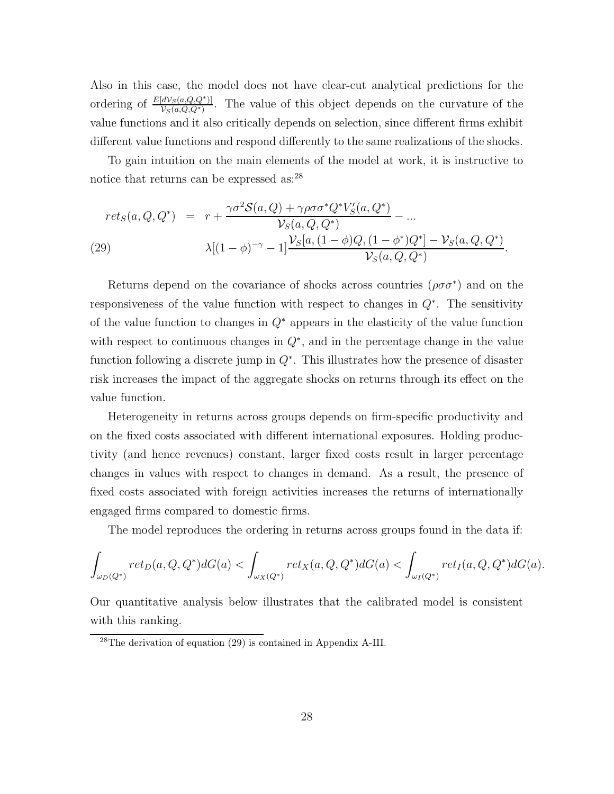Also in this case, the model does not have clear-cut analytical predictions for the ordering of  $\frac{E[dV_S(a,Q,Q^*)]}{V_S(a,Q,Q^*)}$ . The value of this object depends on the curvature of the value functions and it also critically depends on selection, since different firms exhibit different value functions and respond differently to the same realizations of the shocks.

To gain intuition on the main elements of the model at work, it is instructive to notice that returns can be expressed as:<sup>28</sup>

$$
ret_S(a, Q, Q^*) = r + \frac{\gamma \sigma^2 S(a, Q) + \gamma \rho \sigma \sigma^* Q^* V'_S(a, Q^*)}{\mathcal{V}_S(a, Q, Q^*)} - \dots
$$
  
(29)  

$$
\lambda [(1 - \phi)^{-\gamma} - 1] \frac{\mathcal{V}_S[a, (1 - \phi)Q, (1 - \phi^*)Q^*] - \mathcal{V}_S(a, Q, Q^*)}{\mathcal{V}_S(a, Q, Q^*)}.
$$

Returns depend on the covariance of shocks across countries  $(\rho \sigma \sigma^*)$  and on the responsiveness of the value function with respect to changes in Q<sup>∗</sup> . The sensitivity of the value function to changes in  $Q^*$  appears in the elasticity of the value function with respect to continuous changes in  $Q^*$ , and in the percentage change in the value function following a discrete jump in  $Q^*$ . This illustrates how the presence of disaster risk increases the impact of the aggregate shocks on returns through its effect on the value function.

Heterogeneity in returns across groups depends on firm-specific productivity and on the fixed costs associated with different international exposures. Holding productivity (and hence revenues) constant, larger fixed costs result in larger percentage changes in values with respect to changes in demand. As a result, the presence of fixed costs associated with foreign activities increases the returns of internationally engaged firms compared to domestic firms.

The model reproduces the ordering in returns across groups found in the data if:

$$
\int_{\omega_D(Q^*)} ret_D(a,Q,Q^*) dG(a) < \int_{\omega_X(Q^*)} ret_X(a,Q,Q^*) dG(a) < \int_{\omega_I(Q^*)} ret_I(a,Q,Q^*) dG(a).
$$

Our quantitative analysis below illustrates that the calibrated model is consistent with this ranking.

<sup>28</sup>The derivation of equation (29) is contained in Appendix A-III.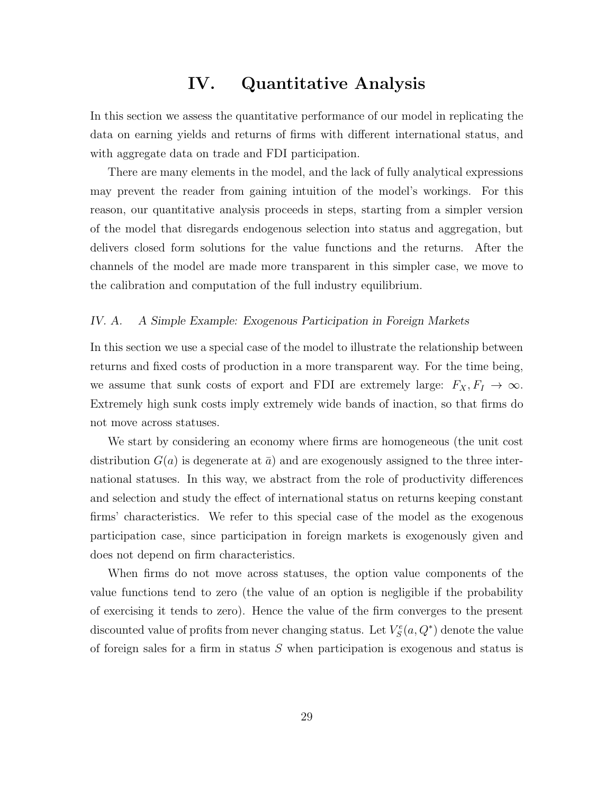## IV. Quantitative Analysis

In this section we assess the quantitative performance of our model in replicating the data on earning yields and returns of firms with different international status, and with aggregate data on trade and FDI participation.

There are many elements in the model, and the lack of fully analytical expressions may prevent the reader from gaining intuition of the model's workings. For this reason, our quantitative analysis proceeds in steps, starting from a simpler version of the model that disregards endogenous selection into status and aggregation, but delivers closed form solutions for the value functions and the returns. After the channels of the model are made more transparent in this simpler case, we move to the calibration and computation of the full industry equilibrium.

#### *IV. A. A Simple Example: Exogenous Participation in Foreign Markets*

In this section we use a special case of the model to illustrate the relationship between returns and fixed costs of production in a more transparent way. For the time being, we assume that sunk costs of export and FDI are extremely large:  $F_X, F_I \to \infty$ . Extremely high sunk costs imply extremely wide bands of inaction, so that firms do not move across statuses.

We start by considering an economy where firms are homogeneous (the unit cost distribution  $G(a)$  is degenerate at  $\bar{a}$ ) and are exogenously assigned to the three international statuses. In this way, we abstract from the role of productivity differences and selection and study the effect of international status on returns keeping constant firms' characteristics. We refer to this special case of the model as the exogenous participation case, since participation in foreign markets is exogenously given and does not depend on firm characteristics.

When firms do not move across statuses, the option value components of the value functions tend to zero (the value of an option is negligible if the probability of exercising it tends to zero). Hence the value of the firm converges to the present discounted value of profits from never changing status. Let  $V_S^e(a, Q^*)$  denote the value of foreign sales for a firm in status  $S$  when participation is exogenous and status is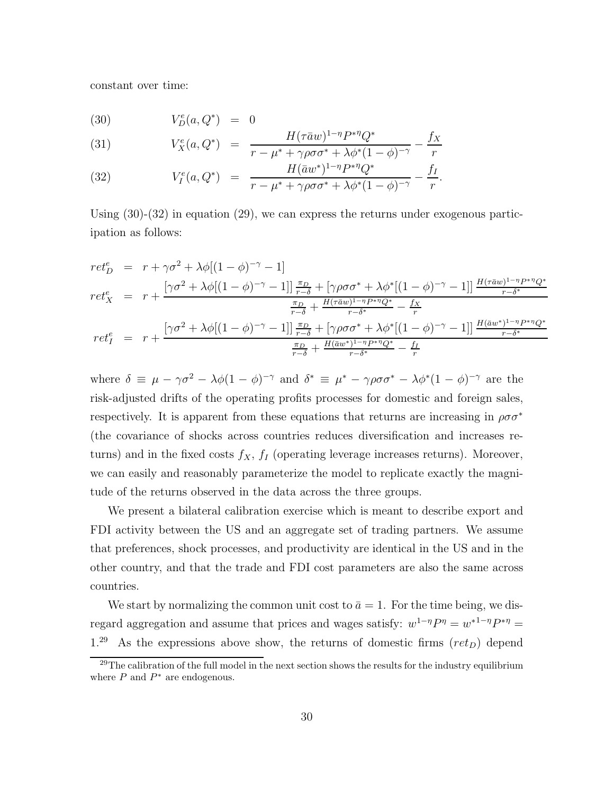constant over time:

$$
(30) \tV_D^e(a, Q^*) = 0
$$

(31) 
$$
V_X^e(a, Q^*) = \frac{H(\tau \bar{a}w)^{1-\eta} P^{*\eta} Q^*}{r - \mu^* + \gamma \rho \sigma \sigma^* + \lambda \phi^* (1 - \phi)^{-\gamma}} - \frac{f_X}{r}
$$

(32) 
$$
V_I^e(a,Q^*) = \frac{H(\bar{a}w^*)^{1-\eta}P^{*\eta}Q^*}{r-\mu^*+\gamma\rho\sigma\sigma^*+\lambda\phi^*(1-\phi)^{-\gamma}}-\frac{f_I}{r}.
$$

Using  $(30)-(32)$  in equation  $(29)$ , we can express the returns under exogenous participation as follows:

$$
ret_D^e = r + \gamma \sigma^2 + \lambda \phi [(1 - \phi)^{-\gamma} - 1]
$$
  
\n
$$
ret_X^e = r + \frac{[\gamma \sigma^2 + \lambda \phi [(1 - \phi)^{-\gamma} - 1]] \frac{\pi_D}{r - \delta} + [\gamma \rho \sigma \sigma^* + \lambda \phi^* [(1 - \phi)^{-\gamma} - 1]] \frac{H(\tau \bar{a}w)^{1 - \eta} P^{*\eta} Q^*}{r - \delta^*}
$$
  
\n
$$
ret_I^e = r + \frac{[\gamma \sigma^2 + \lambda \phi [(1 - \phi)^{-\gamma} - 1]] \frac{\pi_D}{r - \delta} + [\gamma \rho \sigma \sigma^* + \lambda \phi^* [(1 - \phi)^{-\gamma} - 1]] \frac{H(\bar{a}w^*)^{1 - \eta} P^{*\eta} Q^*}{r - \delta^*}
$$
  
\n
$$
ret_I^e = r + \frac{[\gamma \sigma^2 + \lambda \phi [(1 - \phi)^{-\gamma} - 1]] \frac{\pi_D}{r - \delta} + [\gamma \rho \sigma \sigma^* + \lambda \phi^* [(1 - \phi)^{-\gamma} - 1]] \frac{H(\bar{a}w^*)^{1 - \eta} P^{*\eta} Q^*}{r - \delta^*}
$$

where  $\delta \equiv \mu - \gamma \sigma^2 - \lambda \phi (1 - \phi)^{-\gamma}$  and  $\delta^* \equiv \mu^* - \gamma \rho \sigma \sigma^* - \lambda \phi^* (1 - \phi)^{-\gamma}$  are the risk-adjusted drifts of the operating profits processes for domestic and foreign sales, respectively. It is apparent from these equations that returns are increasing in  $\rho \sigma \sigma^*$ (the covariance of shocks across countries reduces diversification and increases returns) and in the fixed costs  $f_X$ ,  $f_I$  (operating leverage increases returns). Moreover, we can easily and reasonably parameterize the model to replicate exactly the magnitude of the returns observed in the data across the three groups.

We present a bilateral calibration exercise which is meant to describe export and FDI activity between the US and an aggregate set of trading partners. We assume that preferences, shock processes, and productivity are identical in the US and in the other country, and that the trade and FDI cost parameters are also the same across countries.

We start by normalizing the common unit cost to  $\bar{a} = 1$ . For the time being, we disregard aggregation and assume that prices and wages satisfy:  $w^{1-\eta}P^{\eta} = w^{*1-\eta}P^{*\eta} =$  $1.^{29}$  As the expressions above show, the returns of domestic firms  $(ret_D)$  depend

 $29$ The calibration of the full model in the next section shows the results for the industry equilibrium where  $P$  and  $P^*$  are endogenous.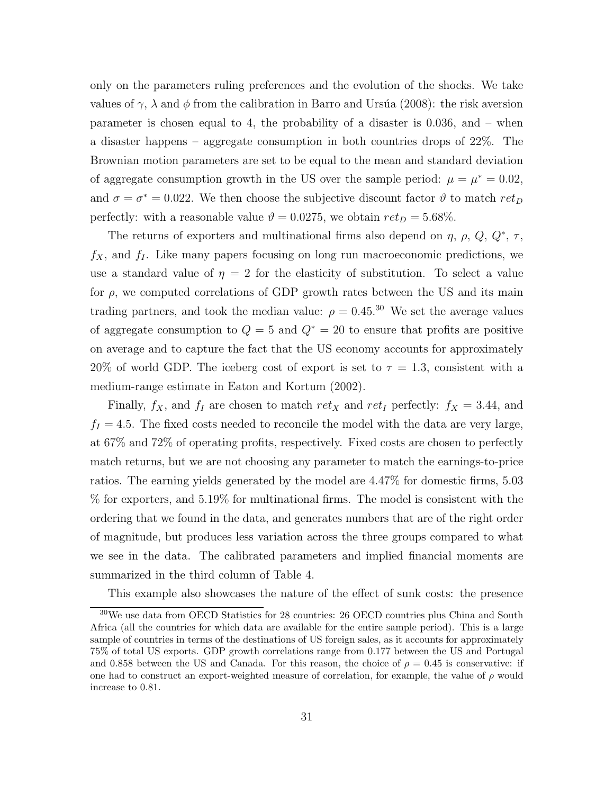only on the parameters ruling preferences and the evolution of the shocks. We take values of  $\gamma$ ,  $\lambda$  and  $\phi$  from the calibration in Barro and Ursúa (2008): the risk aversion parameter is chosen equal to 4, the probability of a disaster is 0.036, and – when a disaster happens – aggregate consumption in both countries drops of 22%. The Brownian motion parameters are set to be equal to the mean and standard deviation of aggregate consumption growth in the US over the sample period:  $\mu = \mu^* = 0.02$ , and  $\sigma = \sigma^* = 0.022$ . We then choose the subjective discount factor  $\vartheta$  to match  $ret_D$ perfectly: with a reasonable value  $\vartheta = 0.0275$ , we obtain  $ret_D = 5.68\%$ .

The returns of exporters and multinational firms also depend on  $\eta$ ,  $\rho$ ,  $Q$ ,  $Q^*$ ,  $\tau$ ,  $f_X$ , and  $f_I$ . Like many papers focusing on long run macroeconomic predictions, we use a standard value of  $\eta = 2$  for the elasticity of substitution. To select a value for  $\rho$ , we computed correlations of GDP growth rates between the US and its main trading partners, and took the median value:  $\rho = 0.45^{30}$  We set the average values of aggregate consumption to  $Q = 5$  and  $Q^* = 20$  to ensure that profits are positive on average and to capture the fact that the US economy accounts for approximately 20% of world GDP. The iceberg cost of export is set to  $\tau = 1.3$ , consistent with a medium-range estimate in Eaton and Kortum (2002).

Finally,  $f_X$ , and  $f_I$  are chosen to match  $ret_X$  and  $ret_I$  perfectly:  $f_X = 3.44$ , and  $f_I = 4.5$ . The fixed costs needed to reconcile the model with the data are very large, at 67% and 72% of operating profits, respectively. Fixed costs are chosen to perfectly match returns, but we are not choosing any parameter to match the earnings-to-price ratios. The earning yields generated by the model are 4.47% for domestic firms, 5.03 % for exporters, and 5.19% for multinational firms. The model is consistent with the ordering that we found in the data, and generates numbers that are of the right order of magnitude, but produces less variation across the three groups compared to what we see in the data. The calibrated parameters and implied financial moments are summarized in the third column of Table 4.

This example also showcases the nature of the effect of sunk costs: the presence

<sup>30</sup>We use data from OECD Statistics for 28 countries: 26 OECD countries plus China and South Africa (all the countries for which data are available for the entire sample period). This is a large sample of countries in terms of the destinations of US foreign sales, as it accounts for approximately 75% of total US exports. GDP growth correlations range from 0.177 between the US and Portugal and 0.858 between the US and Canada. For this reason, the choice of  $\rho = 0.45$  is conservative: if one had to construct an export-weighted measure of correlation, for example, the value of  $\rho$  would increase to 0.81.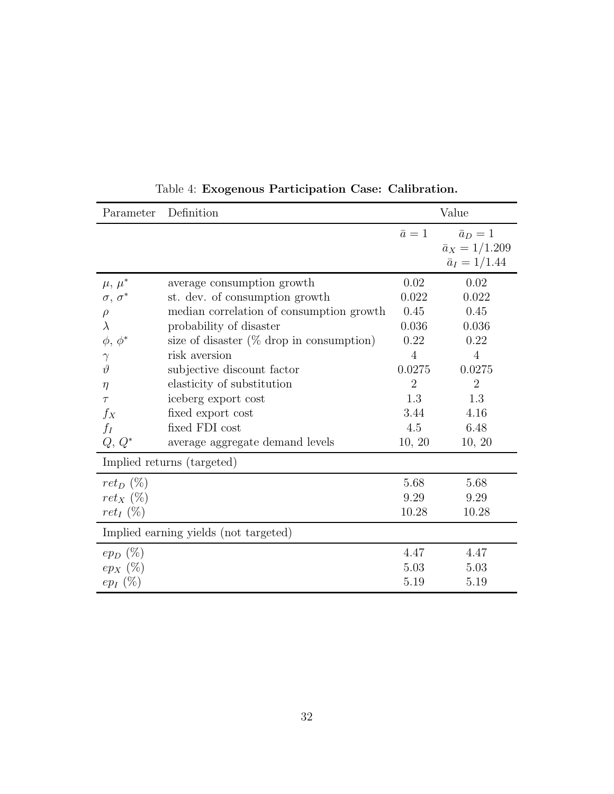| Parameter                             | Definition                                  | Value          |                       |  |
|---------------------------------------|---------------------------------------------|----------------|-----------------------|--|
|                                       |                                             | $\bar{a}=1$    | $\bar{a}_D=1$         |  |
|                                       |                                             |                | $\bar{a}_X = 1/1.209$ |  |
|                                       |                                             |                | $\bar{a}_I = 1/1.44$  |  |
| $\mu,\,\mu^*$                         | average consumption growth                  | 0.02           | 0.02                  |  |
| $\sigma,\,\sigma^*$                   | st. dev. of consumption growth              | 0.022          | 0.022                 |  |
| $\rho$                                | median correlation of consumption growth    | 0.45           | 0.45                  |  |
| $\lambda$                             | probability of disaster                     | 0.036          | 0.036                 |  |
| $\phi, \phi^*$                        | size of disaster $(\%$ drop in consumption) | 0.22           | 0.22                  |  |
| $\gamma$                              | risk aversion                               | $\overline{4}$ | $\overline{4}$        |  |
| $\eta$                                | subjective discount factor                  | 0.0275         | 0.0275                |  |
| $\eta$                                | elasticity of substitution                  | $\overline{2}$ | $\overline{2}$        |  |
| $\tau$                                | iceberg export cost                         | 1.3            | 1.3                   |  |
| $f_X$                                 | fixed export cost                           | 3.44           | 4.16                  |  |
| $f_I$                                 | fixed FDI cost                              | 4.5            | 6.48                  |  |
| $Q, Q^*$                              | average aggregate demand levels             | 10, 20         | 10, 20                |  |
| Implied returns (targeted)            |                                             |                |                       |  |
| $ret_D(\%)$                           |                                             | 5.68           | 5.68                  |  |
| $ret_X(\%)$                           |                                             | 9.29           | 9.29                  |  |
| $ret_I(\%)$                           |                                             | 10.28          | 10.28                 |  |
| Implied earning yields (not targeted) |                                             |                |                       |  |
| $ep_D(\%)$                            |                                             | 4.47           | 4.47                  |  |
| $ep_X(\%)$                            |                                             | 5.03           | 5.03                  |  |
| $ep_I(\%)$                            |                                             | 5.19           | 5.19                  |  |

Table 4: Exogenous Participation Case: Calibration.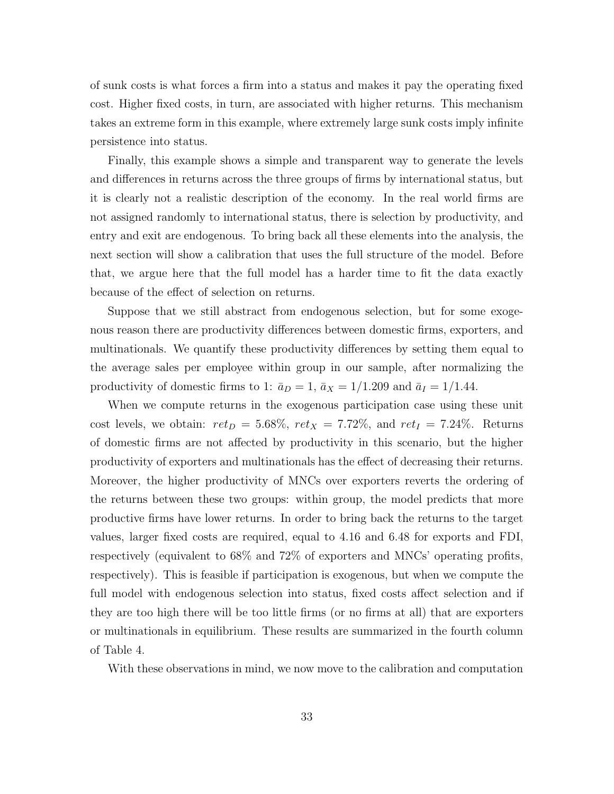of sunk costs is what forces a firm into a status and makes it pay the operating fixed cost. Higher fixed costs, in turn, are associated with higher returns. This mechanism takes an extreme form in this example, where extremely large sunk costs imply infinite persistence into status.

Finally, this example shows a simple and transparent way to generate the levels and differences in returns across the three groups of firms by international status, but it is clearly not a realistic description of the economy. In the real world firms are not assigned randomly to international status, there is selection by productivity, and entry and exit are endogenous. To bring back all these elements into the analysis, the next section will show a calibration that uses the full structure of the model. Before that, we argue here that the full model has a harder time to fit the data exactly because of the effect of selection on returns.

Suppose that we still abstract from endogenous selection, but for some exogenous reason there are productivity differences between domestic firms, exporters, and multinationals. We quantify these productivity differences by setting them equal to the average sales per employee within group in our sample, after normalizing the productivity of domestic firms to 1:  $\bar{a}_D = 1$ ,  $\bar{a}_X = 1/1.209$  and  $\bar{a}_I = 1/1.44$ .

When we compute returns in the exogenous participation case using these unit cost levels, we obtain:  $ret_D = 5.68\%, ret_X = 7.72\%,$  and  $ret_I = 7.24\%.$  Returns of domestic firms are not affected by productivity in this scenario, but the higher productivity of exporters and multinationals has the effect of decreasing their returns. Moreover, the higher productivity of MNCs over exporters reverts the ordering of the returns between these two groups: within group, the model predicts that more productive firms have lower returns. In order to bring back the returns to the target values, larger fixed costs are required, equal to 4.16 and 6.48 for exports and FDI, respectively (equivalent to 68% and 72% of exporters and MNCs' operating profits, respectively). This is feasible if participation is exogenous, but when we compute the full model with endogenous selection into status, fixed costs affect selection and if they are too high there will be too little firms (or no firms at all) that are exporters or multinationals in equilibrium. These results are summarized in the fourth column of Table 4.

With these observations in mind, we now move to the calibration and computation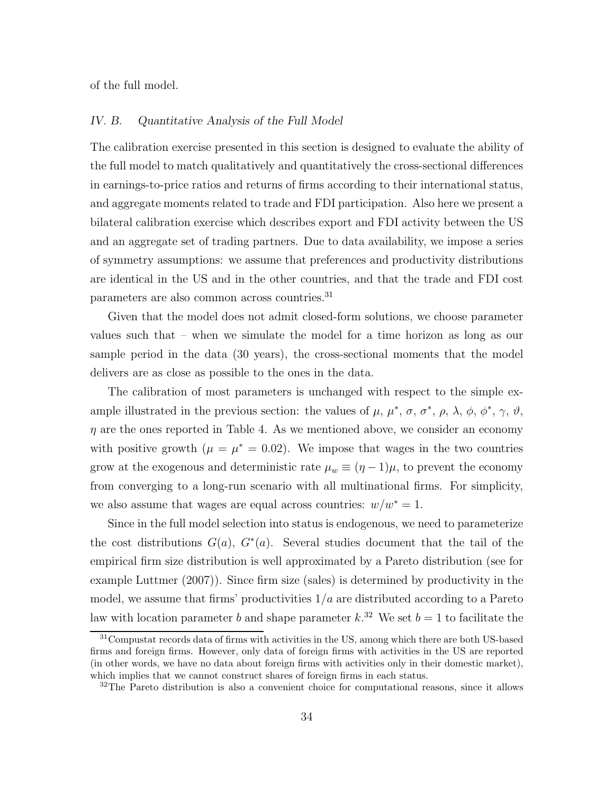of the full model.

#### *IV. B. Quantitative Analysis of the Full Model*

The calibration exercise presented in this section is designed to evaluate the ability of the full model to match qualitatively and quantitatively the cross-sectional differences in earnings-to-price ratios and returns of firms according to their international status, and aggregate moments related to trade and FDI participation. Also here we present a bilateral calibration exercise which describes export and FDI activity between the US and an aggregate set of trading partners. Due to data availability, we impose a series of symmetry assumptions: we assume that preferences and productivity distributions are identical in the US and in the other countries, and that the trade and FDI cost parameters are also common across countries.<sup>31</sup>

Given that the model does not admit closed-form solutions, we choose parameter values such that – when we simulate the model for a time horizon as long as our sample period in the data (30 years), the cross-sectional moments that the model delivers are as close as possible to the ones in the data.

The calibration of most parameters is unchanged with respect to the simple example illustrated in the previous section: the values of  $\mu$ ,  $\mu^*$ ,  $\sigma$ ,  $\sigma^*$ ,  $\rho$ ,  $\lambda$ ,  $\phi$ ,  $\phi^*$ ,  $\gamma$ ,  $\vartheta$ ,  $\eta$  are the ones reported in Table 4. As we mentioned above, we consider an economy with positive growth  $(\mu = \mu^* = 0.02)$ . We impose that wages in the two countries grow at the exogenous and deterministic rate  $\mu_w \equiv (\eta - 1)\mu$ , to prevent the economy from converging to a long-run scenario with all multinational firms. For simplicity, we also assume that wages are equal across countries:  $w/w^* = 1$ .

Since in the full model selection into status is endogenous, we need to parameterize the cost distributions  $G(a)$ ,  $G^*(a)$ . Several studies document that the tail of the empirical firm size distribution is well approximated by a Pareto distribution (see for example Luttmer (2007)). Since firm size (sales) is determined by productivity in the model, we assume that firms' productivities  $1/a$  are distributed according to a Pareto law with location parameter b and shape parameter  $k^{32}$ . We set  $b = 1$  to facilitate the

<sup>31</sup>Compustat records data of firms with activities in the US, among which there are both US-based firms and foreign firms. However, only data of foreign firms with activities in the US are reported (in other words, we have no data about foreign firms with activities only in their domestic market), which implies that we cannot construct shares of foreign firms in each status.

 $32$ The Pareto distribution is also a convenient choice for computational reasons, since it allows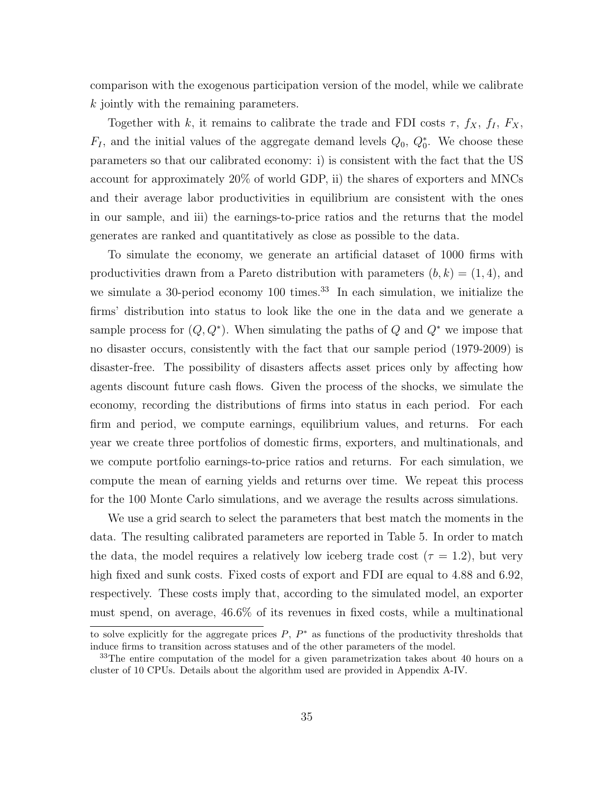comparison with the exogenous participation version of the model, while we calibrate k jointly with the remaining parameters.

Together with k, it remains to calibrate the trade and FDI costs  $\tau$ ,  $f_X$ ,  $f_I$ ,  $F_X$ ,  $F_I$ , and the initial values of the aggregate demand levels  $Q_0$ ,  $Q_0^*$ . We choose these parameters so that our calibrated economy: i) is consistent with the fact that the US account for approximately 20% of world GDP, ii) the shares of exporters and MNCs and their average labor productivities in equilibrium are consistent with the ones in our sample, and iii) the earnings-to-price ratios and the returns that the model generates are ranked and quantitatively as close as possible to the data.

To simulate the economy, we generate an artificial dataset of 1000 firms with productivities drawn from a Pareto distribution with parameters  $(b, k) = (1, 4)$ , and we simulate a 30-period economy 100 times.<sup>33</sup> In each simulation, we initialize the firms' distribution into status to look like the one in the data and we generate a sample process for  $(Q, Q^*)$ . When simulating the paths of Q and  $Q^*$  we impose that no disaster occurs, consistently with the fact that our sample period (1979-2009) is disaster-free. The possibility of disasters affects asset prices only by affecting how agents discount future cash flows. Given the process of the shocks, we simulate the economy, recording the distributions of firms into status in each period. For each firm and period, we compute earnings, equilibrium values, and returns. For each year we create three portfolios of domestic firms, exporters, and multinationals, and we compute portfolio earnings-to-price ratios and returns. For each simulation, we compute the mean of earning yields and returns over time. We repeat this process for the 100 Monte Carlo simulations, and we average the results across simulations.

We use a grid search to select the parameters that best match the moments in the data. The resulting calibrated parameters are reported in Table 5. In order to match the data, the model requires a relatively low iceberg trade cost ( $\tau = 1.2$ ), but very high fixed and sunk costs. Fixed costs of export and FDI are equal to 4.88 and 6.92, respectively. These costs imply that, according to the simulated model, an exporter must spend, on average, 46.6% of its revenues in fixed costs, while a multinational

to solve explicitly for the aggregate prices  $P, P^*$  as functions of the productivity thresholds that induce firms to transition across statuses and of the other parameters of the model.

<sup>33</sup>The entire computation of the model for a given parametrization takes about 40 hours on a cluster of 10 CPUs. Details about the algorithm used are provided in Appendix A-IV.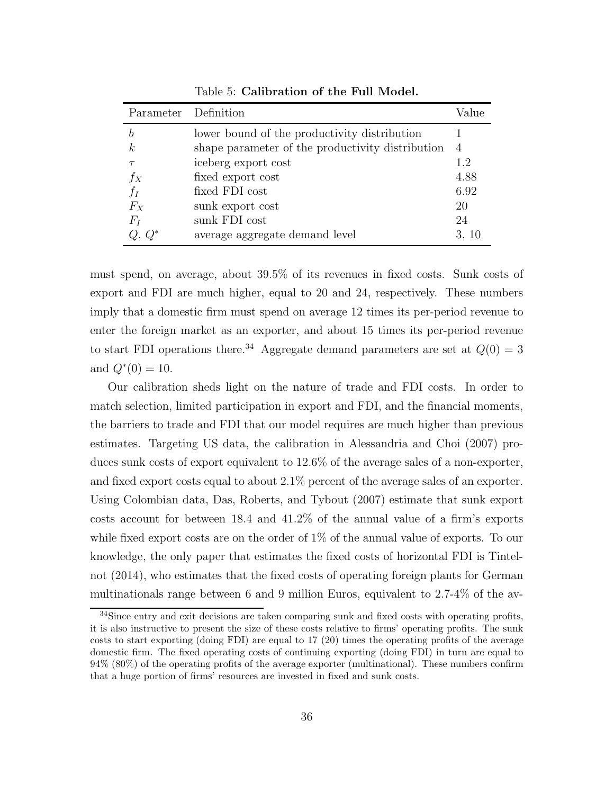| Parameter Definition |                                                  | Value          |
|----------------------|--------------------------------------------------|----------------|
|                      | lower bound of the productivity distribution     |                |
| $\boldsymbol{k}$     | shape parameter of the productivity distribution | $\overline{4}$ |
|                      | iceberg export cost                              | 1.2            |
| $f_X$                | fixed export cost                                | 4.88           |
| $f_I$                | fixed FDI cost                                   | 6.92           |
| $F_X$                | sunk export cost                                 | 20             |
| $F_I$                | sunk FDI cost                                    | 24             |
|                      | average aggregate demand level                   | 3, 10          |

Table 5: Calibration of the Full Model.

must spend, on average, about 39.5% of its revenues in fixed costs. Sunk costs of export and FDI are much higher, equal to 20 and 24, respectively. These numbers imply that a domestic firm must spend on average 12 times its per-period revenue to enter the foreign market as an exporter, and about 15 times its per-period revenue to start FDI operations there.<sup>34</sup> Aggregate demand parameters are set at  $Q(0) = 3$ and  $Q^*(0) = 10$ .

Our calibration sheds light on the nature of trade and FDI costs. In order to match selection, limited participation in export and FDI, and the financial moments, the barriers to trade and FDI that our model requires are much higher than previous estimates. Targeting US data, the calibration in Alessandria and Choi (2007) produces sunk costs of export equivalent to 12.6% of the average sales of a non-exporter, and fixed export costs equal to about 2.1% percent of the average sales of an exporter. Using Colombian data, Das, Roberts, and Tybout (2007) estimate that sunk export costs account for between 18.4 and 41.2% of the annual value of a firm's exports while fixed export costs are on the order of 1% of the annual value of exports. To our knowledge, the only paper that estimates the fixed costs of horizontal FDI is Tintelnot (2014), who estimates that the fixed costs of operating foreign plants for German multinationals range between 6 and 9 million Euros, equivalent to 2.7-4% of the av-

<sup>&</sup>lt;sup>34</sup>Since entry and exit decisions are taken comparing sunk and fixed costs with operating profits, it is also instructive to present the size of these costs relative to firms' operating profits. The sunk costs to start exporting (doing FDI) are equal to 17 (20) times the operating profits of the average domestic firm. The fixed operating costs of continuing exporting (doing FDI) in turn are equal to 94% (80%) of the operating profits of the average exporter (multinational). These numbers confirm that a huge portion of firms' resources are invested in fixed and sunk costs.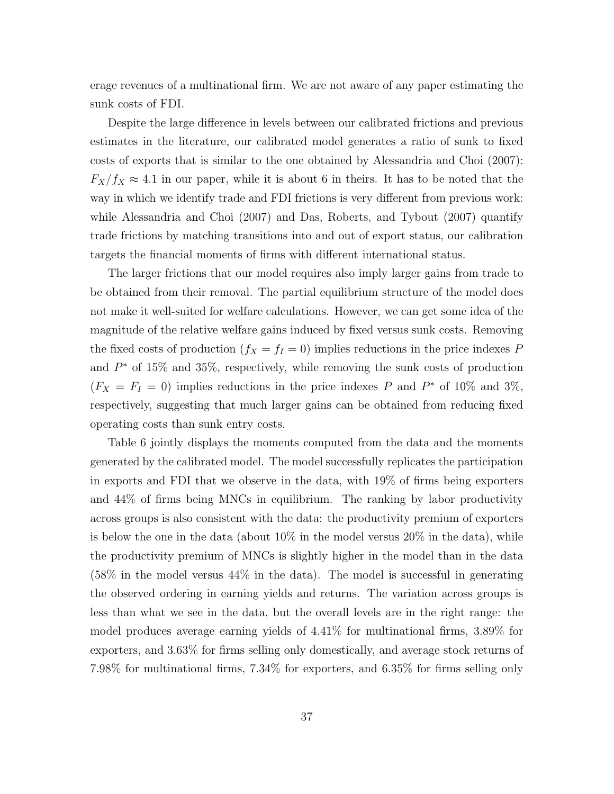erage revenues of a multinational firm. We are not aware of any paper estimating the sunk costs of FDI.

Despite the large difference in levels between our calibrated frictions and previous estimates in the literature, our calibrated model generates a ratio of sunk to fixed costs of exports that is similar to the one obtained by Alessandria and Choi (2007):  $F_X/f_X \approx 4.1$  in our paper, while it is about 6 in theirs. It has to be noted that the way in which we identify trade and FDI frictions is very different from previous work: while Alessandria and Choi (2007) and Das, Roberts, and Tybout (2007) quantify trade frictions by matching transitions into and out of export status, our calibration targets the financial moments of firms with different international status.

The larger frictions that our model requires also imply larger gains from trade to be obtained from their removal. The partial equilibrium structure of the model does not make it well-suited for welfare calculations. However, we can get some idea of the magnitude of the relative welfare gains induced by fixed versus sunk costs. Removing the fixed costs of production  $(f_X = f_I = 0)$  implies reductions in the price indexes P and  $P^*$  of 15% and 35%, respectively, while removing the sunk costs of production  $(F_X = F_I = 0)$  implies reductions in the price indexes P and P<sup>\*</sup> of 10\% and 3\%, respectively, suggesting that much larger gains can be obtained from reducing fixed operating costs than sunk entry costs.

Table 6 jointly displays the moments computed from the data and the moments generated by the calibrated model. The model successfully replicates the participation in exports and FDI that we observe in the data, with 19% of firms being exporters and 44% of firms being MNCs in equilibrium. The ranking by labor productivity across groups is also consistent with the data: the productivity premium of exporters is below the one in the data (about  $10\%$  in the model versus  $20\%$  in the data), while the productivity premium of MNCs is slightly higher in the model than in the data (58% in the model versus 44% in the data). The model is successful in generating the observed ordering in earning yields and returns. The variation across groups is less than what we see in the data, but the overall levels are in the right range: the model produces average earning yields of 4.41% for multinational firms, 3.89% for exporters, and 3.63% for firms selling only domestically, and average stock returns of 7.98% for multinational firms, 7.34% for exporters, and 6.35% for firms selling only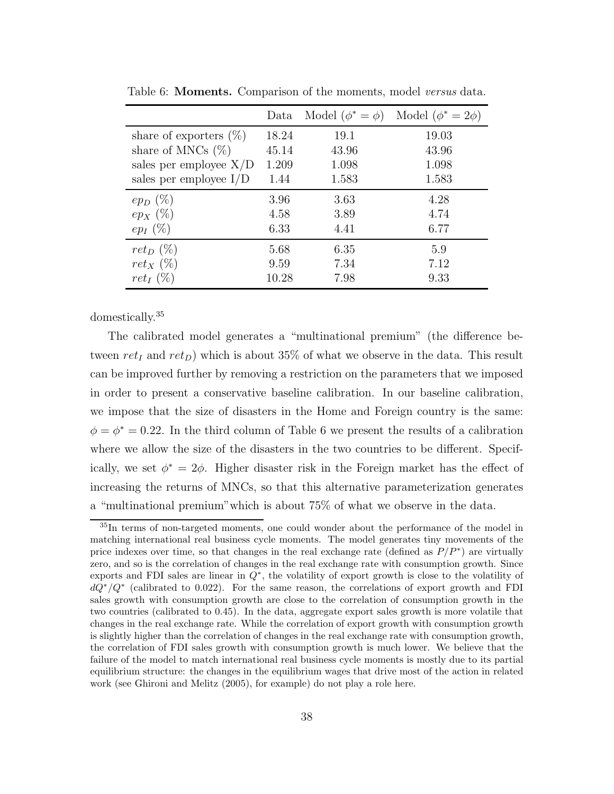|                           | Data  | Model $(\phi^* = \phi)$ | Model $(\phi^* = 2\phi)$ |
|---------------------------|-------|-------------------------|--------------------------|
| share of exporters $(\%)$ | 18.24 | 19.1                    | 19.03                    |
| share of MNCs $(\%)$      | 45.14 | 43.96                   | 43.96                    |
| sales per employee $X/D$  | 1.209 | 1.098                   | 1.098                    |
| sales per employee $I/D$  | 1.44  | 1.583                   | 1.583                    |
| $ep_D(\%)$                | 3.96  | 3.63                    | 4.28                     |
| $ep_X(\%)$                | 4.58  | 3.89                    | 4.74                     |
| $ep_I(\%)$                | 6.33  | 4.41                    | 6.77                     |
| $ret_D(\%)$               | 5.68  | 6.35                    | 5.9                      |
| $ret_X(\%)$               | 9.59  | 7.34                    | 7.12                     |
| $ret_I(\%)$               | 10.28 | 7.98                    | 9.33                     |

Table 6: **Moments.** Comparison of the moments, model versus data.

domestically.<sup>35</sup>

The calibrated model generates a "multinational premium" (the difference between ret<sub>I</sub> and ret<sub>D</sub>) which is about 35% of what we observe in the data. This result can be improved further by removing a restriction on the parameters that we imposed in order to present a conservative baseline calibration. In our baseline calibration, we impose that the size of disasters in the Home and Foreign country is the same:  $\phi = \phi^* = 0.22$ . In the third column of Table 6 we present the results of a calibration where we allow the size of the disasters in the two countries to be different. Specifically, we set  $\phi^* = 2\phi$ . Higher disaster risk in the Foreign market has the effect of increasing the returns of MNCs, so that this alternative parameterization generates a "multinational premium"which is about 75% of what we observe in the data.

<sup>35</sup>In terms of non-targeted moments, one could wonder about the performance of the model in matching international real business cycle moments. The model generates tiny movements of the price indexes over time, so that changes in the real exchange rate (defined as  $P/P^*$ ) are virtually zero, and so is the correlation of changes in the real exchange rate with consumption growth. Since exports and FDI sales are linear in  $Q^*$ , the volatility of export growth is close to the volatility of  $dQ^*/Q^*$  (calibrated to 0.022). For the same reason, the correlations of export growth and FDI sales growth with consumption growth are close to the correlation of consumption growth in the two countries (calibrated to 0.45). In the data, aggregate export sales growth is more volatile that changes in the real exchange rate. While the correlation of export growth with consumption growth is slightly higher than the correlation of changes in the real exchange rate with consumption growth, the correlation of FDI sales growth with consumption growth is much lower. We believe that the failure of the model to match international real business cycle moments is mostly due to its partial equilibrium structure: the changes in the equilibrium wages that drive most of the action in related work (see Ghironi and Melitz (2005), for example) do not play a role here.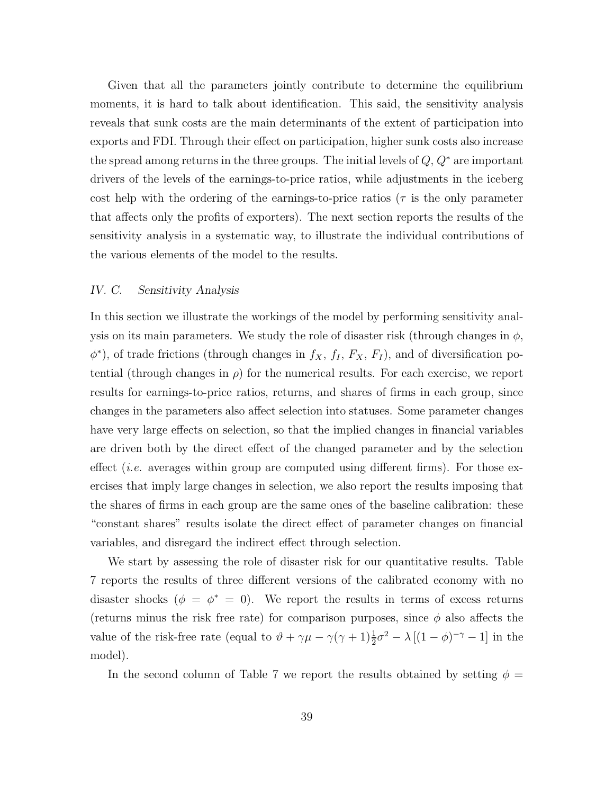Given that all the parameters jointly contribute to determine the equilibrium moments, it is hard to talk about identification. This said, the sensitivity analysis reveals that sunk costs are the main determinants of the extent of participation into exports and FDI. Through their effect on participation, higher sunk costs also increase the spread among returns in the three groups. The initial levels of  $Q, Q^*$  are important drivers of the levels of the earnings-to-price ratios, while adjustments in the iceberg cost help with the ordering of the earnings-to-price ratios ( $\tau$  is the only parameter that affects only the profits of exporters). The next section reports the results of the sensitivity analysis in a systematic way, to illustrate the individual contributions of the various elements of the model to the results.

### *IV. C. Sensitivity Analysis*

In this section we illustrate the workings of the model by performing sensitivity analysis on its main parameters. We study the role of disaster risk (through changes in  $\phi$ ,  $\phi^*$ ), of trade frictions (through changes in  $f_X$ ,  $f_I$ ,  $F_X$ ,  $F_I$ ), and of diversification potential (through changes in  $\rho$ ) for the numerical results. For each exercise, we report results for earnings-to-price ratios, returns, and shares of firms in each group, since changes in the parameters also affect selection into statuses. Some parameter changes have very large effects on selection, so that the implied changes in financial variables are driven both by the direct effect of the changed parameter and by the selection effect (*i.e.* averages within group are computed using different firms). For those exercises that imply large changes in selection, we also report the results imposing that the shares of firms in each group are the same ones of the baseline calibration: these "constant shares" results isolate the direct effect of parameter changes on financial variables, and disregard the indirect effect through selection.

We start by assessing the role of disaster risk for our quantitative results. Table 7 reports the results of three different versions of the calibrated economy with no disaster shocks ( $\phi = \phi^* = 0$ ). We report the results in terms of excess returns (returns minus the risk free rate) for comparison purposes, since  $\phi$  also affects the value of the risk-free rate (equal to  $\theta + \gamma \mu - \gamma (\gamma + 1) \frac{1}{2} \sigma^2 - \lambda [ (1 - \phi)^{-\gamma} - 1 ]$  in the model).

In the second column of Table 7 we report the results obtained by setting  $\phi =$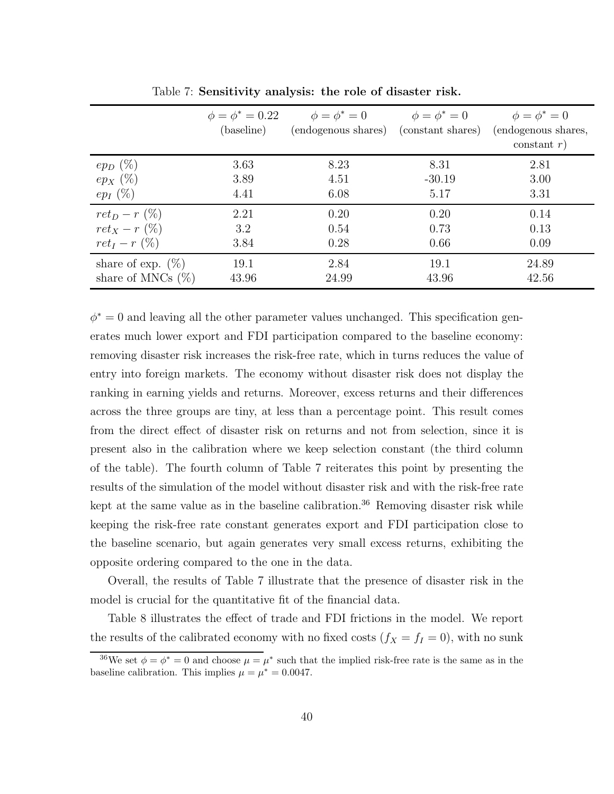|                      | $\phi = \phi^* = 0.22$ | $\phi = \phi^* = 0$ | $\phi = \phi^* = 0$ | $\phi = \phi^* = 0$ |
|----------------------|------------------------|---------------------|---------------------|---------------------|
|                      | (baseline)             | (endogenous shares) | (constant shares)   | (endogenous shares, |
|                      |                        |                     |                     | constant $r$ )      |
| $ep_D(\%)$           | 3.63                   | 8.23                | 8.31                | 2.81                |
| $ep_X(\%)$           | 3.89                   | 4.51                | $-30.19$            | 3.00                |
| $ep_I(\%)$           | 4.41                   | 6.08                | 5.17                | 3.31                |
| $ret_D - r$ (%)      | 2.21                   | 0.20                | 0.20                | 0.14                |
| $ret_X - r \ (\%)$   | 3.2                    | 0.54                | 0.73                | 0.13                |
| $ret_I - r \ (\%)$   | 3.84                   | 0.28                | 0.66                | 0.09                |
| share of exp. $(\%)$ | 19.1                   | 2.84                | 19.1                | 24.89               |
| share of MNCs $(\%)$ | 43.96                  | 24.99               | 43.96               | 42.56               |

Table 7: Sensitivity analysis: the role of disaster risk.

 $\phi^* = 0$  and leaving all the other parameter values unchanged. This specification generates much lower export and FDI participation compared to the baseline economy: removing disaster risk increases the risk-free rate, which in turns reduces the value of entry into foreign markets. The economy without disaster risk does not display the ranking in earning yields and returns. Moreover, excess returns and their differences across the three groups are tiny, at less than a percentage point. This result comes from the direct effect of disaster risk on returns and not from selection, since it is present also in the calibration where we keep selection constant (the third column of the table). The fourth column of Table 7 reiterates this point by presenting the results of the simulation of the model without disaster risk and with the risk-free rate kept at the same value as in the baseline calibration.<sup>36</sup> Removing disaster risk while keeping the risk-free rate constant generates export and FDI participation close to the baseline scenario, but again generates very small excess returns, exhibiting the opposite ordering compared to the one in the data.

Overall, the results of Table 7 illustrate that the presence of disaster risk in the model is crucial for the quantitative fit of the financial data.

Table 8 illustrates the effect of trade and FDI frictions in the model. We report the results of the calibrated economy with no fixed costs  $(f_X = f_I = 0)$ , with no sunk

<sup>&</sup>lt;sup>36</sup>We set  $\phi = \phi^* = 0$  and choose  $\mu = \mu^*$  such that the implied risk-free rate is the same as in the baseline calibration. This implies  $\mu = \mu^* = 0.0047$ .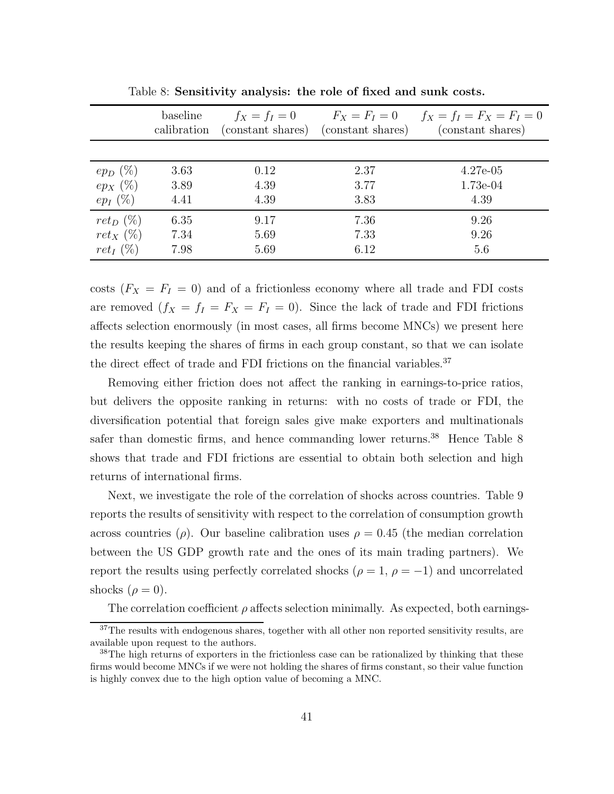|             | baseline<br>calibration | $f_X = f_I = 0$<br>(constant shares) | $F_X = F_I = 0$<br>(constant shares) | $f_X = f_I = F_X = F_I = 0$<br>(constant shares) |  |
|-------------|-------------------------|--------------------------------------|--------------------------------------|--------------------------------------------------|--|
|             |                         |                                      |                                      |                                                  |  |
| $ep_D(\%)$  | 3.63                    | 0.12                                 | 2.37                                 | $4.27e-05$                                       |  |
| $ep_X(\%)$  | 3.89                    | 4.39                                 | 3.77                                 | $1.73e-04$                                       |  |
| $ep_I(\%)$  | 4.41                    | 4.39                                 | 3.83                                 | 4.39                                             |  |
| $ret_D(\%)$ | 6.35                    | 9.17                                 | 7.36                                 | 9.26                                             |  |
| $ret_X(\%)$ | 7.34                    | 5.69                                 | 7.33                                 | 9.26                                             |  |
| $ret_I(\%)$ | 7.98                    | 5.69                                 | 6.12                                 | 5.6                                              |  |

Table 8: Sensitivity analysis: the role of fixed and sunk costs.

costs  $(F_X = F_I = 0)$  and of a frictionless economy where all trade and FDI costs are removed  $(f_X = f_I = F_X = F_I = 0)$ . Since the lack of trade and FDI frictions affects selection enormously (in most cases, all firms become MNCs) we present here the results keeping the shares of firms in each group constant, so that we can isolate the direct effect of trade and FDI frictions on the financial variables.<sup>37</sup>

Removing either friction does not affect the ranking in earnings-to-price ratios, but delivers the opposite ranking in returns: with no costs of trade or FDI, the diversification potential that foreign sales give make exporters and multinationals safer than domestic firms, and hence commanding lower returns.<sup>38</sup> Hence Table 8 shows that trade and FDI frictions are essential to obtain both selection and high returns of international firms.

Next, we investigate the role of the correlation of shocks across countries. Table 9 reports the results of sensitivity with respect to the correlation of consumption growth across countries ( $\rho$ ). Our baseline calibration uses  $\rho = 0.45$  (the median correlation between the US GDP growth rate and the ones of its main trading partners). We report the results using perfectly correlated shocks ( $\rho = 1, \rho = -1$ ) and uncorrelated shocks  $(\rho = 0)$ .

The correlation coefficient  $\rho$  affects selection minimally. As expected, both earnings-

 $37$ The results with endogenous shares, together with all other non reported sensitivity results, are available upon request to the authors.

<sup>&</sup>lt;sup>38</sup>The high returns of exporters in the frictionless case can be rationalized by thinking that these firms would become MNCs if we were not holding the shares of firms constant, so their value function is highly convex due to the high option value of becoming a MNC.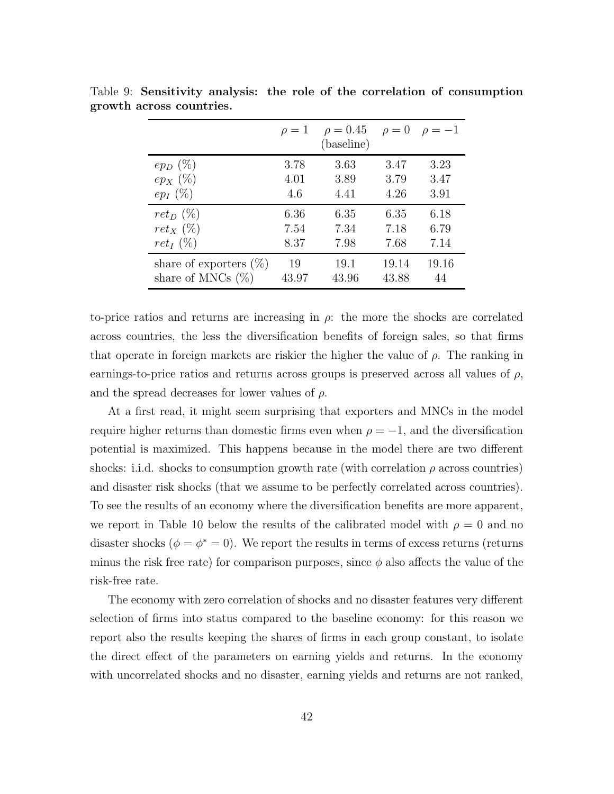|                           | $\rho=1$ | $\rho = 0.45$ $\rho = 0$ $\rho = -1$<br>(baseline) |       |       |
|---------------------------|----------|----------------------------------------------------|-------|-------|
| $ep_D~$ $(\%)$            | 3.78     | 3.63                                               | 3.47  | 3.23  |
| $ep_X(\%)$                | 4.01     | 3.89                                               | 3.79  | 3.47  |
| $ep_I~(\%)$               | 4.6      | 4.41                                               | 4.26  | 3.91  |
| $ret_D(\%)$               | 6.36     | 6.35                                               | 6.35  | 6.18  |
| $ret_X(\%)$               | 7.54     | 7.34                                               | 7.18  | 6.79  |
| $ret_I(\%)$               | 8.37     | 7.98                                               | 7.68  | 7.14  |
| share of exporters $(\%)$ | 19       | 19.1                                               | 19.14 | 19.16 |
| share of MNCs $(\%)$      | 43.97    | 43.96                                              | 43.88 | 44    |

Table 9: Sensitivity analysis: the role of the correlation of consumption growth across countries.

to-price ratios and returns are increasing in  $\rho$ : the more the shocks are correlated across countries, the less the diversification benefits of foreign sales, so that firms that operate in foreign markets are riskier the higher the value of  $\rho$ . The ranking in earnings-to-price ratios and returns across groups is preserved across all values of  $\rho$ , and the spread decreases for lower values of  $\rho$ .

At a first read, it might seem surprising that exporters and MNCs in the model require higher returns than domestic firms even when  $\rho = -1$ , and the diversification potential is maximized. This happens because in the model there are two different shocks: i.i.d. shocks to consumption growth rate (with correlation  $\rho$  across countries) and disaster risk shocks (that we assume to be perfectly correlated across countries). To see the results of an economy where the diversification benefits are more apparent, we report in Table 10 below the results of the calibrated model with  $\rho = 0$  and no disaster shocks ( $\phi = \phi^* = 0$ ). We report the results in terms of excess returns (returns minus the risk free rate) for comparison purposes, since  $\phi$  also affects the value of the risk-free rate.

The economy with zero correlation of shocks and no disaster features very different selection of firms into status compared to the baseline economy: for this reason we report also the results keeping the shares of firms in each group constant, to isolate the direct effect of the parameters on earning yields and returns. In the economy with uncorrelated shocks and no disaster, earning yields and returns are not ranked,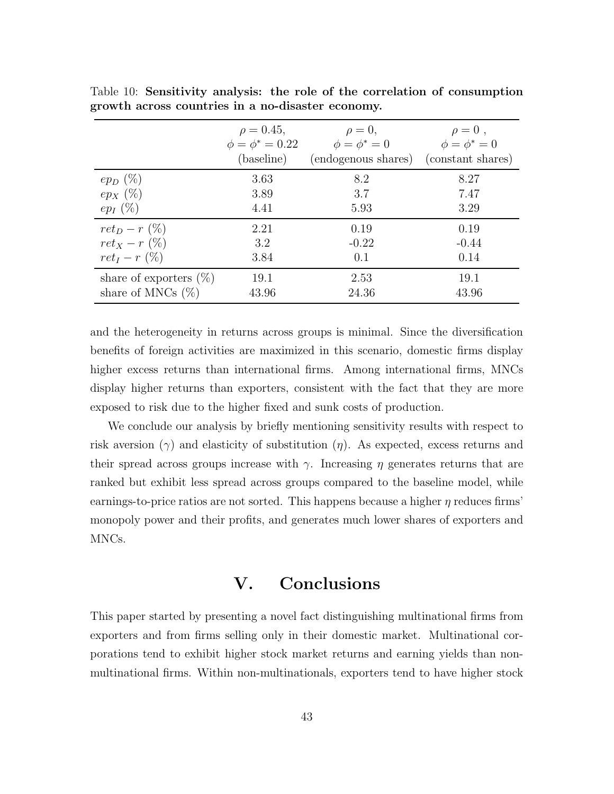|                           | $\rho = 0.45,$<br>$\phi = \phi^* = 0.22$<br>(baseline) | $\rho=0,$<br>$\phi = \phi^* = 0$<br>(endogenous shares) | $\rho = 0$ ,<br>$\phi = \phi^* = 0$<br>(constant shares) |
|---------------------------|--------------------------------------------------------|---------------------------------------------------------|----------------------------------------------------------|
| $ep_D(\%)$                | 3.63                                                   | 8.2                                                     | 8.27                                                     |
| $ep_X(\%)$                | 3.89                                                   | 3.7                                                     | 7.47                                                     |
| $ep_I(\%)$                | 4.41                                                   | 5.93                                                    | 3.29                                                     |
| $ret_D - r$ (%)           | 2.21                                                   | 0.19                                                    | 0.19                                                     |
| $ret_X - r \ (\%)$        | 3.2                                                    | $-0.22$                                                 | $-0.44$                                                  |
| $ret_I - r$ (%)           | 3.84                                                   | 0.1                                                     | 0.14                                                     |
| share of exporters $(\%)$ | 19.1                                                   | 2.53                                                    | 19.1                                                     |
| share of MNCs $(\%)$      | 43.96                                                  | 24.36                                                   | 43.96                                                    |

Table 10: Sensitivity analysis: the role of the correlation of consumption growth across countries in a no-disaster economy.

and the heterogeneity in returns across groups is minimal. Since the diversification benefits of foreign activities are maximized in this scenario, domestic firms display higher excess returns than international firms. Among international firms, MNCs display higher returns than exporters, consistent with the fact that they are more exposed to risk due to the higher fixed and sunk costs of production.

We conclude our analysis by briefly mentioning sensitivity results with respect to risk aversion ( $\gamma$ ) and elasticity of substitution ( $\eta$ ). As expected, excess returns and their spread across groups increase with  $\gamma$ . Increasing  $\eta$  generates returns that are ranked but exhibit less spread across groups compared to the baseline model, while earnings-to-price ratios are not sorted. This happens because a higher  $\eta$  reduces firms' monopoly power and their profits, and generates much lower shares of exporters and MNCs.

## V. Conclusions

This paper started by presenting a novel fact distinguishing multinational firms from exporters and from firms selling only in their domestic market. Multinational corporations tend to exhibit higher stock market returns and earning yields than nonmultinational firms. Within non-multinationals, exporters tend to have higher stock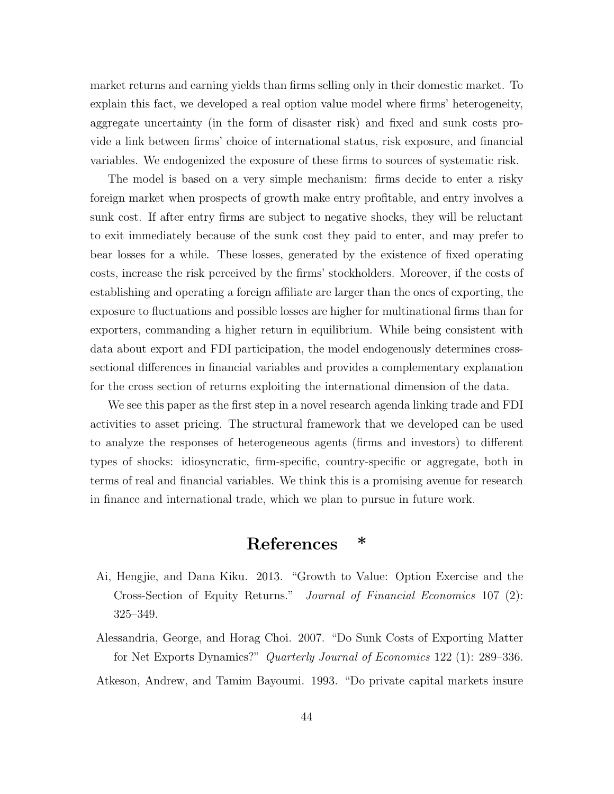market returns and earning yields than firms selling only in their domestic market. To explain this fact, we developed a real option value model where firms' heterogeneity, aggregate uncertainty (in the form of disaster risk) and fixed and sunk costs provide a link between firms' choice of international status, risk exposure, and financial variables. We endogenized the exposure of these firms to sources of systematic risk.

The model is based on a very simple mechanism: firms decide to enter a risky foreign market when prospects of growth make entry profitable, and entry involves a sunk cost. If after entry firms are subject to negative shocks, they will be reluctant to exit immediately because of the sunk cost they paid to enter, and may prefer to bear losses for a while. These losses, generated by the existence of fixed operating costs, increase the risk perceived by the firms' stockholders. Moreover, if the costs of establishing and operating a foreign affiliate are larger than the ones of exporting, the exposure to fluctuations and possible losses are higher for multinational firms than for exporters, commanding a higher return in equilibrium. While being consistent with data about export and FDI participation, the model endogenously determines crosssectional differences in financial variables and provides a complementary explanation for the cross section of returns exploiting the international dimension of the data.

We see this paper as the first step in a novel research agenda linking trade and FDI activities to asset pricing. The structural framework that we developed can be used to analyze the responses of heterogeneous agents (firms and investors) to different types of shocks: idiosyncratic, firm-specific, country-specific or aggregate, both in terms of real and financial variables. We think this is a promising avenue for research in finance and international trade, which we plan to pursue in future work.

## References \*

- Ai, Hengjie, and Dana Kiku. 2013. "Growth to Value: Option Exercise and the Cross-Section of Equity Returns." Journal of Financial Economics 107 (2): 325–349.
- Alessandria, George, and Horag Choi. 2007. "Do Sunk Costs of Exporting Matter for Net Exports Dynamics?" Quarterly Journal of Economics 122 (1): 289–336.
- Atkeson, Andrew, and Tamim Bayoumi. 1993. "Do private capital markets insure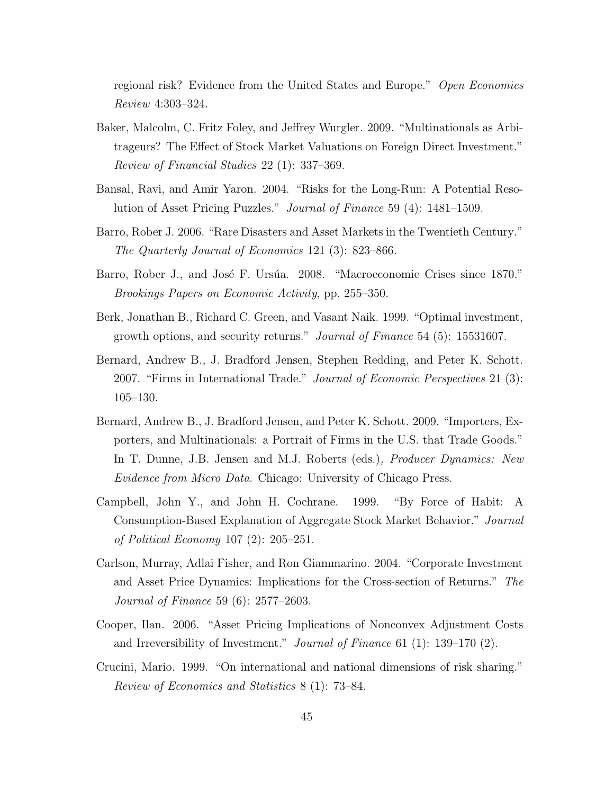regional risk? Evidence from the United States and Europe." Open Economies Review 4:303–324.

- Baker, Malcolm, C. Fritz Foley, and Jeffrey Wurgler. 2009. "Multinationals as Arbitrageurs? The Effect of Stock Market Valuations on Foreign Direct Investment." Review of Financial Studies 22 (1): 337–369.
- Bansal, Ravi, and Amir Yaron. 2004. "Risks for the Long-Run: A Potential Resolution of Asset Pricing Puzzles." Journal of Finance 59 (4): 1481–1509.
- Barro, Rober J. 2006. "Rare Disasters and Asset Markets in the Twentieth Century." The Quarterly Journal of Economics 121 (3): 823–866.
- Barro, Rober J., and José F. Ursúa. 2008. "Macroeconomic Crises since 1870." Brookings Papers on Economic Activity, pp. 255–350.
- Berk, Jonathan B., Richard C. Green, and Vasant Naik. 1999. "Optimal investment, growth options, and security returns." Journal of Finance 54 (5): 15531607.
- Bernard, Andrew B., J. Bradford Jensen, Stephen Redding, and Peter K. Schott. 2007. "Firms in International Trade." Journal of Economic Perspectives 21 (3): 105–130.
- Bernard, Andrew B., J. Bradford Jensen, and Peter K. Schott. 2009. "Importers, Exporters, and Multinationals: a Portrait of Firms in the U.S. that Trade Goods." In T. Dunne, J.B. Jensen and M.J. Roberts (eds.), Producer Dynamics: New Evidence from Micro Data. Chicago: University of Chicago Press.
- Campbell, John Y., and John H. Cochrane. 1999. "By Force of Habit: A Consumption-Based Explanation of Aggregate Stock Market Behavior." Journal of Political Economy 107 (2): 205–251.
- Carlson, Murray, Adlai Fisher, and Ron Giammarino. 2004. "Corporate Investment and Asset Price Dynamics: Implications for the Cross-section of Returns." The Journal of Finance 59 (6): 2577–2603.
- Cooper, Ilan. 2006. "Asset Pricing Implications of Nonconvex Adjustment Costs and Irreversibility of Investment." Journal of Finance 61 (1): 139–170 (2).
- Crucini, Mario. 1999. "On international and national dimensions of risk sharing." Review of Economics and Statistics 8 (1): 73–84.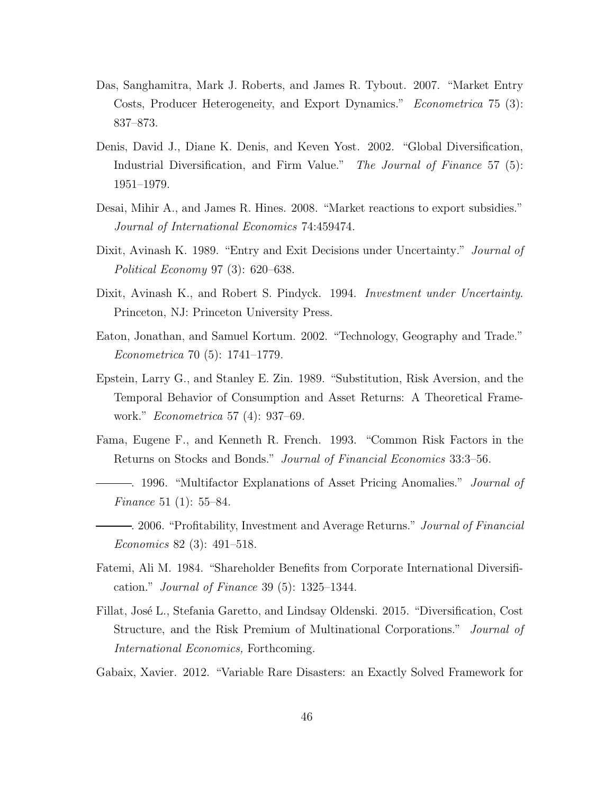- Das, Sanghamitra, Mark J. Roberts, and James R. Tybout. 2007. "Market Entry Costs, Producer Heterogeneity, and Export Dynamics." Econometrica 75 (3): 837–873.
- Denis, David J., Diane K. Denis, and Keven Yost. 2002. "Global Diversification, Industrial Diversification, and Firm Value." The Journal of Finance 57 (5): 1951–1979.
- Desai, Mihir A., and James R. Hines. 2008. "Market reactions to export subsidies." Journal of International Economics 74:459474.
- Dixit, Avinash K. 1989. "Entry and Exit Decisions under Uncertainty." *Journal of* Political Economy 97 (3): 620–638.
- Dixit, Avinash K., and Robert S. Pindyck. 1994. Investment under Uncertainty. Princeton, NJ: Princeton University Press.
- Eaton, Jonathan, and Samuel Kortum. 2002. "Technology, Geography and Trade." Econometrica 70 (5): 1741–1779.
- Epstein, Larry G., and Stanley E. Zin. 1989. "Substitution, Risk Aversion, and the Temporal Behavior of Consumption and Asset Returns: A Theoretical Framework." Econometrica 57 (4): 937–69.
- Fama, Eugene F., and Kenneth R. French. 1993. "Common Risk Factors in the Returns on Stocks and Bonds." Journal of Financial Economics 33:3–56.
- . 1996. "Multifactor Explanations of Asset Pricing Anomalies." Journal of Finance 51 (1): 55–84.
- . 2006. "Profitability, Investment and Average Returns." Journal of Financial Economics 82 (3): 491–518.
- Fatemi, Ali M. 1984. "Shareholder Benefits from Corporate International Diversification." Journal of Finance 39 (5): 1325–1344.
- Fillat, José L., Stefania Garetto, and Lindsay Oldenski. 2015. "Diversification, Cost Structure, and the Risk Premium of Multinational Corporations." Journal of International Economics, Forthcoming.
- Gabaix, Xavier. 2012. "Variable Rare Disasters: an Exactly Solved Framework for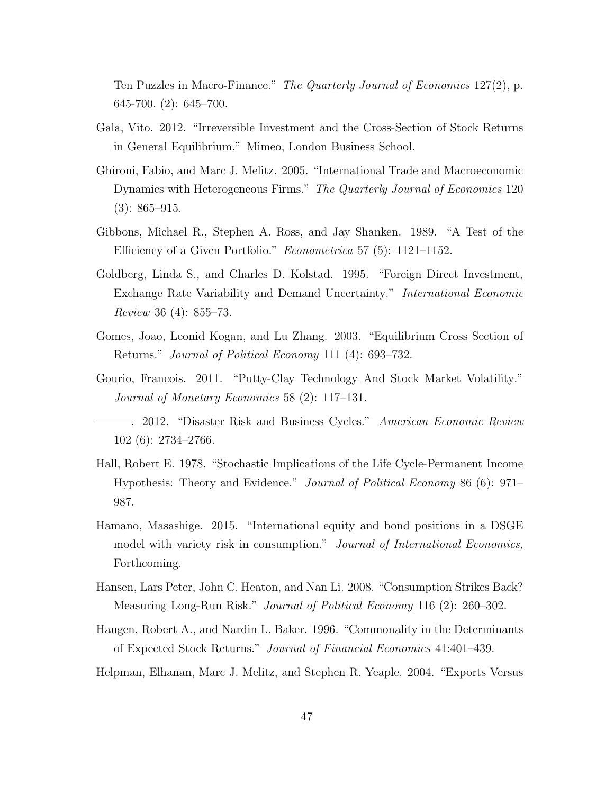Ten Puzzles in Macro-Finance." The Quarterly Journal of Economics 127(2), p. 645-700. (2): 645–700.

- Gala, Vito. 2012. "Irreversible Investment and the Cross-Section of Stock Returns in General Equilibrium." Mimeo, London Business School.
- Ghironi, Fabio, and Marc J. Melitz. 2005. "International Trade and Macroeconomic Dynamics with Heterogeneous Firms." The Quarterly Journal of Economics 120 (3): 865–915.
- Gibbons, Michael R., Stephen A. Ross, and Jay Shanken. 1989. "A Test of the Efficiency of a Given Portfolio." Econometrica 57 (5): 1121–1152.
- Goldberg, Linda S., and Charles D. Kolstad. 1995. "Foreign Direct Investment, Exchange Rate Variability and Demand Uncertainty." International Economic Review 36 (4): 855–73.
- Gomes, Joao, Leonid Kogan, and Lu Zhang. 2003. "Equilibrium Cross Section of Returns." Journal of Political Economy 111 (4): 693–732.
- Gourio, Francois. 2011. "Putty-Clay Technology And Stock Market Volatility." Journal of Monetary Economics 58 (2): 117–131.
- . 2012. "Disaster Risk and Business Cycles." American Economic Review 102 (6): 2734–2766.
- Hall, Robert E. 1978. "Stochastic Implications of the Life Cycle-Permanent Income Hypothesis: Theory and Evidence." Journal of Political Economy 86 (6): 971– 987.
- Hamano, Masashige. 2015. "International equity and bond positions in a DSGE model with variety risk in consumption." Journal of International Economics, Forthcoming.
- Hansen, Lars Peter, John C. Heaton, and Nan Li. 2008. "Consumption Strikes Back? Measuring Long-Run Risk." Journal of Political Economy 116 (2): 260–302.
- Haugen, Robert A., and Nardin L. Baker. 1996. "Commonality in the Determinants of Expected Stock Returns." Journal of Financial Economics 41:401–439.
- Helpman, Elhanan, Marc J. Melitz, and Stephen R. Yeaple. 2004. "Exports Versus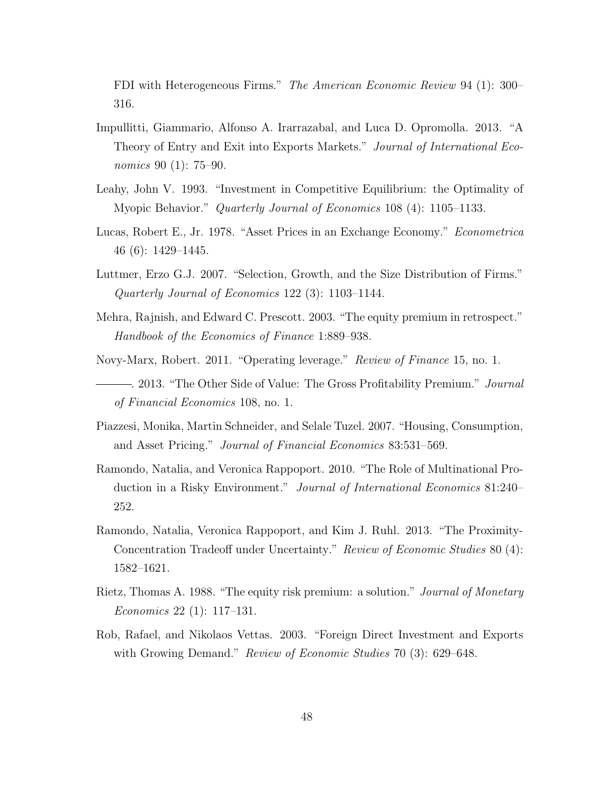FDI with Heterogeneous Firms." The American Economic Review 94 (1): 300– 316.

- Impullitti, Giammario, Alfonso A. Irarrazabal, and Luca D. Opromolla. 2013. "A Theory of Entry and Exit into Exports Markets." Journal of International Economics 90 (1): 75–90.
- Leahy, John V. 1993. "Investment in Competitive Equilibrium: the Optimality of Myopic Behavior." *Quarterly Journal of Economics* 108 (4): 1105–1133.
- Lucas, Robert E., Jr. 1978. "Asset Prices in an Exchange Economy." Econometrica 46 (6): 1429–1445.
- Luttmer, Erzo G.J. 2007. "Selection, Growth, and the Size Distribution of Firms." Quarterly Journal of Economics 122 (3): 1103–1144.
- Mehra, Rajnish, and Edward C. Prescott. 2003. "The equity premium in retrospect." Handbook of the Economics of Finance 1:889–938.
- Novy-Marx, Robert. 2011. "Operating leverage." Review of Finance 15, no. 1. . 2013. "The Other Side of Value: The Gross Profitability Premium." Journal of Financial Economics 108, no. 1.
- Piazzesi, Monika, Martin Schneider, and Selale Tuzel. 2007. "Housing, Consumption, and Asset Pricing." Journal of Financial Economics 83:531–569.
- Ramondo, Natalia, and Veronica Rappoport. 2010. "The Role of Multinational Production in a Risky Environment." Journal of International Economics 81:240– 252.
- Ramondo, Natalia, Veronica Rappoport, and Kim J. Ruhl. 2013. "The Proximity-Concentration Tradeoff under Uncertainty." Review of Economic Studies 80 (4): 1582–1621.
- Rietz, Thomas A. 1988. "The equity risk premium: a solution." *Journal of Monetary* Economics 22 (1): 117–131.
- Rob, Rafael, and Nikolaos Vettas. 2003. "Foreign Direct Investment and Exports with Growing Demand." *Review of Economic Studies* 70 (3): 629–648.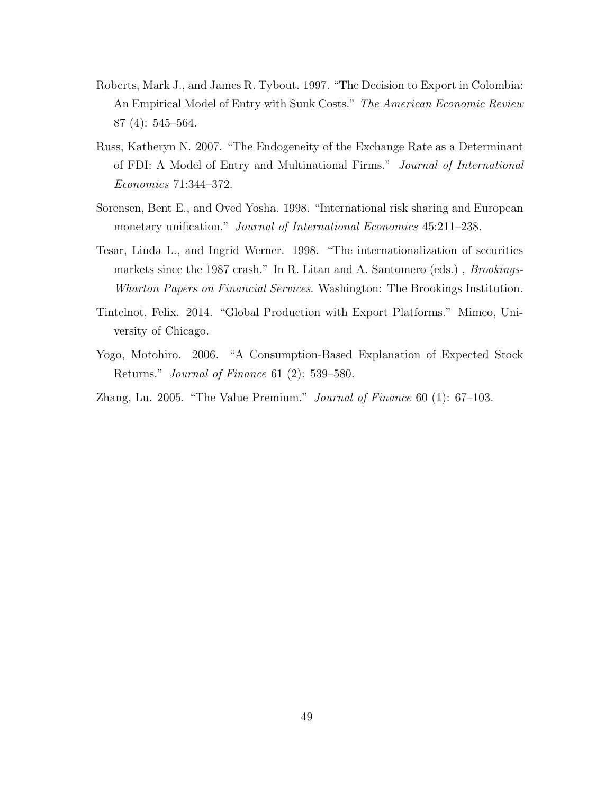- Roberts, Mark J., and James R. Tybout. 1997. "The Decision to Export in Colombia: An Empirical Model of Entry with Sunk Costs." The American Economic Review 87 (4): 545–564.
- Russ, Katheryn N. 2007. "The Endogeneity of the Exchange Rate as a Determinant of FDI: A Model of Entry and Multinational Firms." Journal of International Economics 71:344–372.
- Sorensen, Bent E., and Oved Yosha. 1998. "International risk sharing and European monetary unification." Journal of International Economics 45:211-238.
- Tesar, Linda L., and Ingrid Werner. 1998. "The internationalization of securities markets since the 1987 crash." In R. Litan and A. Santomero (eds.), *Brookings*-Wharton Papers on Financial Services. Washington: The Brookings Institution.
- Tintelnot, Felix. 2014. "Global Production with Export Platforms." Mimeo, University of Chicago.
- Yogo, Motohiro. 2006. "A Consumption-Based Explanation of Expected Stock Returns." Journal of Finance 61 (2): 539–580.
- Zhang, Lu. 2005. "The Value Premium." *Journal of Finance* 60 (1): 67–103.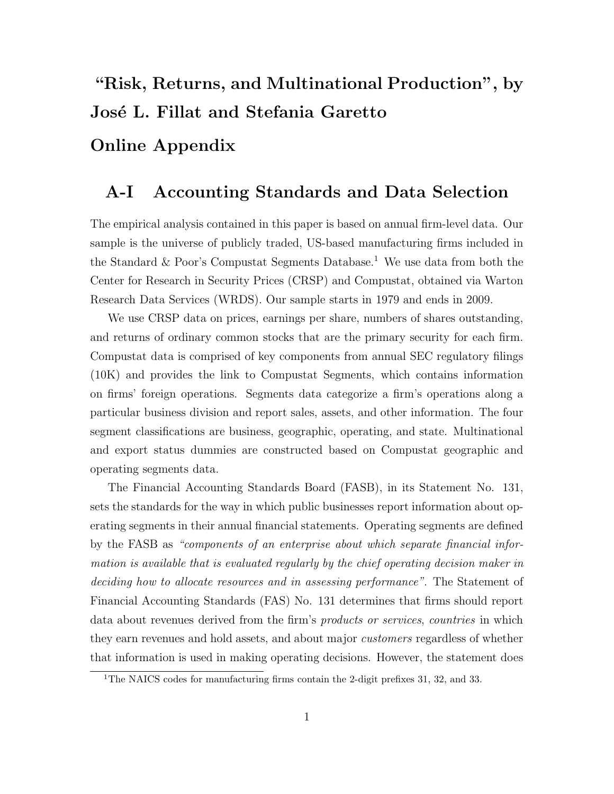# "Risk, Returns, and Multinational Production", by José L. Fillat and Stefania Garetto Online Appendix

### A-I Accounting Standards and Data Selection

The empirical analysis contained in this paper is based on annual firm-level data. Our sample is the universe of publicly traded, US-based manufacturing firms included in the Standard  $&$  Poor's Compustat Segments Database.<sup>1</sup> We use data from both the Center for Research in Security Prices (CRSP) and Compustat, obtained via Warton Research Data Services (WRDS). Our sample starts in 1979 and ends in 2009.

We use CRSP data on prices, earnings per share, numbers of shares outstanding, and returns of ordinary common stocks that are the primary security for each firm. Compustat data is comprised of key components from annual SEC regulatory filings (10K) and provides the link to Compustat Segments, which contains information on firms' foreign operations. Segments data categorize a firm's operations along a particular business division and report sales, assets, and other information. The four segment classifications are business, geographic, operating, and state. Multinational and export status dummies are constructed based on Compustat geographic and operating segments data.

The Financial Accounting Standards Board (FASB), in its Statement No. 131, sets the standards for the way in which public businesses report information about operating segments in their annual financial statements. Operating segments are defined by the FASB as "components of an enterprise about which separate financial information is available that is evaluated regularly by the chief operating decision maker in deciding how to allocate resources and in assessing performance". The Statement of Financial Accounting Standards (FAS) No. 131 determines that firms should report data about revenues derived from the firm's *products or services*, *countries* in which they earn revenues and hold assets, and about major customers regardless of whether that information is used in making operating decisions. However, the statement does

<sup>&</sup>lt;sup>1</sup>The NAICS codes for manufacturing firms contain the 2-digit prefixes 31, 32, and 33.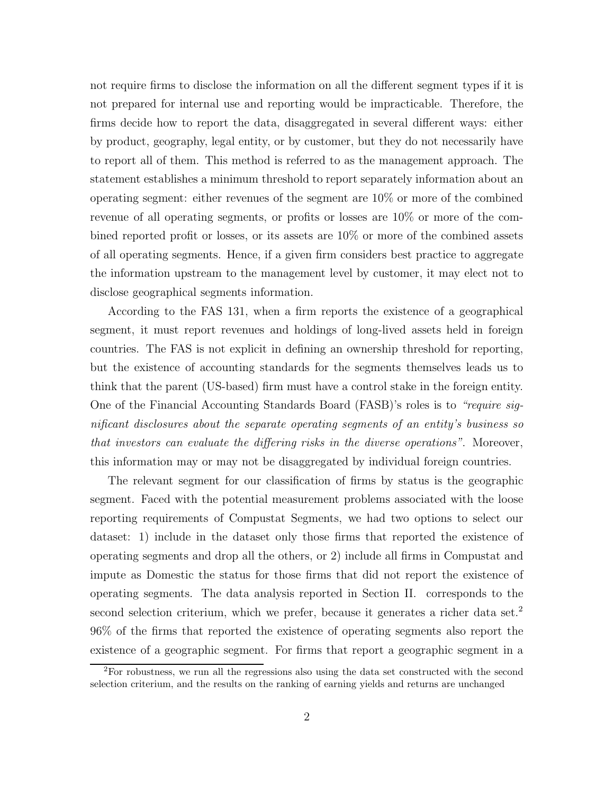not require firms to disclose the information on all the different segment types if it is not prepared for internal use and reporting would be impracticable. Therefore, the firms decide how to report the data, disaggregated in several different ways: either by product, geography, legal entity, or by customer, but they do not necessarily have to report all of them. This method is referred to as the management approach. The statement establishes a minimum threshold to report separately information about an operating segment: either revenues of the segment are 10% or more of the combined revenue of all operating segments, or profits or losses are 10% or more of the combined reported profit or losses, or its assets are 10% or more of the combined assets of all operating segments. Hence, if a given firm considers best practice to aggregate the information upstream to the management level by customer, it may elect not to disclose geographical segments information.

According to the FAS 131, when a firm reports the existence of a geographical segment, it must report revenues and holdings of long-lived assets held in foreign countries. The FAS is not explicit in defining an ownership threshold for reporting, but the existence of accounting standards for the segments themselves leads us to think that the parent (US-based) firm must have a control stake in the foreign entity. One of the Financial Accounting Standards Board (FASB)'s roles is to "require significant disclosures about the separate operating segments of an entity's business so that investors can evaluate the differing risks in the diverse operations". Moreover, this information may or may not be disaggregated by individual foreign countries.

The relevant segment for our classification of firms by status is the geographic segment. Faced with the potential measurement problems associated with the loose reporting requirements of Compustat Segments, we had two options to select our dataset: 1) include in the dataset only those firms that reported the existence of operating segments and drop all the others, or 2) include all firms in Compustat and impute as Domestic the status for those firms that did not report the existence of operating segments. The data analysis reported in Section II. corresponds to the second selection criterium, which we prefer, because it generates a richer data set.<sup>2</sup> 96% of the firms that reported the existence of operating segments also report the existence of a geographic segment. For firms that report a geographic segment in a

<sup>2</sup>For robustness, we run all the regressions also using the data set constructed with the second selection criterium, and the results on the ranking of earning yields and returns are unchanged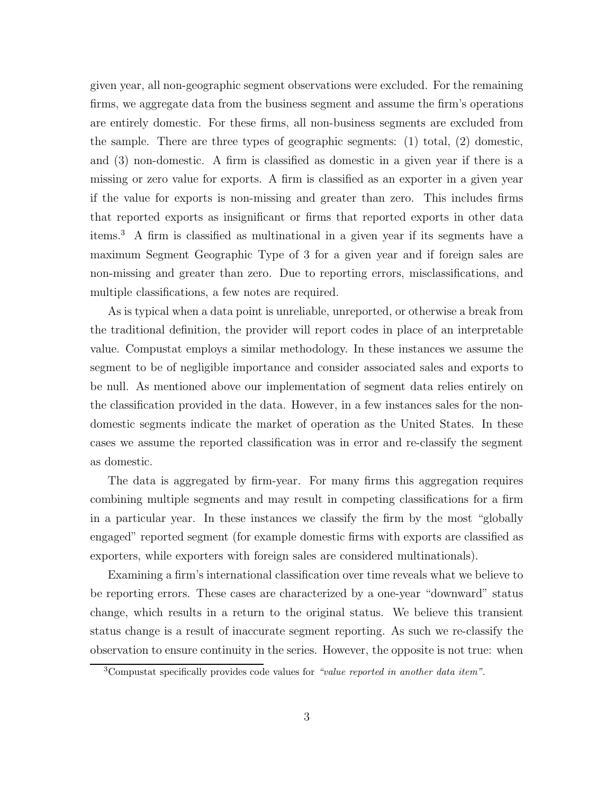given year, all non-geographic segment observations were excluded. For the remaining firms, we aggregate data from the business segment and assume the firm's operations are entirely domestic. For these firms, all non-business segments are excluded from the sample. There are three types of geographic segments: (1) total, (2) domestic, and (3) non-domestic. A firm is classified as domestic in a given year if there is a missing or zero value for exports. A firm is classified as an exporter in a given year if the value for exports is non-missing and greater than zero. This includes firms that reported exports as insignificant or firms that reported exports in other data items.<sup>3</sup> A firm is classified as multinational in a given year if its segments have a maximum Segment Geographic Type of 3 for a given year and if foreign sales are non-missing and greater than zero. Due to reporting errors, misclassifications, and multiple classifications, a few notes are required.

As is typical when a data point is unreliable, unreported, or otherwise a break from the traditional definition, the provider will report codes in place of an interpretable value. Compustat employs a similar methodology. In these instances we assume the segment to be of negligible importance and consider associated sales and exports to be null. As mentioned above our implementation of segment data relies entirely on the classification provided in the data. However, in a few instances sales for the nondomestic segments indicate the market of operation as the United States. In these cases we assume the reported classification was in error and re-classify the segment as domestic.

The data is aggregated by firm-year. For many firms this aggregation requires combining multiple segments and may result in competing classifications for a firm in a particular year. In these instances we classify the firm by the most "globally engaged" reported segment (for example domestic firms with exports are classified as exporters, while exporters with foreign sales are considered multinationals).

Examining a firm's international classification over time reveals what we believe to be reporting errors. These cases are characterized by a one-year "downward" status change, which results in a return to the original status. We believe this transient status change is a result of inaccurate segment reporting. As such we re-classify the observation to ensure continuity in the series. However, the opposite is not true: when

 $3$ Compustat specifically provides code values for "value reported in another data item".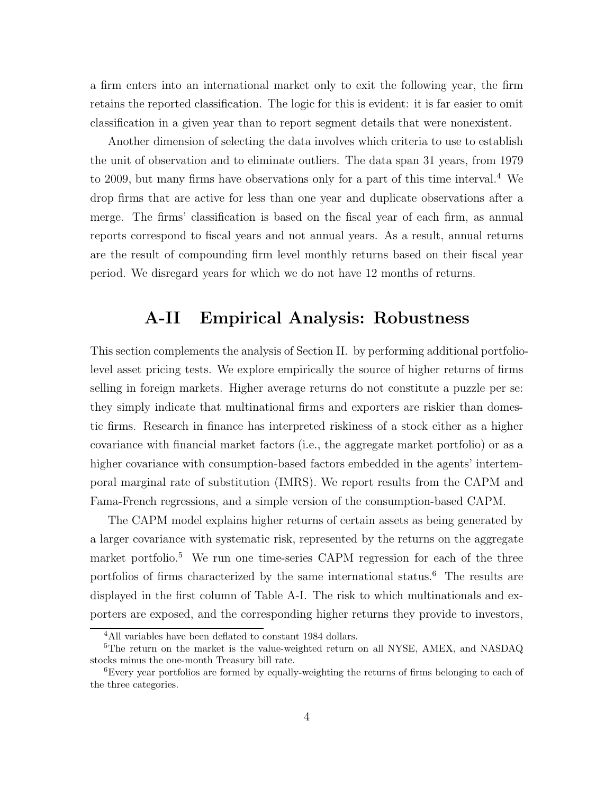a firm enters into an international market only to exit the following year, the firm retains the reported classification. The logic for this is evident: it is far easier to omit classification in a given year than to report segment details that were nonexistent.

Another dimension of selecting the data involves which criteria to use to establish the unit of observation and to eliminate outliers. The data span 31 years, from 1979 to 2009, but many firms have observations only for a part of this time interval.<sup>4</sup> We drop firms that are active for less than one year and duplicate observations after a merge. The firms' classification is based on the fiscal year of each firm, as annual reports correspond to fiscal years and not annual years. As a result, annual returns are the result of compounding firm level monthly returns based on their fiscal year period. We disregard years for which we do not have 12 months of returns.

## A-II Empirical Analysis: Robustness

This section complements the analysis of Section II. by performing additional portfoliolevel asset pricing tests. We explore empirically the source of higher returns of firms selling in foreign markets. Higher average returns do not constitute a puzzle per se: they simply indicate that multinational firms and exporters are riskier than domestic firms. Research in finance has interpreted riskiness of a stock either as a higher covariance with financial market factors (i.e., the aggregate market portfolio) or as a higher covariance with consumption-based factors embedded in the agents' intertemporal marginal rate of substitution (IMRS). We report results from the CAPM and Fama-French regressions, and a simple version of the consumption-based CAPM.

The CAPM model explains higher returns of certain assets as being generated by a larger covariance with systematic risk, represented by the returns on the aggregate market portfolio.<sup>5</sup> We run one time-series CAPM regression for each of the three portfolios of firms characterized by the same international status.<sup>6</sup> The results are displayed in the first column of Table A-I. The risk to which multinationals and exporters are exposed, and the corresponding higher returns they provide to investors,

<sup>4</sup>All variables have been deflated to constant 1984 dollars.

<sup>5</sup>The return on the market is the value-weighted return on all NYSE, AMEX, and NASDAQ stocks minus the one-month Treasury bill rate.

<sup>6</sup>Every year portfolios are formed by equally-weighting the returns of firms belonging to each of the three categories.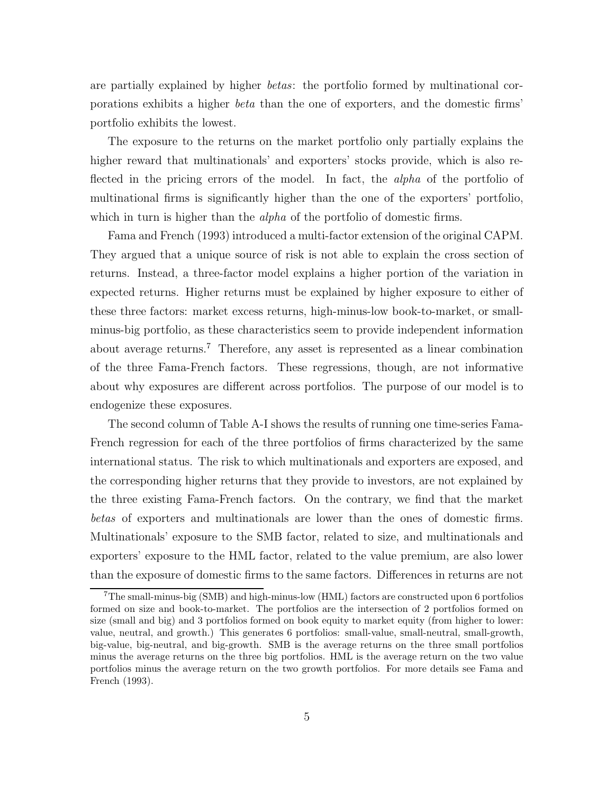are partially explained by higher betas: the portfolio formed by multinational corporations exhibits a higher beta than the one of exporters, and the domestic firms' portfolio exhibits the lowest.

The exposure to the returns on the market portfolio only partially explains the higher reward that multinationals' and exporters' stocks provide, which is also reflected in the pricing errors of the model. In fact, the *alpha* of the portfolio of multinational firms is significantly higher than the one of the exporters' portfolio, which in turn is higher than the *alpha* of the portfolio of domestic firms.

Fama and French (1993) introduced a multi-factor extension of the original CAPM. They argued that a unique source of risk is not able to explain the cross section of returns. Instead, a three-factor model explains a higher portion of the variation in expected returns. Higher returns must be explained by higher exposure to either of these three factors: market excess returns, high-minus-low book-to-market, or smallminus-big portfolio, as these characteristics seem to provide independent information about average returns.<sup>7</sup> Therefore, any asset is represented as a linear combination of the three Fama-French factors. These regressions, though, are not informative about why exposures are different across portfolios. The purpose of our model is to endogenize these exposures.

The second column of Table A-I shows the results of running one time-series Fama-French regression for each of the three portfolios of firms characterized by the same international status. The risk to which multinationals and exporters are exposed, and the corresponding higher returns that they provide to investors, are not explained by the three existing Fama-French factors. On the contrary, we find that the market betas of exporters and multinationals are lower than the ones of domestic firms. Multinationals' exposure to the SMB factor, related to size, and multinationals and exporters' exposure to the HML factor, related to the value premium, are also lower than the exposure of domestic firms to the same factors. Differences in returns are not

<sup>7</sup>The small-minus-big (SMB) and high-minus-low (HML) factors are constructed upon 6 portfolios formed on size and book-to-market. The portfolios are the intersection of 2 portfolios formed on size (small and big) and 3 portfolios formed on book equity to market equity (from higher to lower: value, neutral, and growth.) This generates 6 portfolios: small-value, small-neutral, small-growth, big-value, big-neutral, and big-growth. SMB is the average returns on the three small portfolios minus the average returns on the three big portfolios. HML is the average return on the two value portfolios minus the average return on the two growth portfolios. For more details see Fama and French (1993).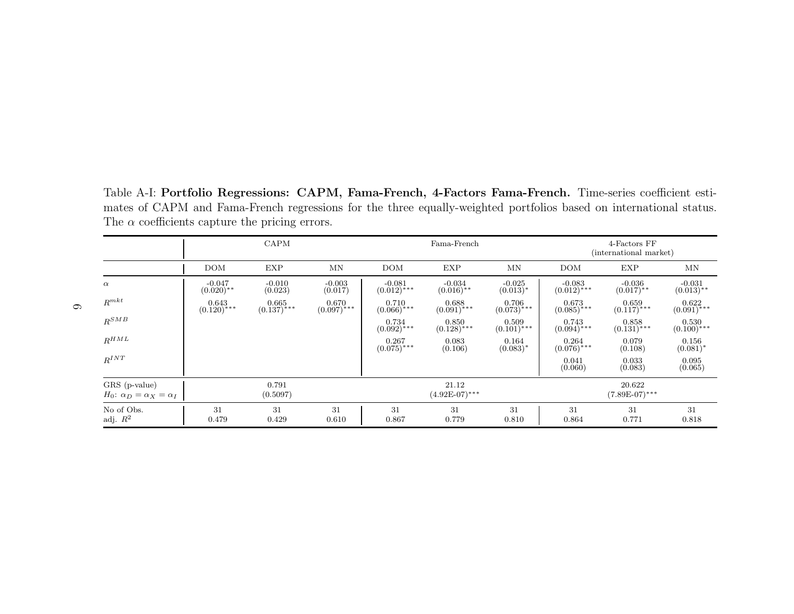Table A-I: Portfolio Regressions: CAPM, Fama-French, 4-Factors Fama-French. Time-series coefficient estimates of CAPM and Fama-French regressions for the three equally-weighted portfolios based on international status. The  $\alpha$  coefficients capture the pricing errors.

|                                                           | CAPM                     |                        |                        | Fama-French               |                           |                         | 4-Factors FF<br>(international market) |                                     |                          |
|-----------------------------------------------------------|--------------------------|------------------------|------------------------|---------------------------|---------------------------|-------------------------|----------------------------------------|-------------------------------------|--------------------------|
|                                                           | <b>DOM</b>               | <b>EXP</b>             | MN                     | <b>DOM</b>                | <b>EXP</b>                | MN                      | <b>DOM</b>                             | <b>EXP</b>                          | MN                       |
| $\alpha$                                                  | $-0.047$<br>$(0.020)$ ** | $-0.010$<br>(0.023)    | $-0.003$<br>(0.017)    | $-0.081$<br>$(0.012)$ *** | $-0.034$<br>$(0.016)$ **  | $-0.025$<br>$(0.013)^*$ | $-0.083$<br>$(0.012)$ ***              | $-0.036$<br>$(0.017)$ <sup>**</sup> | $-0.031$<br>$(0.013)$ ** |
| $R^{mkt}$                                                 | 0.643<br>$(0.120)$ ***   | 0.665<br>$(0.137)$ *** | 0.670<br>$(0.097)$ *** | 0.710<br>$(0.066)$ ***    | 0.688<br>$(0.091)$ ***    | 0.706<br>$(0.073)$ ***  | 0.673<br>$(0.085)$ ***                 | 0.659<br>$(0.117)$ ***              | 0.622<br>$(0.091)$ ***   |
| $R^{SMB}$                                                 |                          |                        |                        | 0.734<br>$(0.092)$ ***    | 0.850<br>$(0.128)$ ***    | 0.509<br>$(0.101)$ ***  | 0.743<br>$(0.094)$ ***                 | 0.858<br>$(0.131)$ ***              | 0.530<br>$(0.100)$ ***   |
| $\mathbb{R}^{HML}$                                        |                          |                        |                        | 0.267<br>$(0.075)$ ***    | 0.083<br>(0.106)          | 0.164<br>$(0.083)^*$    | 0.264<br>$(0.076)$ ***                 | 0.079<br>(0.108)                    | 0.156<br>$(0.081)^*$     |
| $R^{INT}$                                                 |                          |                        |                        |                           |                           |                         | 0.041<br>(0.060)                       | 0.033<br>(0.083)                    | 0.095<br>(0.065)         |
| GRS (p-value)<br>$H_0$ : $\alpha_D = \alpha_X = \alpha_I$ |                          | 0.791<br>(0.5097)      |                        |                           | 21.12<br>$(4.92E-07)$ *** |                         |                                        | 20.622<br>$(7.89E-07)$ ***          |                          |
| No of Obs.<br>adj. $R^2$                                  | 31<br>0.479              | 31<br>0.429            | 31<br>0.610            | 31<br>0.867               | 31<br>0.779               | 31<br>0.810             | 31<br>0.864                            | 31<br>0.771                         | 31<br>0.818              |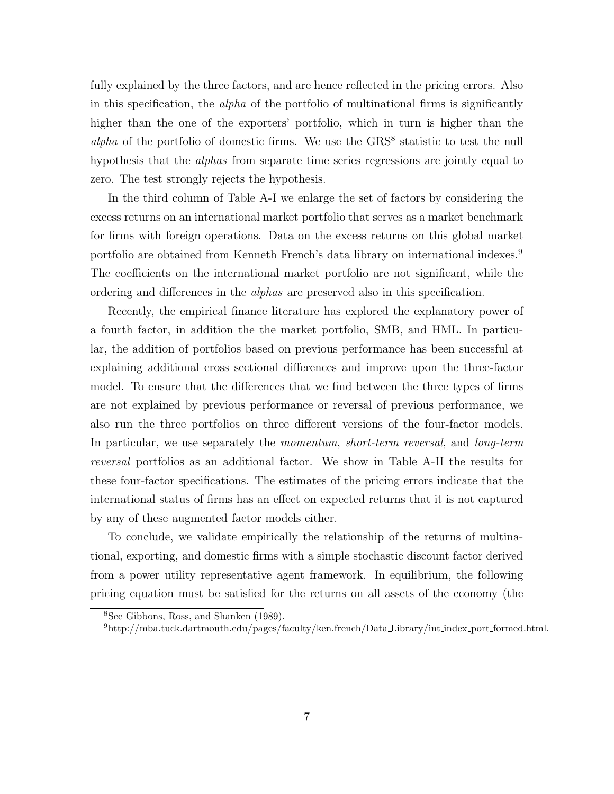fully explained by the three factors, and are hence reflected in the pricing errors. Also in this specification, the alpha of the portfolio of multinational firms is significantly higher than the one of the exporters' portfolio, which in turn is higher than the  $alpha$  of the portfolio of domestic firms. We use the  $GRS<sup>8</sup>$  statistic to test the null hypothesis that the *alphas* from separate time series regressions are jointly equal to zero. The test strongly rejects the hypothesis.

In the third column of Table A-I we enlarge the set of factors by considering the excess returns on an international market portfolio that serves as a market benchmark for firms with foreign operations. Data on the excess returns on this global market portfolio are obtained from Kenneth French's data library on international indexes.<sup>9</sup> The coefficients on the international market portfolio are not significant, while the ordering and differences in the alphas are preserved also in this specification.

Recently, the empirical finance literature has explored the explanatory power of a fourth factor, in addition the the market portfolio, SMB, and HML. In particular, the addition of portfolios based on previous performance has been successful at explaining additional cross sectional differences and improve upon the three-factor model. To ensure that the differences that we find between the three types of firms are not explained by previous performance or reversal of previous performance, we also run the three portfolios on three different versions of the four-factor models. In particular, we use separately the *momentum, short-term reversal*, and *long-term* reversal portfolios as an additional factor. We show in Table A-II the results for these four-factor specifications. The estimates of the pricing errors indicate that the international status of firms has an effect on expected returns that it is not captured by any of these augmented factor models either.

To conclude, we validate empirically the relationship of the returns of multinational, exporting, and domestic firms with a simple stochastic discount factor derived from a power utility representative agent framework. In equilibrium, the following pricing equation must be satisfied for the returns on all assets of the economy (the

<sup>8</sup>See Gibbons, Ross, and Shanken (1989).

<sup>9</sup>http://mba.tuck.dartmouth.edu/pages/faculty/ken.french/Data Library/int index port formed.html.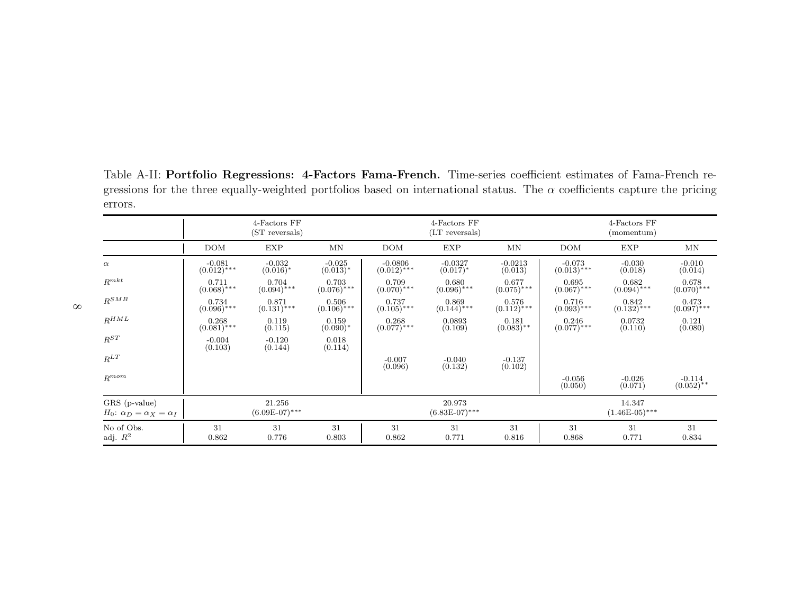Table A-II: Portfolio Regressions: 4-Factors Fama-French. Time-series coefficient estimates of Fama-French regressions for the three equally-weighted portfolios based on international status. The  $\alpha$  coefficients capture the pricing errors.

|                                                           |                           | 4-Factors FF<br>(ST reversals) |                          |                            | 4-Factors FF<br>(LT reversals) |                        |                          | 4-Factors FF<br>(momentum) |                          |
|-----------------------------------------------------------|---------------------------|--------------------------------|--------------------------|----------------------------|--------------------------------|------------------------|--------------------------|----------------------------|--------------------------|
|                                                           | <b>DOM</b>                | <b>EXP</b>                     | MN                       | <b>DOM</b>                 | <b>EXP</b>                     | MN                     | <b>DOM</b>               | <b>EXP</b>                 | MN                       |
| $\alpha$                                                  | $-0.081$<br>$(0.012)$ *** | $-0.032$<br>$(0.016)^*$        | $-0.025$<br>$(0.013)^*$  | $-0.0806$<br>$(0.012)$ *** | $-0.0327$<br>$(0.017)^*$       | $-0.0213$<br>(0.013)   | $-0.073$<br>(0.013)***   | $-0.030$<br>(0.018)        | $-0.010$<br>(0.014)      |
| $R^{mkt}$                                                 | 0.711<br>$(0.068)$ ***    | 0.704<br>$(0.094)$ ***         | 0.703<br>$(0.076)$ ***   | 0.709<br>$(0.070)$ ***     | 0.680<br>$(0.096)$ ***         | 0.677<br>$(0.075)$ *** | 0.695<br>$(0.067)$ ***   | 0.682<br>$(0.094)$ ***     | 0.678<br>$(0.070)$ ***   |
| $R^{SMB}$                                                 | 0.734<br>$(0.096)$ ***    | $(0.871$<br>$(0.131)$ ***      | $0.506$<br>$(0.106)$ *** | 0.737<br>$(0.105)$ ***     | $0.869$<br>(0.144)***          | 0.576<br>$(0.112)$ *** | $(0.716$<br>$(0.093)***$ | $(0.842$<br>$(0.132)***$   | 0.473<br>$(0.097)$ ***   |
| $\mathbb{R}^{HML}$                                        | 0.268<br>$(0.081)$ ***    | 0.119<br>(0.115)               | 0.159<br>$(0.090)^*$     | 0.268<br>$(0.077)$ ***     | 0.0893<br>(0.109)              | 0.181<br>$(0.083)$ **  | 0.246<br>$(0.077)$ ***   | 0.0732<br>(0.110)          | 0.121<br>(0.080)         |
| $R^{ST}$                                                  | $-0.004$<br>(0.103)       | $-0.120$<br>(0.144)            | 0.018<br>(0.114)         |                            |                                |                        |                          |                            |                          |
| $R^{LT}$                                                  |                           |                                |                          | $-0.007$<br>(0.096)        | $-0.040$<br>(0.132)            | $-0.137$<br>(0.102)    |                          |                            |                          |
| $R^{mom}$                                                 |                           |                                |                          |                            |                                |                        | $-0.056$<br>(0.050)      | $-0.026$<br>(0.071)        | $-0.114$<br>$(0.052)$ ** |
| GRS (p-value)<br>$H_0$ : $\alpha_D = \alpha_X = \alpha_I$ |                           | 21.256<br>$(6.09E-07)$ ***     |                          |                            | 20.973<br>$(6.83E-07)$ ***     |                        |                          | 14.347<br>$(1.46E-05)$ *** |                          |
| No of Obs.<br>adj. $R^2$                                  | 31<br>0.862               | 31<br>0.776                    | 31<br>0.803              | 31<br>0.862                | 31<br>0.771                    | 31<br>0.816            | 31<br>0.868              | 31<br>0.771                | 31<br>0.834              |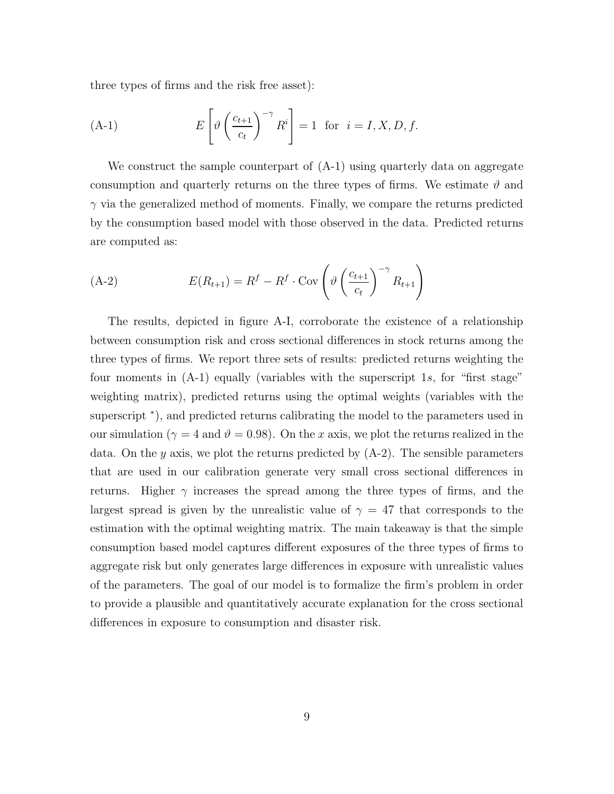three types of firms and the risk free asset):

(A-1) 
$$
E\left[\vartheta\left(\frac{c_{t+1}}{c_t}\right)^{-\gamma} R^i\right] = 1 \text{ for } i = I, X, D, f.
$$

We construct the sample counterpart of  $(A-1)$  using quarterly data on aggregate consumption and quarterly returns on the three types of firms. We estimate  $\vartheta$  and  $\gamma$  via the generalized method of moments. Finally, we compare the returns predicted by the consumption based model with those observed in the data. Predicted returns are computed as:

(A-2) 
$$
E(R_{t+1}) = R^f - R^f \cdot \text{Cov}\left(\vartheta \left(\frac{c_{t+1}}{c_t}\right)^{-\gamma} R_{t+1}\right)
$$

The results, depicted in figure A-I, corroborate the existence of a relationship between consumption risk and cross sectional differences in stock returns among the three types of firms. We report three sets of results: predicted returns weighting the four moments in (A-1) equally (variables with the superscript 1s, for "first stage" weighting matrix), predicted returns using the optimal weights (variables with the superscript <sup>∗</sup> ), and predicted returns calibrating the model to the parameters used in our simulation ( $\gamma = 4$  and  $\vartheta = 0.98$ ). On the x axis, we plot the returns realized in the data. On the y axis, we plot the returns predicted by  $(A-2)$ . The sensible parameters that are used in our calibration generate very small cross sectional differences in returns. Higher  $\gamma$  increases the spread among the three types of firms, and the largest spread is given by the unrealistic value of  $\gamma = 47$  that corresponds to the estimation with the optimal weighting matrix. The main takeaway is that the simple consumption based model captures different exposures of the three types of firms to aggregate risk but only generates large differences in exposure with unrealistic values of the parameters. The goal of our model is to formalize the firm's problem in order to provide a plausible and quantitatively accurate explanation for the cross sectional differences in exposure to consumption and disaster risk.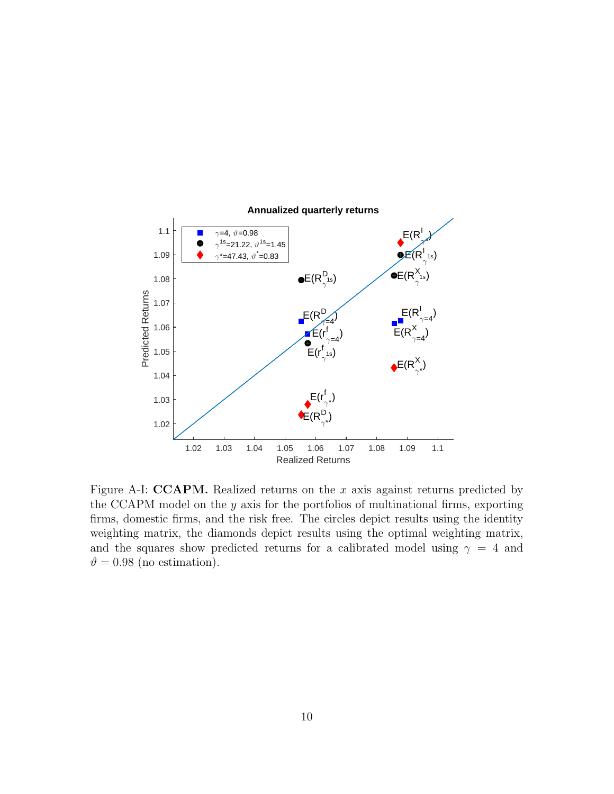

Figure A-I: CCAPM. Realized returns on the  $x$  axis against returns predicted by the CCAPM model on the  $y$  axis for the portfolios of multinational firms, exporting firms, domestic firms, and the risk free. The circles depict results using the identity weighting matrix, the diamonds depict results using the optimal weighting matrix, and the squares show predicted returns for a calibrated model using  $\gamma = 4$  and  $\vartheta = 0.98$  (no estimation).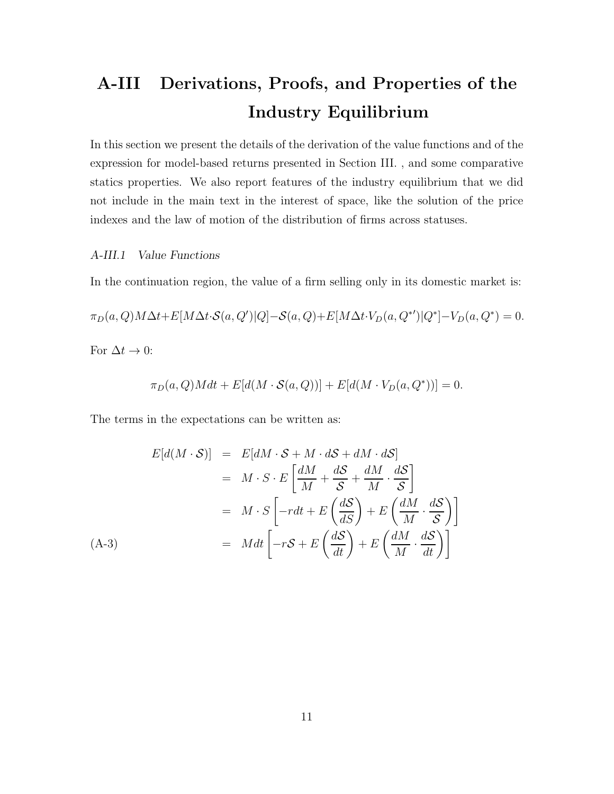## A-III Derivations, Proofs, and Properties of the Industry Equilibrium

In this section we present the details of the derivation of the value functions and of the expression for model-based returns presented in Section III. , and some comparative statics properties. We also report features of the industry equilibrium that we did not include in the main text in the interest of space, like the solution of the price indexes and the law of motion of the distribution of firms across statuses.

### *A-III.1 Value Functions*

In the continuation region, the value of a firm selling only in its domestic market is:

$$
\pi_D(a, Q)M\Delta t + E[M\Delta t \cdot \mathcal{S}(a, Q')|Q] - \mathcal{S}(a, Q) + E[M\Delta t \cdot V_D(a, Q^{*'})|Q^*] - V_D(a, Q^*) = 0.
$$
  
For  $\Delta t \to 0$ :

$$
\pi_D(a,Q)Mdt + E[d(M \cdot \mathcal{S}(a,Q))] + E[d(M \cdot V_D(a,Q^*))] = 0.
$$

The terms in the expectations can be written as:

$$
E[d(M \cdot S)] = E[dM \cdot S + M \cdot dS + dM \cdot dS]
$$
  
=  $M \cdot S \cdot E\left[\frac{dM}{M} + \frac{dS}{S} + \frac{dM}{M} \cdot \frac{dS}{S}\right]$   
=  $M \cdot S\left[-rdt + E\left(\frac{dS}{dS}\right) + E\left(\frac{dM}{M} \cdot \frac{dS}{S}\right)\right]$   
=  $Mdt\left[-rS + E\left(\frac{dS}{dt}\right) + E\left(\frac{dM}{M} \cdot \frac{dS}{dt}\right)\right]$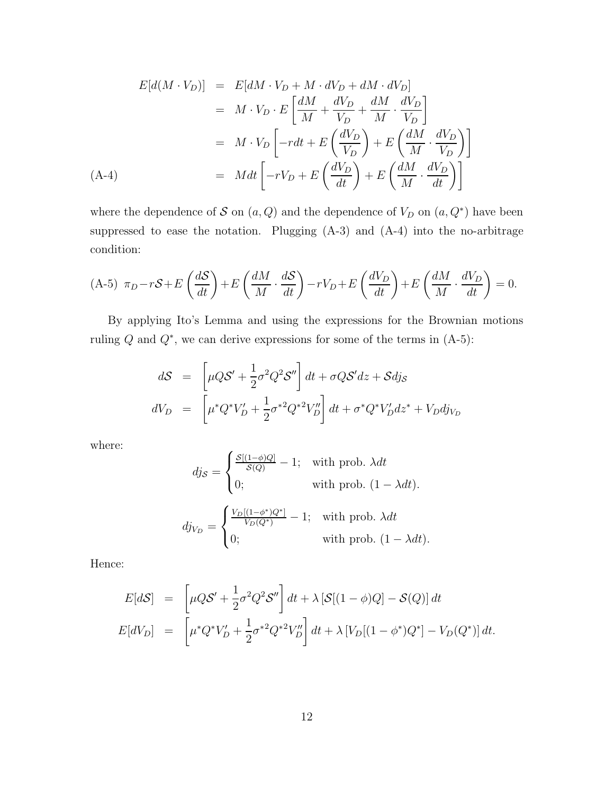$$
E[d(M \cdot V_D)] = E[dM \cdot V_D + M \cdot dV_D + dM \cdot dV_D]
$$
  
\n
$$
= M \cdot V_D \cdot E\left[\frac{dM}{M} + \frac{dV_D}{V_D} + \frac{dM}{M} \cdot \frac{dV_D}{V_D}\right]
$$
  
\n
$$
= M \cdot V_D \left[-rdt + E\left(\frac{dV_D}{V_D}\right) + E\left(\frac{dM}{M} \cdot \frac{dV_D}{V_D}\right)\right]
$$
  
\n(A-4) 
$$
= Mdt \left[-rV_D + E\left(\frac{dV_D}{dt}\right) + E\left(\frac{dM}{M} \cdot \frac{dV_D}{dt}\right)\right]
$$

where the dependence of S on  $(a, Q)$  and the dependence of  $V_D$  on  $(a, Q^*)$  have been suppressed to ease the notation. Plugging  $(A-3)$  and  $(A-4)$  into the no-arbitrage condition:

(A-5) 
$$
\pi_D - rS + E\left(\frac{dS}{dt}\right) + E\left(\frac{dM}{M} \cdot \frac{dS}{dt}\right) - rV_D + E\left(\frac{dV_D}{dt}\right) + E\left(\frac{dM}{M} \cdot \frac{dV_D}{dt}\right) = 0.
$$

By applying Ito's Lemma and using the expressions for the Brownian motions ruling  $Q$  and  $Q^*$ , we can derive expressions for some of the terms in  $(A-5)$ :

$$
dS = \left[ \mu Q S' + \frac{1}{2} \sigma^2 Q^2 S'' \right] dt + \sigma Q S' dz + S d j_S
$$
  

$$
dV_D = \left[ \mu^* Q^* V'_D + \frac{1}{2} \sigma^{*2} Q^{*2} V''_D \right] dt + \sigma^* Q^* V'_D dz^* + V_D d j_{V_D}
$$

where:

$$
dj_{\mathcal{S}} = \begin{cases} \frac{\mathcal{S}[(1-\phi)Q]}{\mathcal{S}(Q)} - 1; & \text{with prob. } \lambda dt \\ 0; & \text{with prob. } (1 - \lambda dt). \end{cases}
$$

$$
dj_{V_D} = \begin{cases} \frac{V_D[(1-\phi^*)Q^*]}{V_D(Q^*)} - 1; & \text{with prob. } \lambda dt \\ 0; & \text{with prob. } (1 - \lambda dt). \end{cases}
$$

Hence:

$$
E[dS] = \left[\mu QS' + \frac{1}{2}\sigma^2 Q^2 S''\right] dt + \lambda \left[S[(1-\phi)Q] - S(Q)\right] dt
$$
  

$$
E[dV_D] = \left[\mu^* Q^* V'_D + \frac{1}{2}\sigma^{*2} Q^{*2} V''_D\right] dt + \lambda \left[V_D[(1-\phi^*)Q^*] - V_D(Q^*)\right] dt.
$$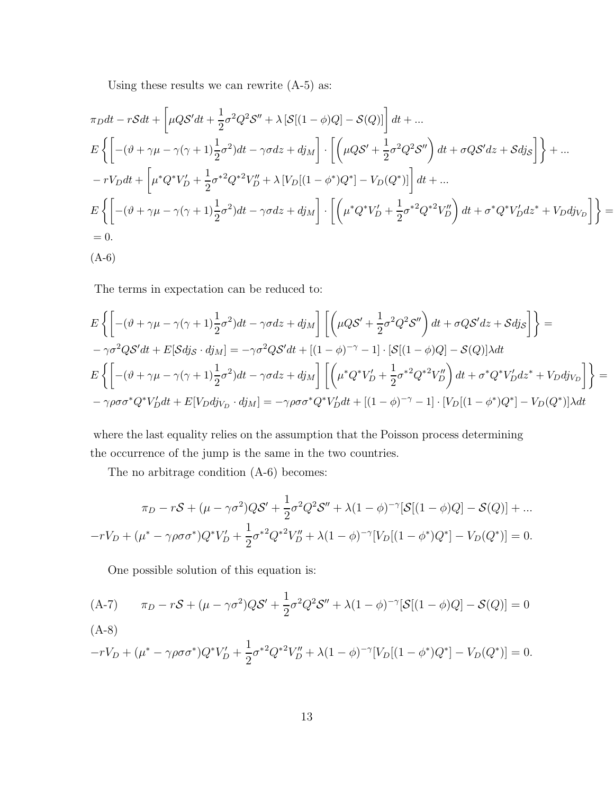Using these results we can rewrite  $(A-5)$  as:

$$
\pi_{D}dt - rSdt + \left[\mu QS'dt + \frac{1}{2}\sigma^{2}Q^{2}S'' + \lambda \left[\mathcal{S}[(1-\phi)Q] - \mathcal{S}(Q)\right]\right]dt + ...
$$
  
\n
$$
E\left\{ \left[ -(\vartheta + \gamma\mu - \gamma(\gamma + 1)\frac{1}{2}\sigma^{2})dt - \gamma\sigma dz + dj_{M} \right] \cdot \left[ \left(\mu QS' + \frac{1}{2}\sigma^{2}Q^{2}S''\right)dt + \sigma QS'dz + Sdj_{S} \right] \right\} + ...
$$
  
\n
$$
-rV_{D}dt + \left[ \mu^{*}Q^{*}V'_{D} + \frac{1}{2}\sigma^{*2}Q^{*2}V''_{D} + \lambda \left[V_{D}[(1-\phi^{*})Q^{*}] - V_{D}(Q^{*})] \right]dt + ...
$$
  
\n
$$
E\left\{ \left[ -(\vartheta + \gamma\mu - \gamma(\gamma + 1)\frac{1}{2}\sigma^{2})dt - \gamma\sigma dz + dj_{M} \right] \cdot \left[ \left(\mu^{*}Q^{*}V'_{D} + \frac{1}{2}\sigma^{*2}Q^{*2}V''_{D} \right)dt + \sigma^{*}Q^{*}V'_{D}dz^{*} + V_{D}dj_{V_{D}} \right] \right\} =
$$
  
\n= 0.  
\n(A-6)  
\n
$$
(A-6)
$$

The terms in expectation can be reduced to:

$$
E\left\{\left[-(\vartheta+\gamma\mu-\gamma(\gamma+1)\frac{1}{2}\sigma^2)dt-\gamma\sigma dz+d\mathbf{j}_M\right]\left[\left(\mu Q\mathcal{S}'+\frac{1}{2}\sigma^2 Q^2 \mathcal{S}''\right)dt+\sigma Q\mathcal{S}'dz+\mathcal{S}d\mathbf{j}_{\mathcal{S}}\right]\right\} =
$$
  

$$
-\gamma\sigma^2 Q\mathcal{S}'dt+E[\mathcal{S}d\mathbf{j}_{\mathcal{S}}\cdot d\mathbf{j}_M] = -\gamma\sigma^2 Q\mathcal{S}'dt+[(1-\phi)^{-\gamma}-1]\cdot[\mathcal{S}[(1-\phi)Q]-\mathcal{S}(Q)]\lambda dt
$$
  

$$
E\left\{\left[-(\vartheta+\gamma\mu-\gamma(\gamma+1)\frac{1}{2}\sigma^2)dt-\gamma\sigma dz+d\mathbf{j}_M\right]\left[\left(\mu^*Q^*V_D'+\frac{1}{2}\sigma^{*2}Q^{*2}V_D''\right)dt+\sigma^*Q^*V_D'dz^*+V_Dd\mathbf{j}_{V_D}\right]\right\} =
$$

$$
-\gamma\rho\sigma\sigma^*Q^*V_D'dt+E[V_Dd\mathbf{j}_{V_D}\cdot d\mathbf{j}_M] = -\gamma\rho\sigma\sigma^*Q^*V_D'dt+[(1-\phi)^{-\gamma}-1]\cdot[V_D[(1-\phi^*)Q^*]-V_D(Q^*)]\lambda dt
$$

where the last equality relies on the assumption that the Poisson process determining the occurrence of the jump is the same in the two countries.

The no arbitrage condition (A-6) becomes:

$$
\pi_D - rS + (\mu - \gamma \sigma^2)QS' + \frac{1}{2} \sigma^2 Q^2 S'' + \lambda (1 - \phi)^{-\gamma} [\mathcal{S}[(1 - \phi)Q] - \mathcal{S}(Q)] + \dots
$$

$$
-rV_D + (\mu^* - \gamma \rho \sigma \sigma^*) Q^* V'_D + \frac{1}{2} \sigma^{*2} Q^{*2} V''_D + \lambda (1 - \phi)^{-\gamma} [V_D[(1 - \phi^*)Q^*] - V_D(Q^*)] = 0.
$$

One possible solution of this equation is:

(A-7) 
$$
\pi_D - rS + (\mu - \gamma \sigma^2)QS' + \frac{1}{2}\sigma^2 Q^2 S'' + \lambda (1 - \phi)^{-\gamma} [S[(1 - \phi)Q] - S(Q)] = 0
$$

$$
(A-8)
$$

$$
-rV_D + (\mu^* - \gamma \rho \sigma \sigma^*)Q^*V'_D + \frac{1}{2}\sigma^{*2}Q^{*2}V''_D + \lambda(1-\phi)^{-\gamma}[V_D[(1-\phi^*)Q^*] - V_D(Q^*)] = 0.
$$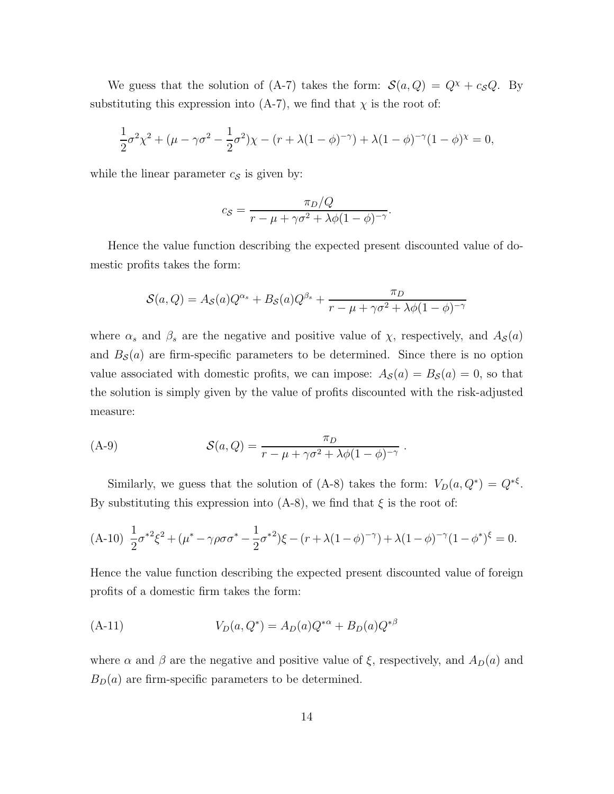We guess that the solution of (A-7) takes the form:  $\mathcal{S}(a, Q) = Q^{\chi} + c_{\mathcal{S}}Q$ . By substituting this expression into (A-7), we find that  $\chi$  is the root of:

$$
\frac{1}{2}\sigma^2\chi^2 + (\mu - \gamma\sigma^2 - \frac{1}{2}\sigma^2)\chi - (r + \lambda(1 - \phi)^{-\gamma}) + \lambda(1 - \phi)^{-\gamma}(1 - \phi)^{\chi} = 0,
$$

while the linear parameter  $c_{\mathcal{S}}$  is given by:

$$
c_{\mathcal{S}} = \frac{\pi_D/Q}{r - \mu + \gamma \sigma^2 + \lambda \phi (1 - \phi)^{-\gamma}}.
$$

Hence the value function describing the expected present discounted value of domestic profits takes the form:

$$
S(a,Q) = A_{\mathcal{S}}(a)Q^{\alpha_s} + B_{\mathcal{S}}(a)Q^{\beta_s} + \frac{\pi_D}{r - \mu + \gamma \sigma^2 + \lambda \phi (1 - \phi)^{-\gamma}}
$$

where  $\alpha_s$  and  $\beta_s$  are the negative and positive value of  $\chi$ , respectively, and  $A_{\mathcal{S}}(a)$ and  $B_{\mathcal{S}}(a)$  are firm-specific parameters to be determined. Since there is no option value associated with domestic profits, we can impose:  $A_{\mathcal{S}}(a) = B_{\mathcal{S}}(a) = 0$ , so that the solution is simply given by the value of profits discounted with the risk-adjusted measure:

(A-9) 
$$
\mathcal{S}(a, Q) = \frac{\pi_D}{r - \mu + \gamma \sigma^2 + \lambda \phi (1 - \phi)^{-\gamma}}.
$$

Similarly, we guess that the solution of (A-8) takes the form:  $V_D(a, Q^*) = Q^{*\xi}$ . By substituting this expression into  $(A-8)$ , we find that  $\xi$  is the root of:

$$
(A-10)\frac{1}{2}\sigma^{*2}\xi^{2}+(\mu^{*}-\gamma\rho\sigma\sigma^{*}-\frac{1}{2}\sigma^{*2})\xi-(r+\lambda(1-\phi)^{-\gamma})+\lambda(1-\phi)^{-\gamma}(1-\phi^{*})^{\xi}=0.
$$

Hence the value function describing the expected present discounted value of foreign profits of a domestic firm takes the form:

(A-11) 
$$
V_D(a, Q^*) = A_D(a)Q^{*\alpha} + B_D(a)Q^{*\beta}
$$

where  $\alpha$  and  $\beta$  are the negative and positive value of  $\xi$ , respectively, and  $A_D(a)$  and  $B_D(a)$  are firm-specific parameters to be determined.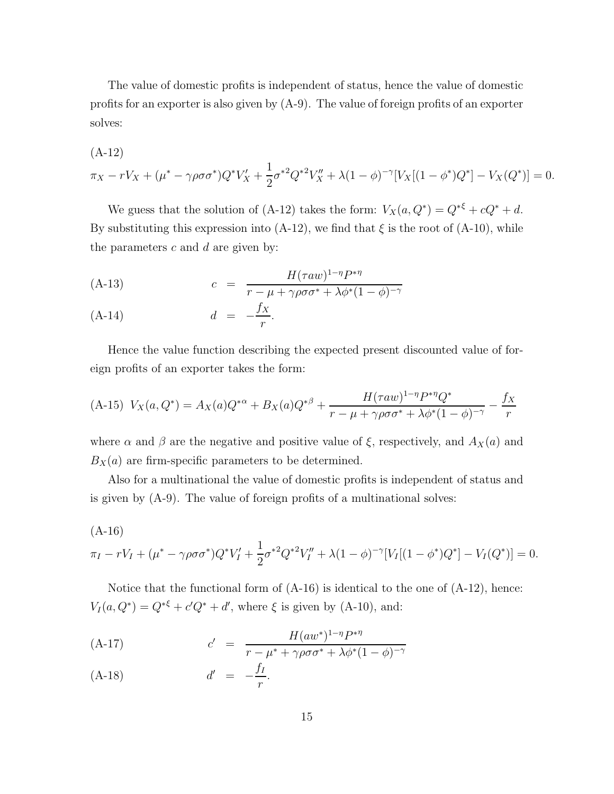The value of domestic profits is independent of status, hence the value of domestic profits for an exporter is also given by (A-9). The value of foreign profits of an exporter solves:

$$
(A-12)
$$
  

$$
\pi_X - rV_X + (\mu^* - \gamma \rho \sigma \sigma^*)Q^*V'_X + \frac{1}{2}\sigma^{*2}Q^{*2}V''_X + \lambda(1-\phi)^{-\gamma}[V_X[(1-\phi^*)Q^*] - V_X(Q^*)] = 0.
$$

We guess that the solution of (A-12) takes the form:  $V_X(a, Q^*) = Q^{*\xi} + cQ^* + d$ . By substituting this expression into  $(A-12)$ , we find that  $\xi$  is the root of  $(A-10)$ , while the parameters  $c$  and  $d$  are given by:

(A-13) 
$$
c = \frac{H(\tau aw)^{1-\eta}P^{*\eta}}{r-\mu+\gamma\rho\sigma\sigma^*+\lambda\phi^*(1-\phi)^{-\gamma}}
$$

$$
(A-14) \t\t d = -\frac{f_X}{r}.
$$

Hence the value function describing the expected present discounted value of foreign profits of an exporter takes the form:

$$
(A-15)\ \ V_X(a,Q^*) = A_X(a)Q^{*\alpha} + B_X(a)Q^{*\beta} + \frac{H(\tau aw)^{1-\eta}P^{*\eta}Q^*}{r-\mu+\gamma\rho\sigma\sigma^*+\lambda\phi^*(1-\phi)^{-\gamma}} - \frac{f_X}{r}
$$

where  $\alpha$  and  $\beta$  are the negative and positive value of  $\xi$ , respectively, and  $A_X(a)$  and  $B_X(a)$  are firm-specific parameters to be determined.

Also for a multinational the value of domestic profits is independent of status and is given by (A-9). The value of foreign profits of a multinational solves:

$$
(A-16)
$$

$$
\pi_I - rV_I + (\mu^* - \gamma \rho \sigma \sigma^*) Q^* V_I' + \frac{1}{2} \sigma^{*2} Q^{*2} V_I'' + \lambda (1 - \phi)^{-\gamma} [V_I[(1 - \phi^*) Q^*] - V_I(Q^*)] = 0.
$$

Notice that the functional form of  $(A-16)$  is identical to the one of  $(A-12)$ , hence:  $V_I(a, Q^*) = Q^{*\xi} + c'Q^* + d'$ , where  $\xi$  is given by (A-10), and:

(A-17) 
$$
c' = \frac{H(aw^*)^{1-\eta}P^{*\eta}}{r - \mu^* + \gamma\rho\sigma\sigma^* + \lambda\phi^*(1-\phi)^{-\gamma}}
$$

$$
(A-18) \t d' = -\frac{f_I}{r}.
$$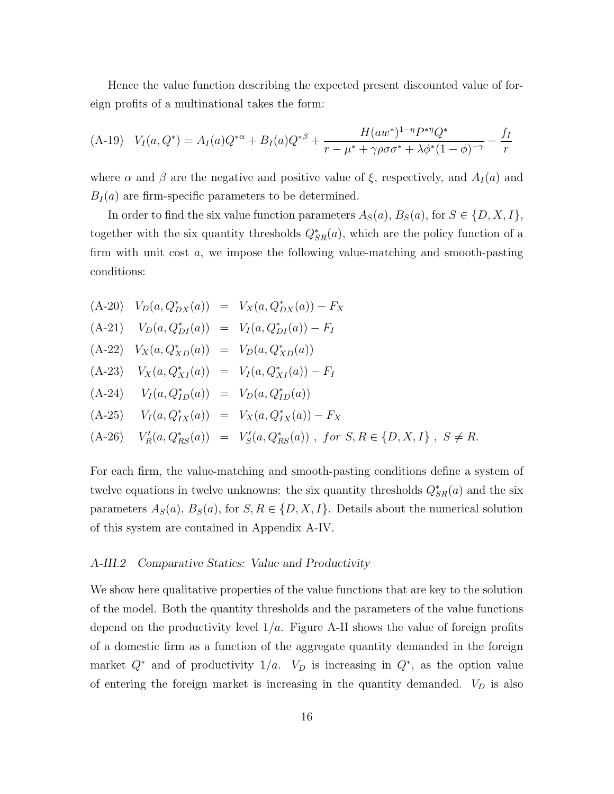Hence the value function describing the expected present discounted value of foreign profits of a multinational takes the form:

$$
(A-19) \quad V_I(a,Q^*) = A_I(a)Q^{*\alpha} + B_I(a)Q^{*\beta} + \frac{H(aw^*)^{1-\eta}P^{*\eta}Q^*}{r-\mu^*+\gamma\rho\sigma\sigma^*+\lambda\phi^*(1-\phi)^{-\gamma}} - \frac{f_I}{r}
$$

where  $\alpha$  and  $\beta$  are the negative and positive value of  $\xi$ , respectively, and  $A_I(a)$  and  $B_I(a)$  are firm-specific parameters to be determined.

In order to find the six value function parameters  $A_S(a)$ ,  $B_S(a)$ , for  $S \in \{D, X, I\}$ , together with the six quantity thresholds  $Q_{SR}^*(a)$ , which are the policy function of a firm with unit cost a, we impose the following value-matching and smooth-pasting conditions:

 $(A-20)$   $V_D(a, Q_{DX}^*(a)) = V_X(a, Q_{DX}^*(a)) - F_X$  $(A-21)$   $V_D(a, Q_{DI}^*(a)) = V_I(a, Q_{DI}^*(a)) - F_I$  $(A-22)$   $V_X(a, Q^*_{XD}(a)) = V_D(a, Q^*_{XD}(a))$  $(A-23)$   $V_X(a, Q^*_{XI}(a)) = V_I(a, Q^*_{XI}(a)) - F_I$  $(A-24)$   $V_I(a,Q_{ID}^*(a)) = V_D(a,Q_{ID}^*(a))$  $(A-25)$   $V_I(a, Q_{IX}^*(a)) = V_X(a, Q_{IX}^*(a)) - F_X$  $V'_R(a, Q^*_{RS}(a)) = V'_S$  $(A-26)$   $V'_R(a,Q_{RS}^*(a)) = V'_S(a,Q_{RS}^*(a))$ , for  $S, R \in \{D, X, I\}$ ,  $S \neq R$ .

For each firm, the value-matching and smooth-pasting conditions define a system of twelve equations in twelve unknowns: the six quantity thresholds  $Q_{SR}^*(a)$  and the six parameters  $A_S(a)$ ,  $B_S(a)$ , for  $S, R \in \{D, X, I\}$ . Details about the numerical solution of this system are contained in Appendix A-IV.

### *A-III.2 Comparative Statics: Value and Productivity*

We show here qualitative properties of the value functions that are key to the solution of the model. Both the quantity thresholds and the parameters of the value functions depend on the productivity level  $1/a$ . Figure A-II shows the value of foreign profits of a domestic firm as a function of the aggregate quantity demanded in the foreign market  $Q^*$  and of productivity  $1/a$ .  $V_D$  is increasing in  $Q^*$ , as the option value of entering the foreign market is increasing in the quantity demanded.  $V_D$  is also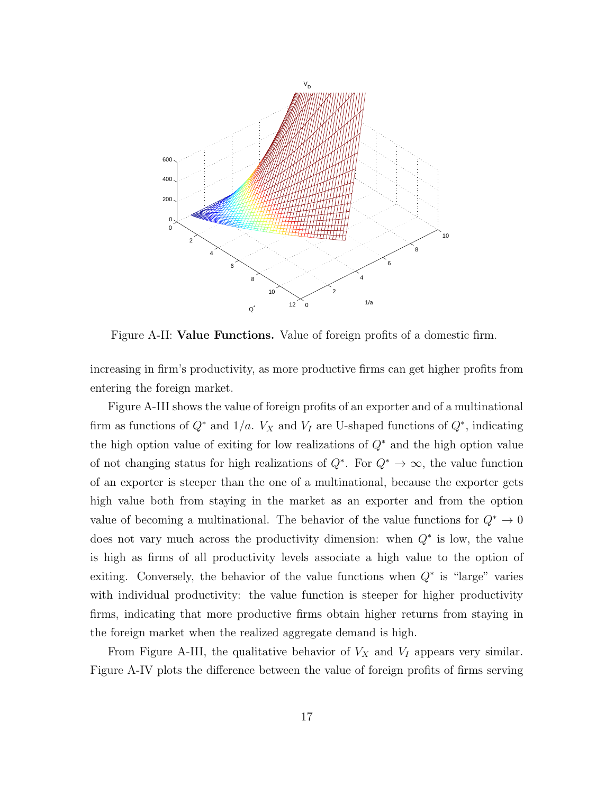

Figure A-II: Value Functions. Value of foreign profits of a domestic firm.

increasing in firm's productivity, as more productive firms can get higher profits from entering the foreign market.

Figure A-III shows the value of foreign profits of an exporter and of a multinational firm as functions of  $Q^*$  and  $1/a$ .  $V_X$  and  $V_I$  are U-shaped functions of  $Q^*$ , indicating the high option value of exiting for low realizations of  $Q^*$  and the high option value of not changing status for high realizations of  $Q^*$ . For  $Q^* \to \infty$ , the value function of an exporter is steeper than the one of a multinational, because the exporter gets high value both from staying in the market as an exporter and from the option value of becoming a multinational. The behavior of the value functions for  $Q^* \to 0$ does not vary much across the productivity dimension: when  $Q^*$  is low, the value is high as firms of all productivity levels associate a high value to the option of exiting. Conversely, the behavior of the value functions when  $Q^*$  is "large" varies with individual productivity: the value function is steeper for higher productivity firms, indicating that more productive firms obtain higher returns from staying in the foreign market when the realized aggregate demand is high.

From Figure A-III, the qualitative behavior of  $V_X$  and  $V_I$  appears very similar. Figure A-IV plots the difference between the value of foreign profits of firms serving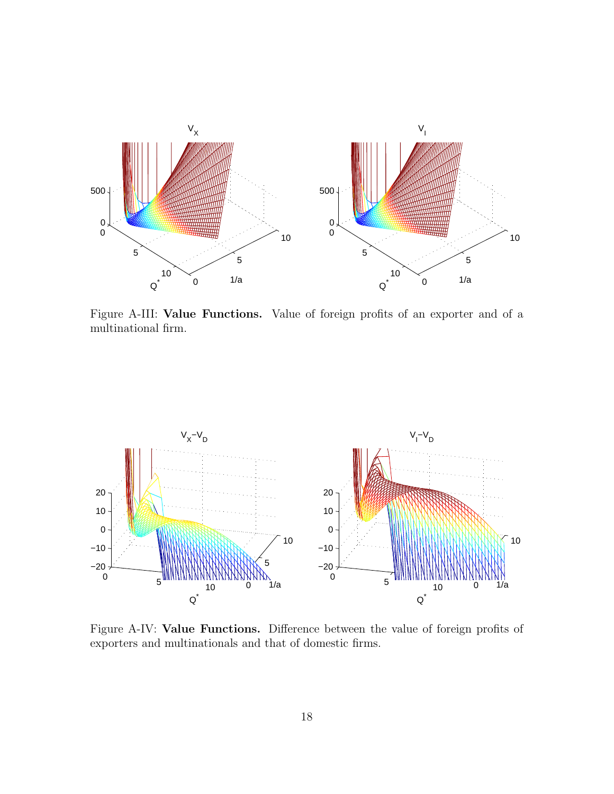

Figure A-III: Value Functions. Value of foreign profits of an exporter and of a multinational firm.



Figure A-IV: Value Functions. Difference between the value of foreign profits of exporters and multinationals and that of domestic firms.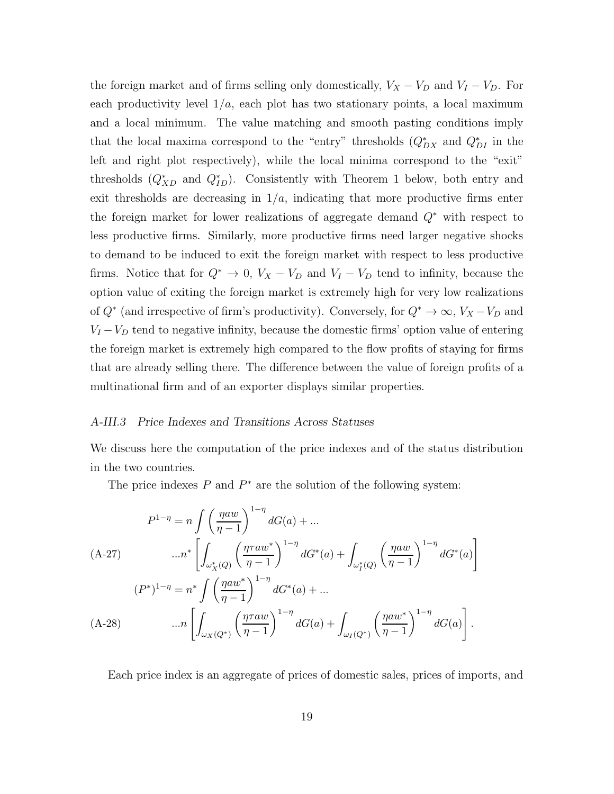the foreign market and of firms selling only domestically,  $V_X - V_D$  and  $V_I - V_D$ . For each productivity level  $1/a$ , each plot has two stationary points, a local maximum and a local minimum. The value matching and smooth pasting conditions imply that the local maxima correspond to the "entry" thresholds  $(Q_{DX}^*$  and  $Q_{DI}^*$  in the left and right plot respectively), while the local minima correspond to the "exit" thresholds  $(Q_{XD}^*$  and  $Q_{ID}^*$ ). Consistently with Theorem 1 below, both entry and exit thresholds are decreasing in  $1/a$ , indicating that more productive firms enter the foreign market for lower realizations of aggregate demand Q<sup>∗</sup> with respect to less productive firms. Similarly, more productive firms need larger negative shocks to demand to be induced to exit the foreign market with respect to less productive firms. Notice that for  $Q^* \to 0$ ,  $V_X - V_D$  and  $V_I - V_D$  tend to infinity, because the option value of exiting the foreign market is extremely high for very low realizations of  $Q^*$  (and irrespective of firm's productivity). Conversely, for  $Q^* \to \infty$ ,  $V_X - V_D$  and  $V_I - V_D$  tend to negative infinity, because the domestic firms' option value of entering the foreign market is extremely high compared to the flow profits of staying for firms that are already selling there. The difference between the value of foreign profits of a multinational firm and of an exporter displays similar properties.

#### *A-III.3 Price Indexes and Transitions Across Statuses*

We discuss here the computation of the price indexes and of the status distribution in the two countries.

The price indexes  $P$  and  $P^*$  are the solution of the following system:

$$
P^{1-\eta} = n \int \left(\frac{\eta aw}{\eta - 1}\right)^{1-\eta} dG(a) + ...
$$
  
(A-27)
$$
...n^* \left[ \int_{\omega_X^*(Q)} \left(\frac{\eta \tau aw^*}{\eta - 1}\right)^{1-\eta} dG^*(a) + \int_{\omega_I^*(Q)} \left(\frac{\eta aw}{\eta - 1}\right)^{1-\eta} dG^*(a) \right]
$$

$$
(P^*)^{1-\eta} = n^* \int \left(\frac{\eta aw^*}{\eta - 1}\right)^{1-\eta} dG^*(a) + ...
$$
  
(A-28)
$$
...n \left[ \int_{\omega_X(Q^*)} \left(\frac{\eta \tau aw}{\eta - 1}\right)^{1-\eta} dG(a) + \int_{\omega_I(Q^*)} \left(\frac{\eta aw^*}{\eta - 1}\right)^{1-\eta} dG(a) \right].
$$

Each price index is an aggregate of prices of domestic sales, prices of imports, and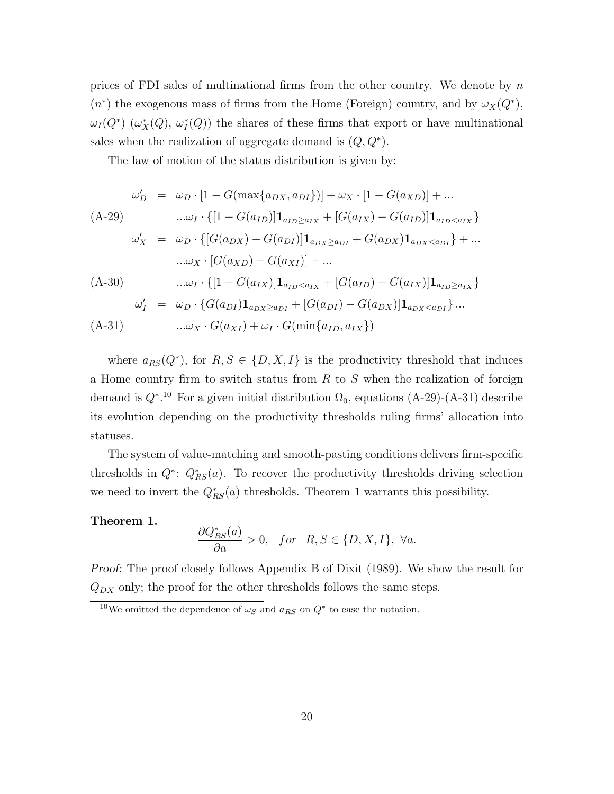prices of FDI sales of multinational firms from the other country. We denote by  $n$ ( $n^*$ ) the exogenous mass of firms from the Home (Foreign) country, and by  $\omega_X(Q^*),$  $\omega_I(Q^*)$  ( $\omega_X^*(Q)$ ,  $\omega_I^*(Q)$ ) the shares of these firms that export or have multinational sales when the realization of aggregate demand is  $(Q, Q^*)$ .

The law of motion of the status distribution is given by:

$$
\omega'_{D} = \omega_{D} \cdot [1 - G(\max\{a_{DX}, a_{DI}\})] + \omega_{X} \cdot [1 - G(a_{XD})] + ...
$$
  
\n
$$
(A-29) \qquad \dots \omega_{I} \cdot \{[1 - G(a_{ID})]1_{a_{ID} \ge a_{IX}} + [G(a_{IX}) - G(a_{ID})]1_{a_{ID} < a_{IX}}\}
$$
  
\n
$$
\omega'_{X} = \omega_{D} \cdot \{[G(a_{DX}) - G(a_{DI})]1_{a_{DX} \ge a_{DI}} + G(a_{DX})1_{a_{DX} < a_{DI}}\} + ...
$$
  
\n
$$
\dots \omega_{X} \cdot [G(a_{XD}) - G(a_{XI})] + ...
$$
  
\n
$$
(A-30) \qquad \dots \omega_{I} \cdot \{[1 - G(a_{IX})]1_{a_{ID} < a_{IX}} + [G(a_{ID}) - G(a_{IX})]1_{a_{ID} \ge a_{IX}}\}
$$
  
\n
$$
\omega'_{I} = \omega_{D} \cdot \{G(a_{DI})1_{a_{DX} \ge a_{DI}} + [G(a_{DI}) - G(a_{DX})]1_{a_{DX} < a_{DI}}\} ...
$$
  
\n
$$
(A-31) \qquad \dots \omega_{X} \cdot G(a_{XI}) + \omega_{I} \cdot G(\min\{a_{ID}, a_{IX}\})
$$

where  $a_{RS}(Q^*)$ , for  $R, S \in \{D, X, I\}$  is the productivity threshold that induces a Home country firm to switch status from  $R$  to  $S$  when the realization of foreign demand is  $Q^*$ <sup>10</sup> For a given initial distribution  $\Omega_0$ , equations (A-29)-(A-31) describe its evolution depending on the productivity thresholds ruling firms' allocation into statuses.

The system of value-matching and smooth-pasting conditions delivers firm-specific thresholds in  $Q^*$ :  $Q_{RS}^*(a)$ . To recover the productivity thresholds driving selection we need to invert the  $Q_{RS}^*(a)$  thresholds. Theorem 1 warrants this possibility.

### Theorem 1.

$$
\frac{\partial Q_{RS}^*(a)}{\partial a} > 0, \quad \text{for} \quad R, S \in \{D, X, I\}, \ \forall a.
$$

*Proof:* The proof closely follows Appendix B of Dixit (1989). We show the result for  $Q_{DX}$  only; the proof for the other thresholds follows the same steps.

<sup>&</sup>lt;sup>10</sup>We omitted the dependence of  $\omega_S$  and  $a_{RS}$  on  $Q^*$  to ease the notation.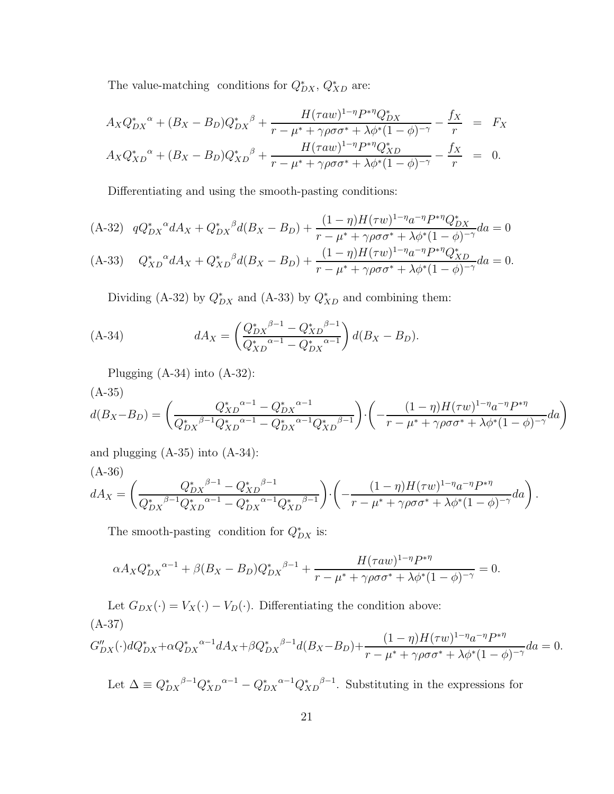The value-matching conditions for  $Q_{DX}^*$ ,  $Q_{XD}^*$  are:

$$
A_X Q_{DX}^* \alpha + (B_X - B_D) Q_{DX}^* \beta + \frac{H(\tau a w)^{1-\eta} P^{*\eta} Q_{DX}^*}{r - \mu^* + \gamma \rho \sigma \sigma^* + \lambda \phi^* (1 - \phi)^{-\gamma}} - \frac{f_X}{r} = F_X
$$
  

$$
A_X Q_{XD}^* \alpha + (B_X - B_D) Q_{XD}^* \beta + \frac{H(\tau a w)^{1-\eta} P^{*\eta} Q_{XD}^*}{r - \mu^* + \gamma \rho \sigma \sigma^* + \lambda \phi^* (1 - \phi)^{-\gamma}} - \frac{f_X}{r} = 0.
$$

Differentiating and using the smooth-pasting conditions:

$$
(A-32) \quad qQ_{DX}^*^{\alpha}dA_X + Q_{DX}^*^{\beta}d(B_X - B_D) + \frac{(1-\eta)H(\tau w)^{1-\eta}a^{-\eta}P^{*\eta}Q_{DX}^*}{r - \mu^* + \gamma\rho\sigma\sigma^* + \lambda\phi^*(1-\phi)^{-\gamma}}da = 0
$$
\n
$$
(A-33) \quad Q_{XD}^*^{\alpha}dA_X + Q_{XD}^*\beta d(B_X - B_D) + \frac{(1-\eta)H(\tau w)^{1-\eta}a^{-\eta}P^{*\eta}Q_{XD}^*}{r - \mu^* + \gamma\rho\sigma\sigma^* + \lambda\phi^*(1-\phi)^{-\gamma}}da = 0.
$$

Dividing (A-32) by  $Q_{DX}^*$  and (A-33) by  $Q_{XD}^*$  and combining them:

(A-34) 
$$
dA_X = \left(\frac{Q_{DX}^*{}^{\beta-1} - Q_{XD}^*{}^{\beta-1}}{Q_{XD}^*{}^{\alpha-1} - Q_{DX}^*{}^{\alpha-1}}\right) d(B_X - B_D).
$$

Plugging (A-34) into (A-32):

$$
(A-35)
$$

$$
d(B_X - B_D) = \left(\frac{Q_{XD}^* \alpha^{-1} - Q_{DX}^* \alpha^{-1}}{Q_{DX}^* \beta^{-1} Q_{XD}^* \alpha^{-1} - Q_{DX}^* \alpha^{-1} Q_{XD}^* \beta^{-1}}\right) \cdot \left(-\frac{(1-\eta)H(\tau w)^{1-\eta} a^{-\eta} P^{*\eta}}{r - \mu^* + \gamma \rho \sigma \sigma^* + \lambda \phi^*(1-\phi)^{-\gamma}} da\right)
$$

and plugging  $(A-35)$  into  $(A-34)$ :

$$
(A-36)
$$

$$
dA_X = \left(\frac{Q_{DX}^*{}^{\beta-1} - Q_{XD}^*{}^{\beta-1}}{Q_{DX}^*{}^{\beta-1}Q_{XD}^*{}^{\alpha-1} - Q_{DX}^*{}^{\alpha-1}Q_{XD}^*{}^{\beta-1}}\right) \cdot \left(-\frac{(1-\eta)H(\tau w)^{1-\eta}a^{-\eta}P^{*\eta}}{r-\mu^*+\gamma\rho\sigma\sigma^*+\lambda\phi^*(1-\phi)^{-\gamma}}da\right).
$$

The smooth-pasting condition for  $Q_{DX}^*$  is:

$$
\alpha A_X Q_{DX}^{\ast}{}^{\alpha-1} + \beta (B_X - B_D) Q_{DX}^{\ast}{}^{\beta-1} + \frac{H(\tau a w)^{1-\eta} P^{\ast \eta}}{r - \mu^* + \gamma \rho \sigma \sigma^* + \lambda \phi^* (1 - \phi)^{-\gamma}} = 0.
$$

Let  $G_{DX}(\cdot) = V_X(\cdot) - V_D(\cdot)$ . Differentiating the condition above: (A-37)  $G''_{DX}(\cdot)dQ^{*}_{DX}+\alpha Q^{*}_{DX}$  $\alpha^{-1}dA_X+\beta Q_{DX}^*$  $\beta^{-1}d(B_X-B_D)+\frac{(1-\eta)H(\tau w)^{1-\eta}a^{-\eta}P^{*\eta}}{w^*+1\leq \frac{1}{2}+\frac{1}{2}}$  $\frac{(1 - \eta) \pi (\eta x)^{-\alpha}}{r - \mu^* + \gamma \rho \sigma \sigma^* + \lambda \phi^* (1 - \phi)^{-\gamma}} da = 0.$ 

Let  $\Delta \equiv Q_{DX}^*{}^{\beta-1}Q_{XD}^*{}^{\alpha-1} - Q_{DX}^*{}^{\alpha-1}Q_{XD}^*$  $\beta$ <sup>-1</sup>. Substituting in the expressions for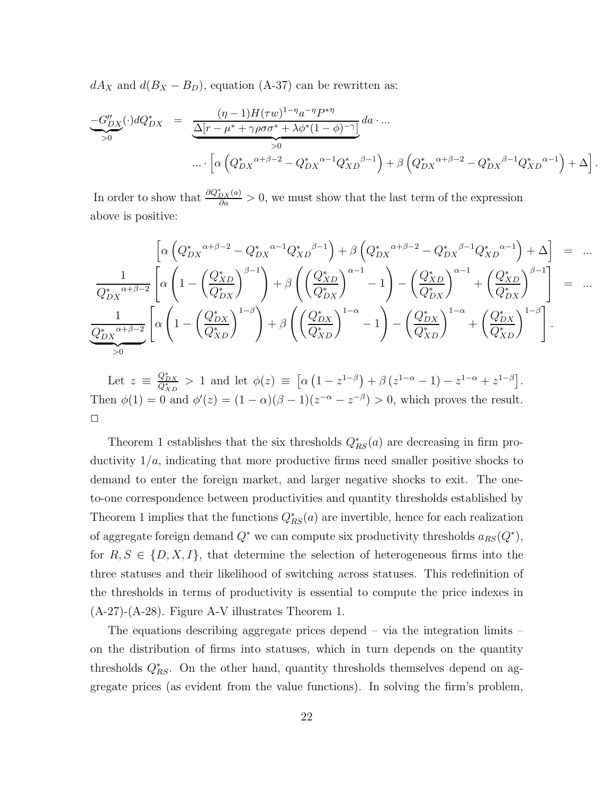$dA_X$  and  $d(B_X - B_D)$ , equation (A-37) can be rewritten as:

$$
\frac{-G''_{DX}}{\geq 0}(\cdot)dQ_{DX}^{*} = \frac{(\eta-1)H(\tau w)^{1-\eta}a^{-\eta}P^{*\eta}}{\underbrace{\Delta[r-\mu^{*}+\gamma\rho\sigma\sigma^{*}+\lambda\phi^{*}(1-\phi)^{-\gamma}]}_{>0}}da\cdot\ldots
$$

$$
\ldots\cdot\left[\alpha\left(Q_{DX}^{*}\alpha^{+\beta-2}-Q_{DX}^{*}\alpha^{-1}Q_{XD}^{*}\beta^{-1}\right)+\beta\left(Q_{DX}^{*}\alpha^{+\beta-2}-Q_{DX}^{*}\beta^{-1}Q_{XD}^{*}\alpha^{-1}\right)+\Delta\right].
$$

In order to show that  $\frac{\partial Q_{DX}^*(a)}{\partial a} > 0$ , we must show that the last term of the expression above is positive:

$$
\left[\alpha\left(Q_{DX}^{*}\alpha^{+\beta-2}-Q_{DX}^{*}\alpha^{-1}Q_{XD}^{*}\beta^{-1}\right)+\beta\left(Q_{DX}^{*}\alpha^{+\beta-2}-Q_{DX}^{*}\beta^{-1}Q_{XD}^{*}\alpha^{-1}\right)+\Delta\right] = \dots
$$
  

$$
\frac{1}{Q_{DX}^{*}\alpha^{+\beta-2}}\left[\alpha\left(1-\left(\frac{Q_{XD}^{*}}{Q_{DX}^{*}}\right)^{\beta-1}\right)+\beta\left(\left(\frac{Q_{XD}^{*}}{Q_{DX}^{*}}\right)^{\alpha-1}-1\right)-\left(\frac{Q_{XD}^{*}}{Q_{DX}^{*}}\right)^{\alpha-1}+\left(\frac{Q_{XD}^{*}}{Q_{DX}^{*}}\right)^{\beta-1}\right] = \dots
$$
  

$$
\frac{1}{Q_{DX}^{*}\alpha^{+\beta-2}}\left[\alpha\left(1-\left(\frac{Q_{DX}^{*}}{Q_{XD}^{*}}\right)^{1-\beta}\right)+\beta\left(\left(\frac{Q_{DX}^{*}}{Q_{XD}^{*}}\right)^{1-\alpha}-1\right)-\left(\frac{Q_{DX}^{*}}{Q_{XD}^{*}}\right)^{1-\alpha}+\left(\frac{Q_{DX}^{*}}{Q_{XD}^{*}}\right)^{1-\beta}\right].
$$

Let  $z \equiv \frac{Q_{DX}^*}{Q_{XD}^*} > 1$  and let  $\phi(z) \equiv [\alpha (1 - z^{1-\beta}) + \beta (z^{1-\alpha} - 1) - z^{1-\alpha} + z^{1-\beta}].$ Then  $\phi(1) = 0$  and  $\phi'(z) = (1 - \alpha)(\beta - 1)(z^{-\alpha} - z^{-\beta}) > 0$ , which proves the result.  $\Box$ 

Theorem 1 establishes that the six thresholds  $Q_{RS}^*(a)$  are decreasing in firm productivity  $1/a$ , indicating that more productive firms need smaller positive shocks to demand to enter the foreign market, and larger negative shocks to exit. The oneto-one correspondence between productivities and quantity thresholds established by Theorem 1 implies that the functions  $Q_{RS}^*(a)$  are invertible, hence for each realization of aggregate foreign demand  $Q^*$  we can compute six productivity thresholds  $a_{RS}(Q^*),$ for  $R, S \in \{D, X, I\}$ , that determine the selection of heterogeneous firms into the three statuses and their likelihood of switching across statuses. This redefinition of the thresholds in terms of productivity is essential to compute the price indexes in (A-27)-(A-28). Figure A-V illustrates Theorem 1.

The equations describing aggregate prices depend – via the integration limits – on the distribution of firms into statuses, which in turn depends on the quantity thresholds  $Q_{RS}^*$ . On the other hand, quantity thresholds themselves depend on aggregate prices (as evident from the value functions). In solving the firm's problem,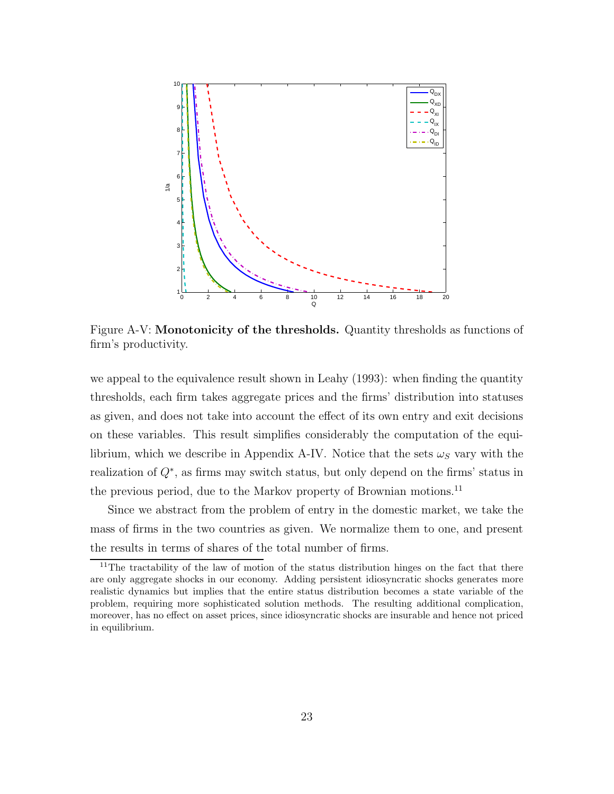

Figure A-V: **Monotonicity of the thresholds.** Quantity thresholds as functions of firm's productivity.

we appeal to the equivalence result shown in Leahy (1993): when finding the quantity thresholds, each firm takes aggregate prices and the firms' distribution into statuses as given, and does not take into account the effect of its own entry and exit decisions on these variables. This result simplifies considerably the computation of the equilibrium, which we describe in Appendix A-IV. Notice that the sets  $\omega<sub>S</sub>$  vary with the realization of Q<sup>∗</sup> , as firms may switch status, but only depend on the firms' status in the previous period, due to the Markov property of Brownian motions.<sup>11</sup>

Since we abstract from the problem of entry in the domestic market, we take the mass of firms in the two countries as given. We normalize them to one, and present the results in terms of shares of the total number of firms.

<sup>&</sup>lt;sup>11</sup>The tractability of the law of motion of the status distribution hinges on the fact that there are only aggregate shocks in our economy. Adding persistent idiosyncratic shocks generates more realistic dynamics but implies that the entire status distribution becomes a state variable of the problem, requiring more sophisticated solution methods. The resulting additional complication, moreover, has no effect on asset prices, since idiosyncratic shocks are insurable and hence not priced in equilibrium.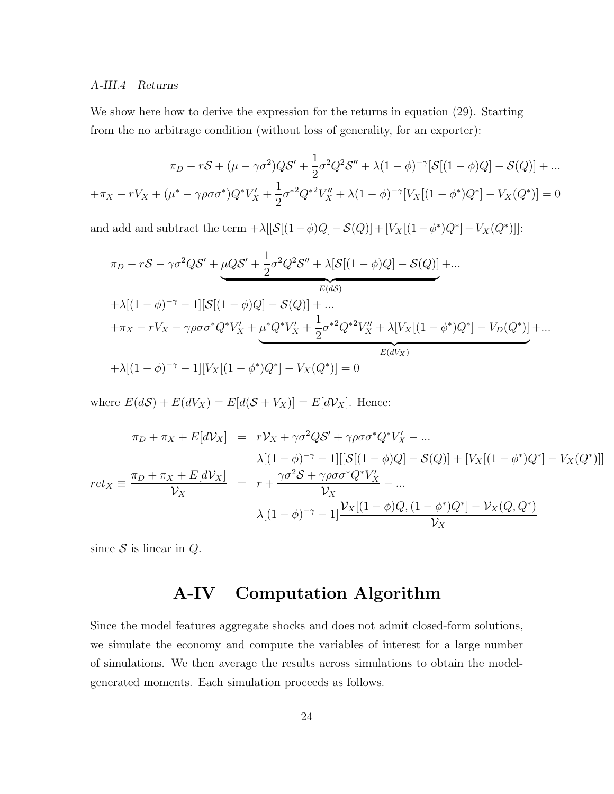## *A-III.4 Returns*

We show here how to derive the expression for the returns in equation (29). Starting from the no arbitrage condition (without loss of generality, for an exporter):

$$
\pi_D - rS + (\mu - \gamma \sigma^2)QS' + \frac{1}{2}\sigma^2 Q^2 S'' + \lambda (1 - \phi)^{-\gamma} [\mathcal{S}[(1 - \phi)Q] - \mathcal{S}(Q)] + \dots
$$

$$
+ \pi_X - rV_X + (\mu^* - \gamma \rho \sigma \sigma^*) Q^* V'_X + \frac{1}{2}\sigma^{*2} Q^{*2} V''_X + \lambda (1 - \phi)^{-\gamma} [V_X[(1 - \phi^*)Q^*] - V_X(Q^*)] = 0
$$

and add and subtract the term  $+\lambda[[\mathcal{S}[(1-\phi)Q] - \mathcal{S}(Q)] + [V_X[(1-\phi^*)Q^*] - V_X(Q^*)]]$ :

$$
\pi_D - rS - \gamma \sigma^2 Q S' + \underbrace{\mu Q S' + \frac{1}{2} \sigma^2 Q^2 S'' + \lambda [S[(1 - \phi)Q] - S(Q)]}_{E(dS)} + ... \n+ \lambda [(1 - \phi)^{-\gamma} - 1][S[(1 - \phi)Q] - S(Q)] + ... \n+ \pi_X - rV_X - \gamma \rho \sigma \sigma^* Q^* V'_X + \underbrace{\mu^* Q^* V'_X + \frac{1}{2} \sigma^{*2} Q^{*2} V''_X + \lambda [V_X[(1 - \phi^*)Q^*] - V_D(Q^*)] + ... \n+ \lambda [(1 - \phi)^{-\gamma} - 1][V_X[(1 - \phi^*)Q^*] - V_X(Q^*)] = 0
$$

where  $E(dS) + E(dV_X) = E[d(S + V_X)] = E[dV_X]$ . Hence:

$$
\pi_D + \pi_X + E[d\mathcal{V}_X] = r\mathcal{V}_X + \gamma \sigma^2 Q \mathcal{S}' + \gamma \rho \sigma \sigma^* Q^* V'_X - \dots
$$

$$
\lambda[(1 - \phi)^{-\gamma} - 1][[\mathcal{S}[(1 - \phi)Q] - \mathcal{S}(Q)] + [V_X[(1 - \phi^*)Q^*] - V_X(Q^*)]]
$$

$$
ret_X \equiv \frac{\pi_D + \pi_X + E[d\mathcal{V}_X]}{\mathcal{V}_X} = r + \frac{\gamma \sigma^2 \mathcal{S} + \gamma \rho \sigma \sigma^* Q^* V'_X}{\mathcal{V}_X} - \dots
$$

$$
\lambda[(1 - \phi)^{-\gamma} - 1] \frac{\mathcal{V}_X[(1 - \phi)Q, (1 - \phi^*)Q^*] - \mathcal{V}_X(Q, Q^*)}{\mathcal{V}_X}
$$

since  $S$  is linear in  $Q$ .

# A-IV Computation Algorithm

Since the model features aggregate shocks and does not admit closed-form solutions, we simulate the economy and compute the variables of interest for a large number of simulations. We then average the results across simulations to obtain the modelgenerated moments. Each simulation proceeds as follows.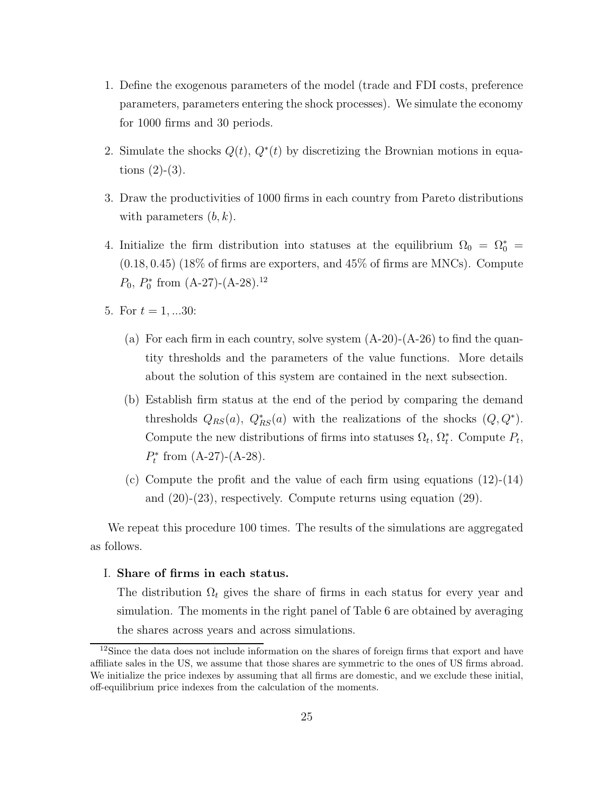- 1. Define the exogenous parameters of the model (trade and FDI costs, preference parameters, parameters entering the shock processes). We simulate the economy for 1000 firms and 30 periods.
- 2. Simulate the shocks  $Q(t)$ ,  $Q^*(t)$  by discretizing the Brownian motions in equations  $(2)-(3)$ .
- 3. Draw the productivities of 1000 firms in each country from Pareto distributions with parameters  $(b, k)$ .
- 4. Initialize the firm distribution into statuses at the equilibrium  $\Omega_0 = \Omega_0^* =$  $(0.18, 0.45)$  (18% of firms are exporters, and 45% of firms are MNCs). Compute  $P_0$ ,  $P_0^*$  from  $(A-27)-(A-28).<sup>12</sup>$
- 5. For  $t = 1, ... 30$ :
	- (a) For each firm in each country, solve system  $(A-20)-(A-26)$  to find the quantity thresholds and the parameters of the value functions. More details about the solution of this system are contained in the next subsection.
	- (b) Establish firm status at the end of the period by comparing the demand thresholds  $Q_{RS}(a)$ ,  $Q_{RS}^*(a)$  with the realizations of the shocks  $(Q, Q^*)$ . Compute the new distributions of firms into statuses  $\Omega_t$ ,  $\Omega_t^*$ . Compute  $P_t$ ,  $P_t^*$  from  $(A-27)-(A-28)$ .
	- (c) Compute the profit and the value of each firm using equations (12)-(14) and (20)-(23), respectively. Compute returns using equation (29).

We repeat this procedure 100 times. The results of the simulations are aggregated as follows.

## I. Share of firms in each status.

The distribution  $\Omega_t$  gives the share of firms in each status for every year and simulation. The moments in the right panel of Table 6 are obtained by averaging the shares across years and across simulations.

<sup>&</sup>lt;sup>12</sup>Since the data does not include information on the shares of foreign firms that export and have affiliate sales in the US, we assume that those shares are symmetric to the ones of US firms abroad. We initialize the price indexes by assuming that all firms are domestic, and we exclude these initial, off-equilibrium price indexes from the calculation of the moments.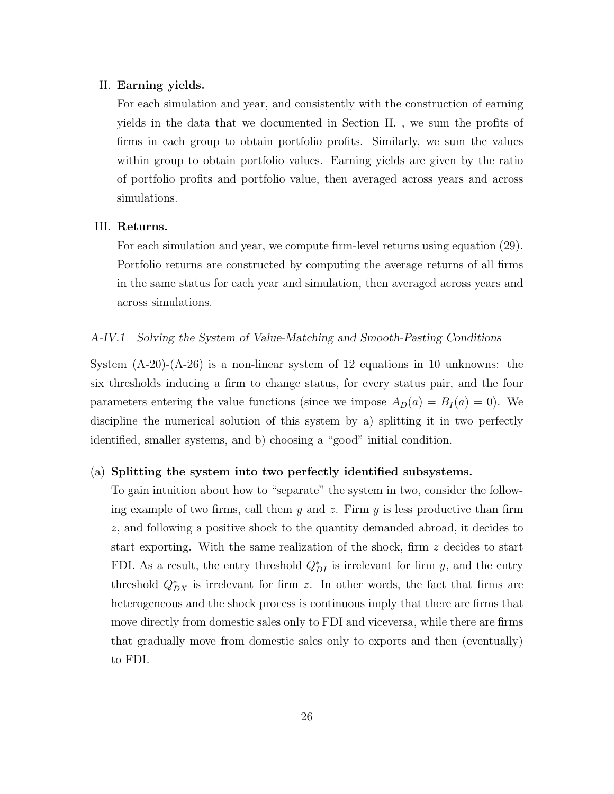# II. Earning yields.

For each simulation and year, and consistently with the construction of earning yields in the data that we documented in Section II. , we sum the profits of firms in each group to obtain portfolio profits. Similarly, we sum the values within group to obtain portfolio values. Earning yields are given by the ratio of portfolio profits and portfolio value, then averaged across years and across simulations.

#### III. Returns.

For each simulation and year, we compute firm-level returns using equation (29). Portfolio returns are constructed by computing the average returns of all firms in the same status for each year and simulation, then averaged across years and across simulations.

# *A-IV.1 Solving the System of Value-Matching and Smooth-Pasting Conditions*

System  $(A-20)-(A-26)$  is a non-linear system of 12 equations in 10 unknowns: the six thresholds inducing a firm to change status, for every status pair, and the four parameters entering the value functions (since we impose  $A_D(a) = B_I(a) = 0$ ). We discipline the numerical solution of this system by a) splitting it in two perfectly identified, smaller systems, and b) choosing a "good" initial condition.

# (a) Splitting the system into two perfectly identified subsystems.

To gain intuition about how to "separate" the system in two, consider the following example of two firms, call them y and z. Firm y is less productive than firm z, and following a positive shock to the quantity demanded abroad, it decides to start exporting. With the same realization of the shock, firm z decides to start FDI. As a result, the entry threshold  $Q_{DI}^*$  is irrelevant for firm y, and the entry threshold  $Q_{DX}^*$  is irrelevant for firm z. In other words, the fact that firms are heterogeneous and the shock process is continuous imply that there are firms that move directly from domestic sales only to FDI and viceversa, while there are firms that gradually move from domestic sales only to exports and then (eventually) to FDI.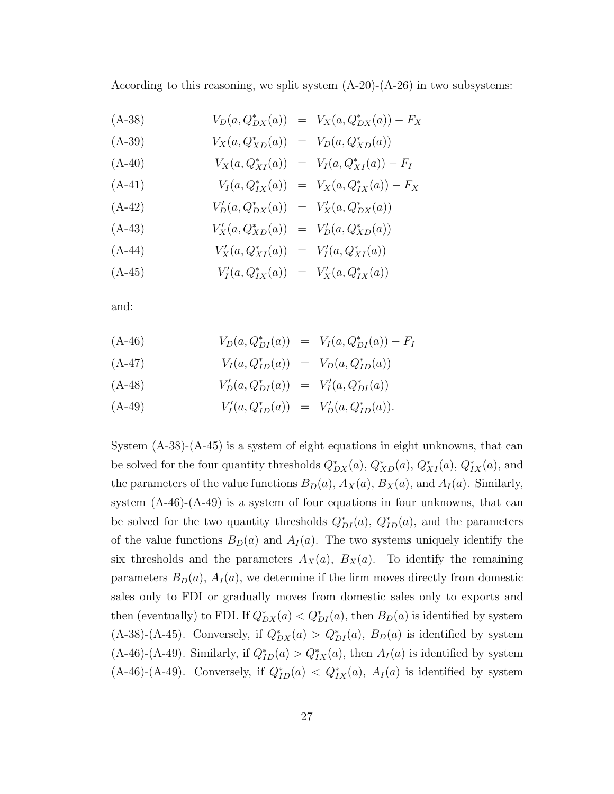According to this reasoning, we split system  $(A-20)-(A-26)$  in two subsystems:

(A-38)  
\n
$$
V_D(a, Q_{DX}^*(a)) = V_X(a, Q_{DX}^*(a)) - F_X
$$
\n(A-39)  
\n
$$
V_X(a, Q_{XD}^*(a)) = V_D(a, Q_{XD}^*(a))
$$

$$
(A-40) \t\t V_X(a, Q^*_{XI}(a)) = V_I(a, Q^*_{XI}(a)) - F_I
$$

(A-41) 
$$
V_I(a, Q_{IX}^*(a)) = V_X(a, Q_{IX}^*(a)) - F_X
$$

$$
(A-42) \tV'_D(a, Q^*_{DX}(a)) = V'_X(a, Q^*_{DX}(a))
$$

(A-43) 
$$
V'_X(a, Q^*_{XD}(a)) = V'_D(a, Q^*_{XD}(a))
$$

$$
(A-44) \tV'_{X}(a,Q^*_{XI}(a)) = V'_{I}(a,Q^*_{XI}(a))
$$

$$
(A-45) \tV'_I(a, Q_{IX}^*(a)) = V'_X(a, Q_{IX}^*(a))
$$

and:

$$
(A-46) \tV_D(a, Q^*_{DI}(a)) = V_I(a, Q^*_{DI}(a)) - F_I
$$

$$
(A-47) \tV_I(a, Q_{ID}^*(a)) = V_D(a, Q_{ID}^*(a))
$$

$$
(A-48) \tV'_D(a, Q^*_{DI}(a)) = V'_I(a, Q^*_{DI}(a))
$$

(A-49) 
$$
V'_I(a, Q^*_{ID}(a)) = V'_D(a, Q^*_{ID}(a)).
$$

System (A-38)-(A-45) is a system of eight equations in eight unknowns, that can be solved for the four quantity thresholds  $Q_{DX}^*(a)$ ,  $Q_{XD}^*(a)$ ,  $Q_{XI}^*(a)$ ,  $Q_{IX}^*(a)$ , and the parameters of the value functions  $B_D(a)$ ,  $A_X(a)$ ,  $B_X(a)$ , and  $A_I(a)$ . Similarly, system  $(A-46)-(A-49)$  is a system of four equations in four unknowns, that can be solved for the two quantity thresholds  $Q_{DI}^*(a)$ ,  $Q_{ID}^*(a)$ , and the parameters of the value functions  $B_D(a)$  and  $A_I(a)$ . The two systems uniquely identify the six thresholds and the parameters  $A_X(a)$ ,  $B_X(a)$ . To identify the remaining parameters  $B_D(a)$ ,  $A_I(a)$ , we determine if the firm moves directly from domestic sales only to FDI or gradually moves from domestic sales only to exports and then (eventually) to FDI. If  $Q_{DX}^*(a) < Q_{DI}^*(a)$ , then  $B_D(a)$  is identified by system (A-38)-(A-45). Conversely, if  $Q_{DX}^*(a) > Q_{DI}^*(a)$ ,  $B_D(a)$  is identified by system (A-46)-(A-49). Similarly, if  $Q_{ID}^*(a) > Q_{IX}^*(a)$ , then  $A_I(a)$  is identified by system  $(A-46)-(A-49)$ . Conversely, if  $Q_{ID}^*(a) < Q_{IX}^*(a)$ ,  $A_I(a)$  is identified by system